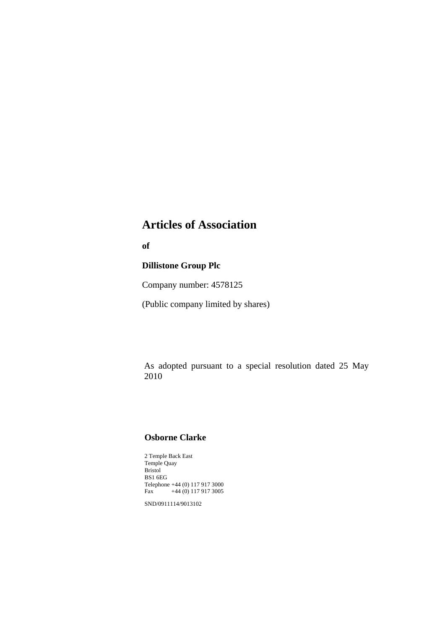# **Articles of Association**

**of** 

## **Dillistone Group Plc**

Company number: 4578125

(Public company limited by shares)

As adopted pursuant to a special resolution dated 25 May 2010

# **Osborne Clarke**

2 Temple Back East Temple Quay Bristol BS1 6EG Telephone +44 (0) 117 917 3000<br>Fax +44 (0) 117 917 3005  $+44$  (0) 117 917 3005

SND/0911114/9013102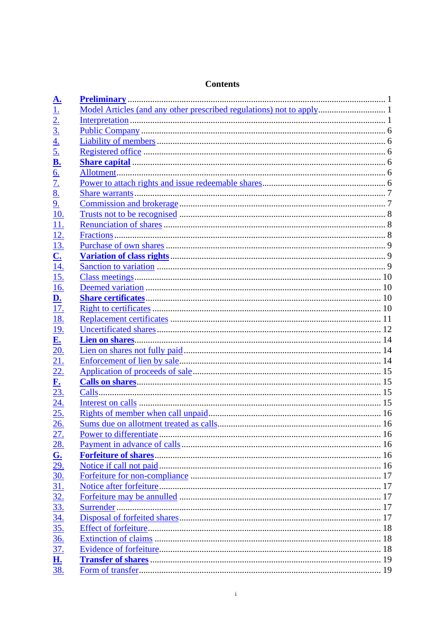| $\frac{\mathbf{A.}}{1.}$  |  |
|---------------------------|--|
|                           |  |
| $\frac{2}{3}$             |  |
| $\frac{4}{5}$             |  |
|                           |  |
| <u>B.</u>                 |  |
| <u>6.</u>                 |  |
| $\overline{1}$ .          |  |
| 8.                        |  |
| 9 <sub>1</sub>            |  |
| <u>10.</u>                |  |
| 11.                       |  |
| 12.                       |  |
| 13.                       |  |
| $\overline{\mathbf{C}}$ . |  |
| <u>14.</u>                |  |
| 15.                       |  |
| 16.                       |  |
| <u>D.</u>                 |  |
| 17.                       |  |
| 18.                       |  |
| <u>19.</u>                |  |
| <u>E.</u>                 |  |
| 20.                       |  |
| 21.                       |  |
| <u>22.</u>                |  |
| ${\bf F}$ .               |  |
| 23.                       |  |
| <u>24.</u>                |  |
| 25.                       |  |
| 26.                       |  |
| <u>27.</u>                |  |
| <u>28.</u>                |  |
| G.                        |  |
| <u>29.</u>                |  |
| <u>30.</u>                |  |
| 31.                       |  |
| $\frac{32}{2}$            |  |
| 33.                       |  |
|                           |  |
| $\frac{34}{35}$           |  |
| <u>36.</u>                |  |
| $\overline{37}$ .         |  |
| <b>H.</b>                 |  |
| 38.                       |  |
|                           |  |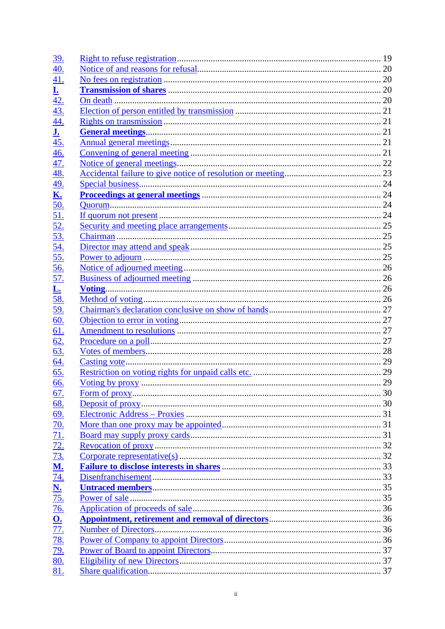| <u>39.</u>              |  |
|-------------------------|--|
| 40.                     |  |
| <u>41.</u>              |  |
| $\overline{\mathbf{r}}$ |  |
| 42.                     |  |
| 43.                     |  |
| <u>44.</u>              |  |
| <u>J.</u>               |  |
| <u>45.</u>              |  |
| <u>46.</u>              |  |
| 47.                     |  |
| <u>48.</u>              |  |
| <u>49.</u>              |  |
| <u>K.</u>               |  |
| <u>50.</u>              |  |
| 51.                     |  |
| <u>52.</u>              |  |
| 53.                     |  |
| 54.                     |  |
| 55.                     |  |
| 56.                     |  |
| 57.                     |  |
| <u>L.</u>               |  |
| 58.                     |  |
| <u>59.</u>              |  |
| 60.                     |  |
| 61.                     |  |
| 62.                     |  |
| 63.                     |  |
| 64.                     |  |
| 65.                     |  |
| 66.                     |  |
| <u>67.</u>              |  |
| 68.                     |  |
| 69.                     |  |
| $\underline{70}$ .      |  |
| 71.                     |  |
| 72.                     |  |
| $\overline{73.}$        |  |
| <u>M.</u>               |  |
| $\overline{74}$ .       |  |
| $\frac{N}{75}$          |  |
|                         |  |
| <u>76.</u>              |  |
| $\frac{O}{77}$          |  |
|                         |  |
| <u>78.</u>              |  |
| <u>79.</u>              |  |
| 80.                     |  |
| 81.                     |  |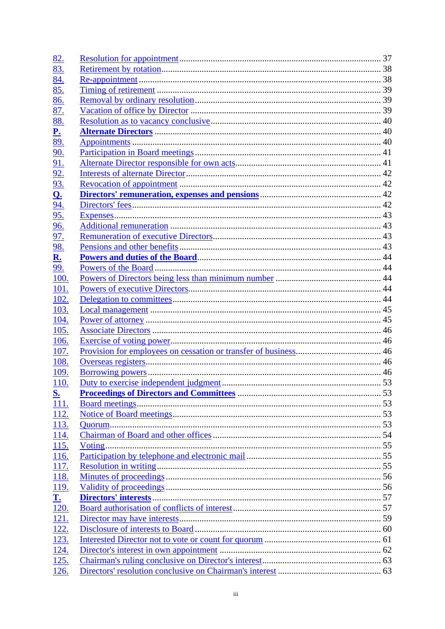| <u>82.</u>                 |  |
|----------------------------|--|
| 83.                        |  |
| 84.                        |  |
| 85.                        |  |
| 86.                        |  |
| 87.                        |  |
| 88.                        |  |
| $\underline{\mathbf{P}}$ . |  |
| 89.                        |  |
| <u>90.</u>                 |  |
| 91.                        |  |
| <u>92.</u>                 |  |
| 93.                        |  |
| <u>Q.</u>                  |  |
| 94.                        |  |
| <u>95.</u>                 |  |
| 96.                        |  |
| <u>97.</u>                 |  |
| <u>98.</u>                 |  |
| <u>R.</u>                  |  |
| <u>99.</u>                 |  |
| 100.                       |  |
| 101.                       |  |
| 102.                       |  |
| 103.                       |  |
| 104.                       |  |
|                            |  |
| 105.                       |  |
| 106.                       |  |
| 107.                       |  |
| 108.                       |  |
| <u>109.</u>                |  |
| <u>110.</u>                |  |
| <u>s.</u>                  |  |
| 111.                       |  |
| 112.                       |  |
| 113.                       |  |
| <u>114.</u>                |  |
| 115.                       |  |
| 116.                       |  |
| 117.                       |  |
| 118.                       |  |
| <u>119.</u>                |  |
| $\underline{\mathbf{T}}$ . |  |
| $\overline{120}$ .         |  |
| 121.                       |  |
| <u>122.</u>                |  |
| 123.                       |  |
| 124.                       |  |
| <u>125.</u>                |  |
| 126.                       |  |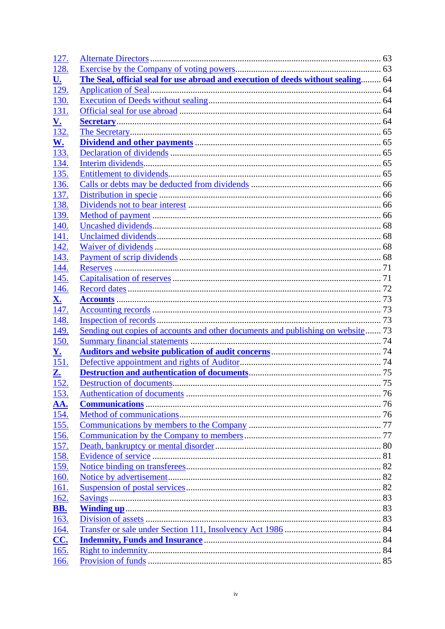| <u>127.</u>        |                                                                                  |  |
|--------------------|----------------------------------------------------------------------------------|--|
| 128.               |                                                                                  |  |
| <u>U.</u>          | The Seal, official seal for use abroad and execution of deeds without sealing 64 |  |
| 129.               |                                                                                  |  |
| 130.               |                                                                                  |  |
| 131.               |                                                                                  |  |
| <u>V.</u>          |                                                                                  |  |
| 132.               |                                                                                  |  |
| <u>W.</u>          |                                                                                  |  |
| 133.               |                                                                                  |  |
| 134.               |                                                                                  |  |
| 135.               |                                                                                  |  |
| 136.               |                                                                                  |  |
| 137.               |                                                                                  |  |
| 138.               |                                                                                  |  |
| 139.               |                                                                                  |  |
| 140.               |                                                                                  |  |
| 141.               |                                                                                  |  |
| 142.               |                                                                                  |  |
| 143.               |                                                                                  |  |
| 144.               |                                                                                  |  |
| 145.               |                                                                                  |  |
| 146.               |                                                                                  |  |
| <u>X.</u>          |                                                                                  |  |
| 147.               |                                                                                  |  |
| 148.               |                                                                                  |  |
| <u>149.</u>        | Sending out copies of accounts and other documents and publishing on website 73  |  |
| 150.               |                                                                                  |  |
| $\underline{Y}$ .  |                                                                                  |  |
| 151.               |                                                                                  |  |
| Z.                 |                                                                                  |  |
| 152.               |                                                                                  |  |
| 153.               |                                                                                  |  |
| AA.                |                                                                                  |  |
| 154.               |                                                                                  |  |
| 155.               |                                                                                  |  |
| 156.               |                                                                                  |  |
| <u>157.</u>        |                                                                                  |  |
| 158.               |                                                                                  |  |
| <u>159.</u>        |                                                                                  |  |
| <u>160.</u>        |                                                                                  |  |
| <u>161.</u>        |                                                                                  |  |
| 162.               |                                                                                  |  |
| <b>BB.</b>         |                                                                                  |  |
| 163.               |                                                                                  |  |
| 164.               |                                                                                  |  |
| <b>CC.</b><br>165. |                                                                                  |  |
|                    |                                                                                  |  |
| 166.               |                                                                                  |  |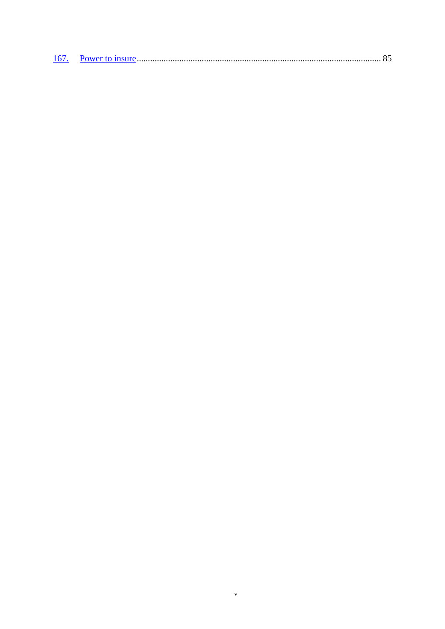$\bar{v}$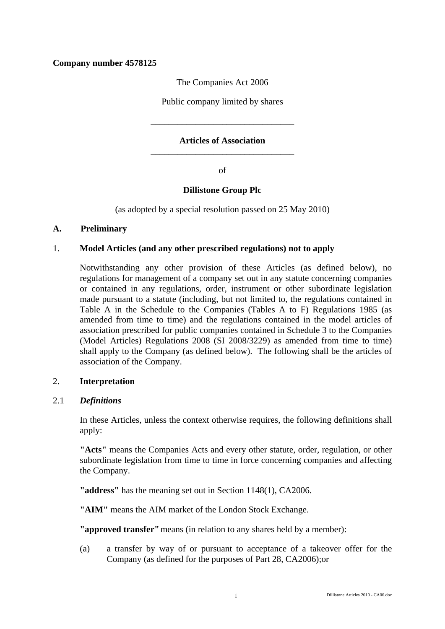# **Company number 4578125**

The Companies Act 2006

Public company limited by shares

## **Articles of Association \_\_\_\_\_\_\_\_\_\_\_\_\_\_\_\_\_\_\_\_\_\_\_\_\_\_\_\_\_\_\_\_**

\_\_\_\_\_\_\_\_\_\_\_\_\_\_\_\_\_\_\_\_\_\_\_\_\_\_\_\_\_\_\_\_

of

## **Dillistone Group Plc**

(as adopted by a special resolution passed on 25 May 2010)

## **A. Preliminary**

## 1. **Model Articles (and any other prescribed regulations) not to apply**

Notwithstanding any other provision of these Articles (as defined below), no regulations for management of a company set out in any statute concerning companies or contained in any regulations, order, instrument or other subordinate legislation made pursuant to a statute (including, but not limited to, the regulations contained in Table A in the Schedule to the Companies (Tables A to F) Regulations 1985 (as amended from time to time) and the regulations contained in the model articles of association prescribed for public companies contained in Schedule 3 to the Companies (Model Articles) Regulations 2008 (SI 2008/3229) as amended from time to time) shall apply to the Company (as defined below). The following shall be the articles of association of the Company.

## 2. **Interpretation**

## 2.1 *Definitions*

In these Articles, unless the context otherwise requires, the following definitions shall apply:

**"Acts"** means the Companies Acts and every other statute, order, regulation, or other subordinate legislation from time to time in force concerning companies and affecting the Company.

**"address"** has the meaning set out in Section 1148(1), CA2006.

**"AIM"** means the AIM market of the London Stock Exchange.

**"approved transfer"** means (in relation to any shares held by a member):

(a) a transfer by way of or pursuant to acceptance of a takeover offer for the Company (as defined for the purposes of Part 28, CA2006);or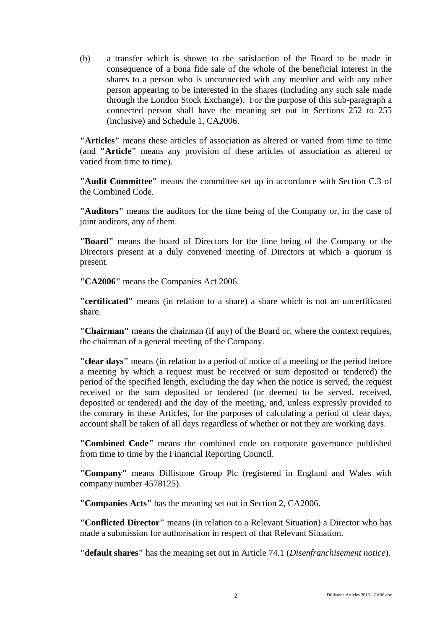(b) a transfer which is shown to the satisfaction of the Board to be made in consequence of a bona fide sale of the whole of the beneficial interest in the shares to a person who is unconnected with any member and with any other person appearing to be interested in the shares (including any such sale made through the London Stock Exchange). For the purpose of this sub-paragraph a connected person shall have the meaning set out in Sections 252 to 255 (inclusive) and Schedule 1, CA2006.

**"Articles"** means these articles of association as altered or varied from time to time (and **"Article"** means any provision of these articles of association as altered or varied from time to time).

**"Audit Committee"** means the committee set up in accordance with Section C.3 of the Combined Code.

**"Auditors"** means the auditors for the time being of the Company or, in the case of joint auditors, any of them.

**"Board"** means the board of Directors for the time being of the Company or the Directors present at a duly convened meeting of Directors at which a quorum is present.

**"CA2006"** means the Companies Act 2006.

**"certificated"** means (in relation to a share) a share which is not an uncertificated share.

**"Chairman"** means the chairman (if any) of the Board or, where the context requires, the chairman of a general meeting of the Company.

**"clear days"** means (in relation to a period of notice of a meeting or the period before a meeting by which a request must be received or sum deposited or tendered) the period of the specified length, excluding the day when the notice is served, the request received or the sum deposited or tendered (or deemed to be served, received, deposited or tendered) and the day of the meeting, and, unless expressly provided to the contrary in these Articles, for the purposes of calculating a period of clear days, account shall be taken of all days regardless of whether or not they are working days.

**"Combined Code"** means the combined code on corporate governance published from time to time by the Financial Reporting Council.

**"Company"** means Dillistone Group Plc (registered in England and Wales with company number 4578125).

**"Companies Acts"** has the meaning set out in Section 2, CA2006.

**"Conflicted Director"** means (in relation to a Relevant Situation) a Director who has made a submission for authorisation in respect of that Relevant Situation.

**"default shares"** has the meaning set out in Article 74.1 (*Disenfranchisement notice*).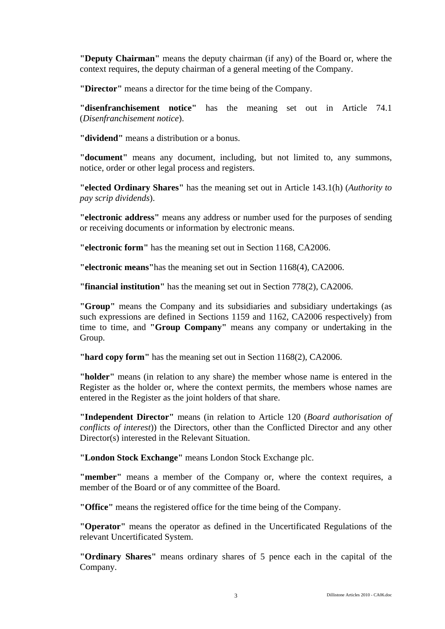**"Deputy Chairman"** means the deputy chairman (if any) of the Board or, where the context requires, the deputy chairman of a general meeting of the Company.

**"Director"** means a director for the time being of the Company.

**"disenfranchisement notice"** has the meaning set out in Article 74.1 (*Disenfranchisement notice*).

**"dividend"** means a distribution or a bonus.

**"document"** means any document, including, but not limited to, any summons, notice, order or other legal process and registers.

**"elected Ordinary Shares"** has the meaning set out in Article 143.1(h) (*Authority to pay scrip dividends*).

**"electronic address"** means any address or number used for the purposes of sending or receiving documents or information by electronic means.

**"electronic form"** has the meaning set out in Section 1168, CA2006.

**"electronic means"**has the meaning set out in Section 1168(4), CA2006.

**"financial institution"** has the meaning set out in Section 778(2), CA2006.

**"Group"** means the Company and its subsidiaries and subsidiary undertakings (as such expressions are defined in Sections 1159 and 1162, CA2006 respectively) from time to time, and **"Group Company"** means any company or undertaking in the Group.

**"hard copy form"** has the meaning set out in Section 1168(2), CA2006.

**"holder"** means (in relation to any share) the member whose name is entered in the Register as the holder or, where the context permits, the members whose names are entered in the Register as the joint holders of that share.

**"Independent Director"** means (in relation to Article 120 (*Board authorisation of conflicts of interest*)) the Directors, other than the Conflicted Director and any other Director(s) interested in the Relevant Situation.

**"London Stock Exchange"** means London Stock Exchange plc.

**"member"** means a member of the Company or, where the context requires, a member of the Board or of any committee of the Board.

**"Office"** means the registered office for the time being of the Company.

**"Operator"** means the operator as defined in the Uncertificated Regulations of the relevant Uncertificated System.

**"Ordinary Shares"** means ordinary shares of 5 pence each in the capital of the Company.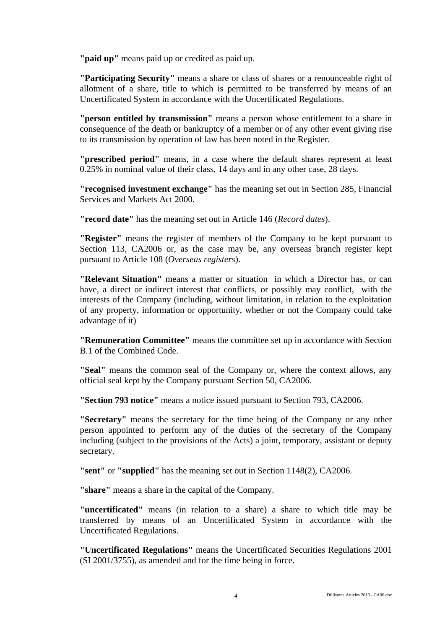**"paid up"** means paid up or credited as paid up.

**"Participating Security"** means a share or class of shares or a renounceable right of allotment of a share, title to which is permitted to be transferred by means of an Uncertificated System in accordance with the Uncertificated Regulations.

**"person entitled by transmission"** means a person whose entitlement to a share in consequence of the death or bankruptcy of a member or of any other event giving rise to its transmission by operation of law has been noted in the Register.

**"prescribed period"** means, in a case where the default shares represent at least 0.25% in nominal value of their class, 14 days and in any other case, 28 days.

**"recognised investment exchange"** has the meaning set out in Section 285, Financial Services and Markets Act 2000.

**"record date"** has the meaning set out in Article 146 (*Record dates*).

**"Register"** means the register of members of the Company to be kept pursuant to Section 113, CA2006 or, as the case may be, any overseas branch register kept pursuant to Article 108 (*Overseas registers*).

**"Relevant Situation"** means a matter or situation in which a Director has, or can have, a direct or indirect interest that conflicts, or possibly may conflict, with the interests of the Company (including, without limitation, in relation to the exploitation of any property, information or opportunity, whether or not the Company could take advantage of it)

**"Remuneration Committee"** means the committee set up in accordance with Section B.1 of the Combined Code.

**"Seal"** means the common seal of the Company or, where the context allows, any official seal kept by the Company pursuant Section 50, CA2006.

**"Section 793 notice"** means a notice issued pursuant to Section 793, CA2006.

**"Secretary"** means the secretary for the time being of the Company or any other person appointed to perform any of the duties of the secretary of the Company including (subject to the provisions of the Acts) a joint, temporary, assistant or deputy secretary.

**"sent"** or **"supplied"** has the meaning set out in Section 1148(2), CA2006.

**"share"** means a share in the capital of the Company.

**"uncertificated"** means (in relation to a share) a share to which title may be transferred by means of an Uncertificated System in accordance with the Uncertificated Regulations.

**"Uncertificated Regulations"** means the Uncertificated Securities Regulations 2001 (SI 2001/3755), as amended and for the time being in force.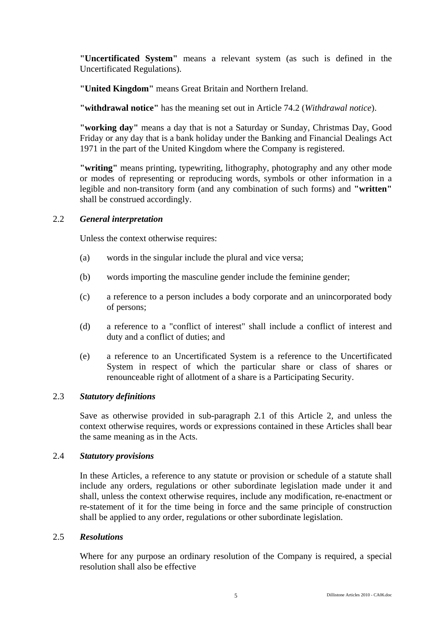**"Uncertificated System"** means a relevant system (as such is defined in the Uncertificated Regulations).

**"United Kingdom"** means Great Britain and Northern Ireland.

**"withdrawal notice"** has the meaning set out in Article 74.2 (*Withdrawal notice*).

**"working day"** means a day that is not a Saturday or Sunday, Christmas Day, Good Friday or any day that is a bank holiday under the Banking and Financial Dealings Act 1971 in the part of the United Kingdom where the Company is registered.

**"writing"** means printing, typewriting, lithography, photography and any other mode or modes of representing or reproducing words, symbols or other information in a legible and non-transitory form (and any combination of such forms) and **"written"** shall be construed accordingly.

## 2.2 *General interpretation*

Unless the context otherwise requires:

- (a) words in the singular include the plural and vice versa;
- (b) words importing the masculine gender include the feminine gender;
- (c) a reference to a person includes a body corporate and an unincorporated body of persons;
- (d) a reference to a "conflict of interest" shall include a conflict of interest and duty and a conflict of duties; and
- (e) a reference to an Uncertificated System is a reference to the Uncertificated System in respect of which the particular share or class of shares or renounceable right of allotment of a share is a Participating Security.

## 2.3 *Statutory definitions*

Save as otherwise provided in sub-paragraph 2.1 of this Article 2, and unless the context otherwise requires, words or expressions contained in these Articles shall bear the same meaning as in the Acts.

## 2.4 *Statutory provisions*

In these Articles, a reference to any statute or provision or schedule of a statute shall include any orders, regulations or other subordinate legislation made under it and shall, unless the context otherwise requires, include any modification, re-enactment or re-statement of it for the time being in force and the same principle of construction shall be applied to any order, regulations or other subordinate legislation.

## 2.5 *Resolutions*

Where for any purpose an ordinary resolution of the Company is required, a special resolution shall also be effective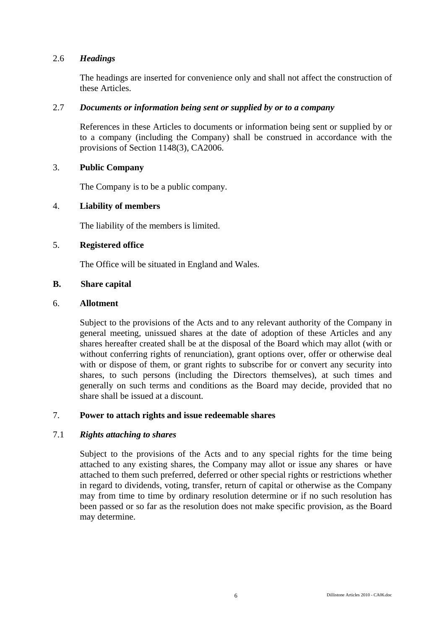## 2.6 *Headings*

The headings are inserted for convenience only and shall not affect the construction of these Articles.

## 2.7 *Documents or information being sent or supplied by or to a company*

References in these Articles to documents or information being sent or supplied by or to a company (including the Company) shall be construed in accordance with the provisions of Section 1148(3), CA2006.

## 3. **Public Company**

The Company is to be a public company.

## 4. **Liability of members**

The liability of the members is limited.

## 5. **Registered office**

The Office will be situated in England and Wales.

## **B. Share capital**

## 6. **Allotment**

Subject to the provisions of the Acts and to any relevant authority of the Company in general meeting, unissued shares at the date of adoption of these Articles and any shares hereafter created shall be at the disposal of the Board which may allot (with or without conferring rights of renunciation), grant options over, offer or otherwise deal with or dispose of them, or grant rights to subscribe for or convert any security into shares, to such persons (including the Directors themselves), at such times and generally on such terms and conditions as the Board may decide, provided that no share shall be issued at a discount.

## 7. **Power to attach rights and issue redeemable shares**

## 7.1 *Rights attaching to shares*

Subject to the provisions of the Acts and to any special rights for the time being attached to any existing shares, the Company may allot or issue any shares or have attached to them such preferred, deferred or other special rights or restrictions whether in regard to dividends, voting, transfer, return of capital or otherwise as the Company may from time to time by ordinary resolution determine or if no such resolution has been passed or so far as the resolution does not make specific provision, as the Board may determine.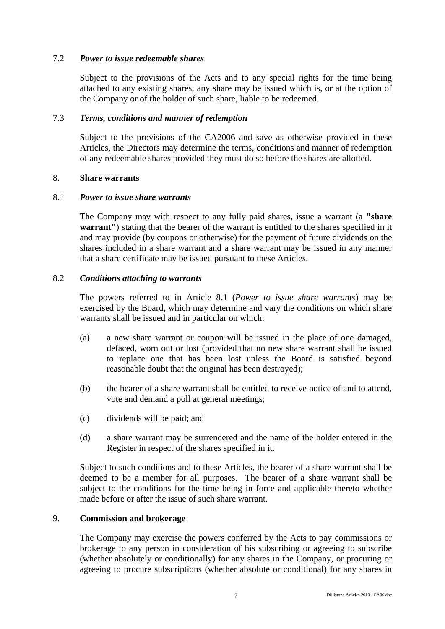## 7.2 *Power to issue redeemable shares*

Subject to the provisions of the Acts and to any special rights for the time being attached to any existing shares, any share may be issued which is, or at the option of the Company or of the holder of such share, liable to be redeemed.

## 7.3 *Terms, conditions and manner of redemption*

Subject to the provisions of the CA2006 and save as otherwise provided in these Articles, the Directors may determine the terms, conditions and manner of redemption of any redeemable shares provided they must do so before the shares are allotted.

## 8. **Share warrants**

## 8.1 *Power to issue share warrants*

The Company may with respect to any fully paid shares, issue a warrant (a **"share warrant"**) stating that the bearer of the warrant is entitled to the shares specified in it and may provide (by coupons or otherwise) for the payment of future dividends on the shares included in a share warrant and a share warrant may be issued in any manner that a share certificate may be issued pursuant to these Articles.

## 8.2 *Conditions attaching to warrants*

The powers referred to in Article 8.1 (*Power to issue share warrants*) may be exercised by the Board, which may determine and vary the conditions on which share warrants shall be issued and in particular on which:

- (a) a new share warrant or coupon will be issued in the place of one damaged, defaced, worn out or lost (provided that no new share warrant shall be issued to replace one that has been lost unless the Board is satisfied beyond reasonable doubt that the original has been destroyed);
- (b) the bearer of a share warrant shall be entitled to receive notice of and to attend, vote and demand a poll at general meetings;
- (c) dividends will be paid; and
- (d) a share warrant may be surrendered and the name of the holder entered in the Register in respect of the shares specified in it.

Subject to such conditions and to these Articles, the bearer of a share warrant shall be deemed to be a member for all purposes. The bearer of a share warrant shall be subject to the conditions for the time being in force and applicable thereto whether made before or after the issue of such share warrant.

## 9. **Commission and brokerage**

The Company may exercise the powers conferred by the Acts to pay commissions or brokerage to any person in consideration of his subscribing or agreeing to subscribe (whether absolutely or conditionally) for any shares in the Company, or procuring or agreeing to procure subscriptions (whether absolute or conditional) for any shares in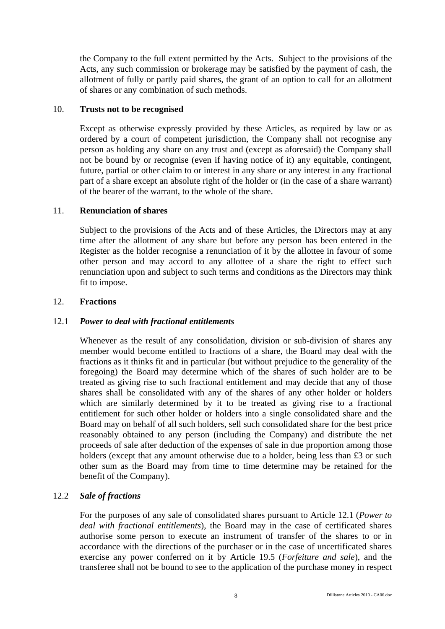the Company to the full extent permitted by the Acts. Subject to the provisions of the Acts, any such commission or brokerage may be satisfied by the payment of cash, the allotment of fully or partly paid shares, the grant of an option to call for an allotment of shares or any combination of such methods.

# 10. **Trusts not to be recognised**

Except as otherwise expressly provided by these Articles, as required by law or as ordered by a court of competent jurisdiction, the Company shall not recognise any person as holding any share on any trust and (except as aforesaid) the Company shall not be bound by or recognise (even if having notice of it) any equitable, contingent, future, partial or other claim to or interest in any share or any interest in any fractional part of a share except an absolute right of the holder or (in the case of a share warrant) of the bearer of the warrant, to the whole of the share.

## 11. **Renunciation of shares**

Subject to the provisions of the Acts and of these Articles, the Directors may at any time after the allotment of any share but before any person has been entered in the Register as the holder recognise a renunciation of it by the allottee in favour of some other person and may accord to any allottee of a share the right to effect such renunciation upon and subject to such terms and conditions as the Directors may think fit to impose.

## 12. **Fractions**

# 12.1 *Power to deal with fractional entitlements*

Whenever as the result of any consolidation, division or sub-division of shares any member would become entitled to fractions of a share, the Board may deal with the fractions as it thinks fit and in particular (but without prejudice to the generality of the foregoing) the Board may determine which of the shares of such holder are to be treated as giving rise to such fractional entitlement and may decide that any of those shares shall be consolidated with any of the shares of any other holder or holders which are similarly determined by it to be treated as giving rise to a fractional entitlement for such other holder or holders into a single consolidated share and the Board may on behalf of all such holders, sell such consolidated share for the best price reasonably obtained to any person (including the Company) and distribute the net proceeds of sale after deduction of the expenses of sale in due proportion among those holders (except that any amount otherwise due to a holder, being less than £3 or such other sum as the Board may from time to time determine may be retained for the benefit of the Company).

# 12.2 *Sale of fractions*

For the purposes of any sale of consolidated shares pursuant to Article 12.1 (*Power to deal with fractional entitlements*), the Board may in the case of certificated shares authorise some person to execute an instrument of transfer of the shares to or in accordance with the directions of the purchaser or in the case of uncertificated shares exercise any power conferred on it by Article 19.5 (*Forfeiture and sale*), and the transferee shall not be bound to see to the application of the purchase money in respect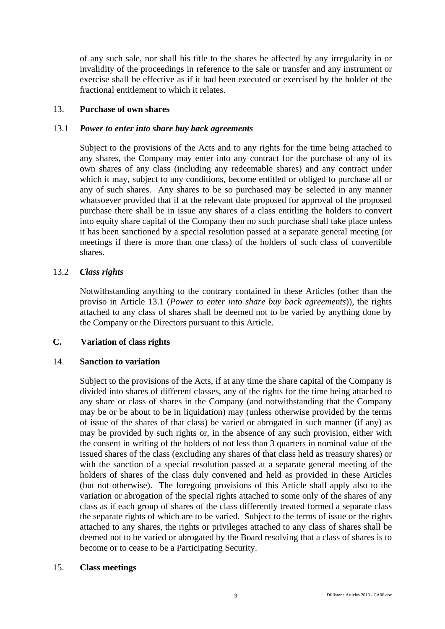of any such sale, nor shall his title to the shares be affected by any irregularity in or invalidity of the proceedings in reference to the sale or transfer and any instrument or exercise shall be effective as if it had been executed or exercised by the holder of the fractional entitlement to which it relates.

## 13. **Purchase of own shares**

# 13.1 *Power to enter into share buy back agreements*

Subject to the provisions of the Acts and to any rights for the time being attached to any shares, the Company may enter into any contract for the purchase of any of its own shares of any class (including any redeemable shares) and any contract under which it may, subject to any conditions, become entitled or obliged to purchase all or any of such shares. Any shares to be so purchased may be selected in any manner whatsoever provided that if at the relevant date proposed for approval of the proposed purchase there shall be in issue any shares of a class entitling the holders to convert into equity share capital of the Company then no such purchase shall take place unless it has been sanctioned by a special resolution passed at a separate general meeting (or meetings if there is more than one class) of the holders of such class of convertible shares.

## 13.2 *Class rights*

Notwithstanding anything to the contrary contained in these Articles (other than the proviso in Article 13.1 (*Power to enter into share buy back agreements*)), the rights attached to any class of shares shall be deemed not to be varied by anything done by the Company or the Directors pursuant to this Article.

## **C. Variation of class rights**

## 14. **Sanction to variation**

Subject to the provisions of the Acts, if at any time the share capital of the Company is divided into shares of different classes, any of the rights for the time being attached to any share or class of shares in the Company (and notwithstanding that the Company may be or be about to be in liquidation) may (unless otherwise provided by the terms of issue of the shares of that class) be varied or abrogated in such manner (if any) as may be provided by such rights or, in the absence of any such provision, either with the consent in writing of the holders of not less than 3 quarters in nominal value of the issued shares of the class (excluding any shares of that class held as treasury shares) or with the sanction of a special resolution passed at a separate general meeting of the holders of shares of the class duly convened and held as provided in these Articles (but not otherwise). The foregoing provisions of this Article shall apply also to the variation or abrogation of the special rights attached to some only of the shares of any class as if each group of shares of the class differently treated formed a separate class the separate rights of which are to be varied. Subject to the terms of issue or the rights attached to any shares, the rights or privileges attached to any class of shares shall be deemed not to be varied or abrogated by the Board resolving that a class of shares is to become or to cease to be a Participating Security.

## 15. **Class meetings**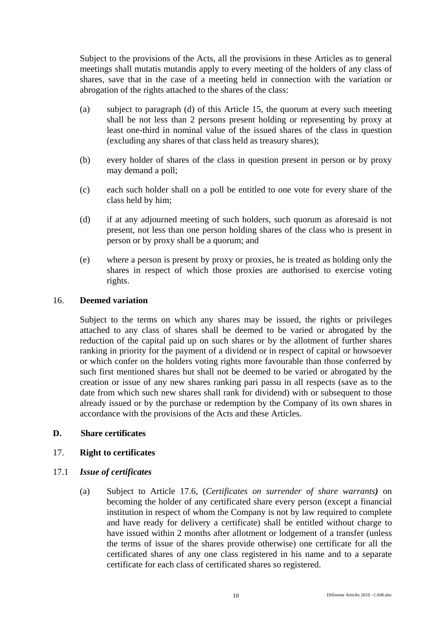Subject to the provisions of the Acts, all the provisions in these Articles as to general meetings shall mutatis mutandis apply to every meeting of the holders of any class of shares, save that in the case of a meeting held in connection with the variation or abrogation of the rights attached to the shares of the class:

- (a) subject to paragraph (d) of this Article 15, the quorum at every such meeting shall be not less than 2 persons present holding or representing by proxy at least one-third in nominal value of the issued shares of the class in question (excluding any shares of that class held as treasury shares);
- (b) every holder of shares of the class in question present in person or by proxy may demand a poll;
- (c) each such holder shall on a poll be entitled to one vote for every share of the class held by him;
- (d) if at any adjourned meeting of such holders, such quorum as aforesaid is not present, not less than one person holding shares of the class who is present in person or by proxy shall be a quorum; and
- (e) where a person is present by proxy or proxies, he is treated as holding only the shares in respect of which those proxies are authorised to exercise voting rights.

## 16. **Deemed variation**

Subject to the terms on which any shares may be issued, the rights or privileges attached to any class of shares shall be deemed to be varied or abrogated by the reduction of the capital paid up on such shares or by the allotment of further shares ranking in priority for the payment of a dividend or in respect of capital or howsoever or which confer on the holders voting rights more favourable than those conferred by such first mentioned shares but shall not be deemed to be varied or abrogated by the creation or issue of any new shares ranking pari passu in all respects (save as to the date from which such new shares shall rank for dividend) with or subsequent to those already issued or by the purchase or redemption by the Company of its own shares in accordance with the provisions of the Acts and these Articles.

## **D. Share certificates**

## 17. **Right to certificates**

## 17.1 *Issue of certificates*

(a) Subject to Article 17.6, (*Certificates on surrender of share warrants)* on becoming the holder of any certificated share every person (except a financial institution in respect of whom the Company is not by law required to complete and have ready for delivery a certificate) shall be entitled without charge to have issued within 2 months after allotment or lodgement of a transfer (unless the terms of issue of the shares provide otherwise) one certificate for all the certificated shares of any one class registered in his name and to a separate certificate for each class of certificated shares so registered.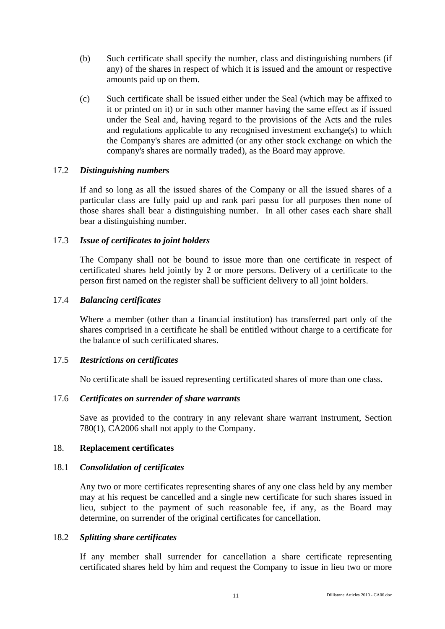- (b) Such certificate shall specify the number, class and distinguishing numbers (if any) of the shares in respect of which it is issued and the amount or respective amounts paid up on them.
- (c) Such certificate shall be issued either under the Seal (which may be affixed to it or printed on it) or in such other manner having the same effect as if issued under the Seal and, having regard to the provisions of the Acts and the rules and regulations applicable to any recognised investment exchange(s) to which the Company's shares are admitted (or any other stock exchange on which the company's shares are normally traded), as the Board may approve.

#### 17.2 *Distinguishing numbers*

If and so long as all the issued shares of the Company or all the issued shares of a particular class are fully paid up and rank pari passu for all purposes then none of those shares shall bear a distinguishing number. In all other cases each share shall bear a distinguishing number.

## 17.3 *Issue of certificates to joint holders*

The Company shall not be bound to issue more than one certificate in respect of certificated shares held jointly by 2 or more persons. Delivery of a certificate to the person first named on the register shall be sufficient delivery to all joint holders.

#### 17.4 *Balancing certificates*

Where a member (other than a financial institution) has transferred part only of the shares comprised in a certificate he shall be entitled without charge to a certificate for the balance of such certificated shares.

## 17.5 *Restrictions on certificates*

No certificate shall be issued representing certificated shares of more than one class.

## 17.6 *Certificates on surrender of share warrants*

Save as provided to the contrary in any relevant share warrant instrument, Section 780(1), CA2006 shall not apply to the Company.

#### 18. **Replacement certificates**

## 18.1 *Consolidation of certificates*

Any two or more certificates representing shares of any one class held by any member may at his request be cancelled and a single new certificate for such shares issued in lieu, subject to the payment of such reasonable fee, if any, as the Board may determine, on surrender of the original certificates for cancellation.

#### 18.2 *Splitting share certificates*

If any member shall surrender for cancellation a share certificate representing certificated shares held by him and request the Company to issue in lieu two or more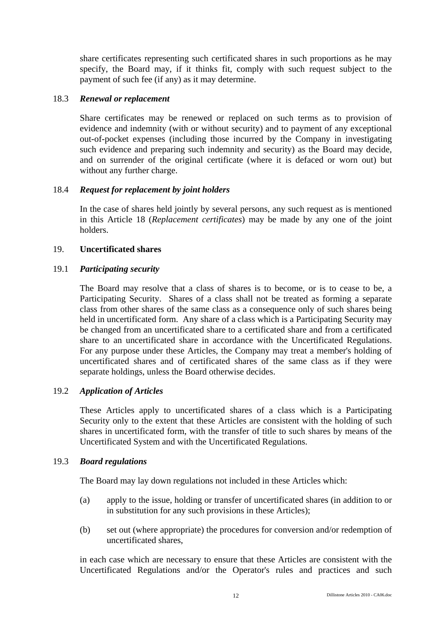share certificates representing such certificated shares in such proportions as he may specify, the Board may, if it thinks fit, comply with such request subject to the payment of such fee (if any) as it may determine.

## 18.3 *Renewal or replacement*

Share certificates may be renewed or replaced on such terms as to provision of evidence and indemnity (with or without security) and to payment of any exceptional out-of-pocket expenses (including those incurred by the Company in investigating such evidence and preparing such indemnity and security) as the Board may decide, and on surrender of the original certificate (where it is defaced or worn out) but without any further charge.

## 18.4 *Request for replacement by joint holders*

In the case of shares held jointly by several persons, any such request as is mentioned in this Article 18 (*Replacement certificates*) may be made by any one of the joint holders.

## 19. **Uncertificated shares**

## 19.1 *Participating security*

The Board may resolve that a class of shares is to become, or is to cease to be, a Participating Security. Shares of a class shall not be treated as forming a separate class from other shares of the same class as a consequence only of such shares being held in uncertificated form. Any share of a class which is a Participating Security may be changed from an uncertificated share to a certificated share and from a certificated share to an uncertificated share in accordance with the Uncertificated Regulations. For any purpose under these Articles, the Company may treat a member's holding of uncertificated shares and of certificated shares of the same class as if they were separate holdings, unless the Board otherwise decides.

# 19.2 *Application of Articles*

These Articles apply to uncertificated shares of a class which is a Participating Security only to the extent that these Articles are consistent with the holding of such shares in uncertificated form, with the transfer of title to such shares by means of the Uncertificated System and with the Uncertificated Regulations.

## 19.3 *Board regulations*

The Board may lay down regulations not included in these Articles which:

- (a) apply to the issue, holding or transfer of uncertificated shares (in addition to or in substitution for any such provisions in these Articles);
- (b) set out (where appropriate) the procedures for conversion and/or redemption of uncertificated shares,

in each case which are necessary to ensure that these Articles are consistent with the Uncertificated Regulations and/or the Operator's rules and practices and such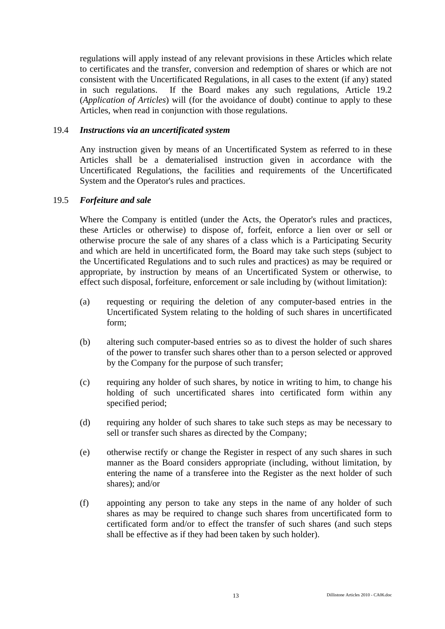regulations will apply instead of any relevant provisions in these Articles which relate to certificates and the transfer, conversion and redemption of shares or which are not consistent with the Uncertificated Regulations, in all cases to the extent (if any) stated in such regulations. If the Board makes any such regulations, Article 19.2 (*Application of Articles*) will (for the avoidance of doubt) continue to apply to these Articles, when read in conjunction with those regulations.

## 19.4 *Instructions via an uncertificated system*

Any instruction given by means of an Uncertificated System as referred to in these Articles shall be a dematerialised instruction given in accordance with the Uncertificated Regulations, the facilities and requirements of the Uncertificated System and the Operator's rules and practices.

## 19.5 *Forfeiture and sale*

Where the Company is entitled (under the Acts, the Operator's rules and practices, these Articles or otherwise) to dispose of, forfeit, enforce a lien over or sell or otherwise procure the sale of any shares of a class which is a Participating Security and which are held in uncertificated form, the Board may take such steps (subject to the Uncertificated Regulations and to such rules and practices) as may be required or appropriate, by instruction by means of an Uncertificated System or otherwise, to effect such disposal, forfeiture, enforcement or sale including by (without limitation):

- (a) requesting or requiring the deletion of any computer-based entries in the Uncertificated System relating to the holding of such shares in uncertificated form;
- (b) altering such computer-based entries so as to divest the holder of such shares of the power to transfer such shares other than to a person selected or approved by the Company for the purpose of such transfer;
- (c) requiring any holder of such shares, by notice in writing to him, to change his holding of such uncertificated shares into certificated form within any specified period;
- (d) requiring any holder of such shares to take such steps as may be necessary to sell or transfer such shares as directed by the Company;
- (e) otherwise rectify or change the Register in respect of any such shares in such manner as the Board considers appropriate (including, without limitation, by entering the name of a transferee into the Register as the next holder of such shares); and/or
- (f) appointing any person to take any steps in the name of any holder of such shares as may be required to change such shares from uncertificated form to certificated form and/or to effect the transfer of such shares (and such steps shall be effective as if they had been taken by such holder).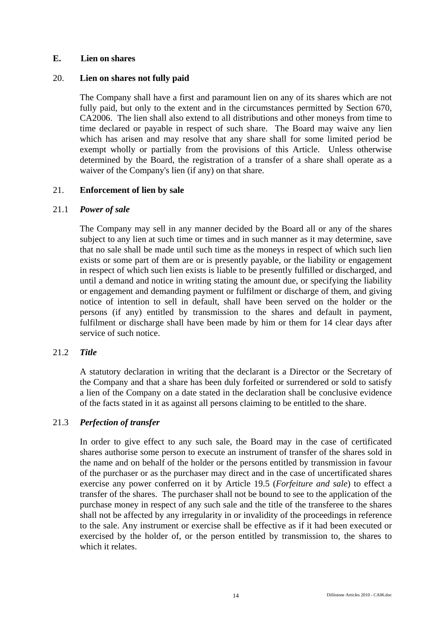## **E. Lien on shares**

## 20. **Lien on shares not fully paid**

The Company shall have a first and paramount lien on any of its shares which are not fully paid, but only to the extent and in the circumstances permitted by Section 670, CA2006. The lien shall also extend to all distributions and other moneys from time to time declared or payable in respect of such share. The Board may waive any lien which has arisen and may resolve that any share shall for some limited period be exempt wholly or partially from the provisions of this Article. Unless otherwise determined by the Board, the registration of a transfer of a share shall operate as a waiver of the Company's lien (if any) on that share.

## 21. **Enforcement of lien by sale**

## 21.1 *Power of sale*

The Company may sell in any manner decided by the Board all or any of the shares subject to any lien at such time or times and in such manner as it may determine, save that no sale shall be made until such time as the moneys in respect of which such lien exists or some part of them are or is presently payable, or the liability or engagement in respect of which such lien exists is liable to be presently fulfilled or discharged, and until a demand and notice in writing stating the amount due, or specifying the liability or engagement and demanding payment or fulfilment or discharge of them, and giving notice of intention to sell in default, shall have been served on the holder or the persons (if any) entitled by transmission to the shares and default in payment, fulfilment or discharge shall have been made by him or them for 14 clear days after service of such notice.

# 21.2 *Title*

A statutory declaration in writing that the declarant is a Director or the Secretary of the Company and that a share has been duly forfeited or surrendered or sold to satisfy a lien of the Company on a date stated in the declaration shall be conclusive evidence of the facts stated in it as against all persons claiming to be entitled to the share.

# 21.3 *Perfection of transfer*

In order to give effect to any such sale, the Board may in the case of certificated shares authorise some person to execute an instrument of transfer of the shares sold in the name and on behalf of the holder or the persons entitled by transmission in favour of the purchaser or as the purchaser may direct and in the case of uncertificated shares exercise any power conferred on it by Article 19.5 (*Forfeiture and sale*) to effect a transfer of the shares. The purchaser shall not be bound to see to the application of the purchase money in respect of any such sale and the title of the transferee to the shares shall not be affected by any irregularity in or invalidity of the proceedings in reference to the sale. Any instrument or exercise shall be effective as if it had been executed or exercised by the holder of, or the person entitled by transmission to, the shares to which it relates.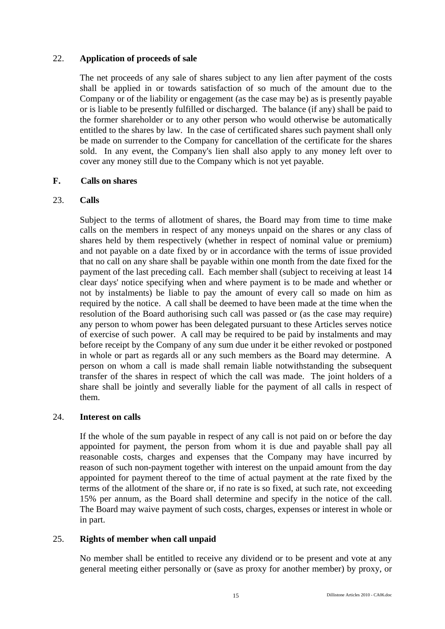## 22. **Application of proceeds of sale**

The net proceeds of any sale of shares subject to any lien after payment of the costs shall be applied in or towards satisfaction of so much of the amount due to the Company or of the liability or engagement (as the case may be) as is presently payable or is liable to be presently fulfilled or discharged. The balance (if any) shall be paid to the former shareholder or to any other person who would otherwise be automatically entitled to the shares by law. In the case of certificated shares such payment shall only be made on surrender to the Company for cancellation of the certificate for the shares sold. In any event, the Company's lien shall also apply to any money left over to cover any money still due to the Company which is not yet payable.

## **F. Calls on shares**

## 23. **Calls**

Subject to the terms of allotment of shares, the Board may from time to time make calls on the members in respect of any moneys unpaid on the shares or any class of shares held by them respectively (whether in respect of nominal value or premium) and not payable on a date fixed by or in accordance with the terms of issue provided that no call on any share shall be payable within one month from the date fixed for the payment of the last preceding call. Each member shall (subject to receiving at least 14 clear days' notice specifying when and where payment is to be made and whether or not by instalments) be liable to pay the amount of every call so made on him as required by the notice. A call shall be deemed to have been made at the time when the resolution of the Board authorising such call was passed or (as the case may require) any person to whom power has been delegated pursuant to these Articles serves notice of exercise of such power. A call may be required to be paid by instalments and may before receipt by the Company of any sum due under it be either revoked or postponed in whole or part as regards all or any such members as the Board may determine. A person on whom a call is made shall remain liable notwithstanding the subsequent transfer of the shares in respect of which the call was made. The joint holders of a share shall be jointly and severally liable for the payment of all calls in respect of them.

## 24. **Interest on calls**

If the whole of the sum payable in respect of any call is not paid on or before the day appointed for payment, the person from whom it is due and payable shall pay all reasonable costs, charges and expenses that the Company may have incurred by reason of such non-payment together with interest on the unpaid amount from the day appointed for payment thereof to the time of actual payment at the rate fixed by the terms of the allotment of the share or, if no rate is so fixed, at such rate, not exceeding 15% per annum, as the Board shall determine and specify in the notice of the call. The Board may waive payment of such costs, charges, expenses or interest in whole or in part.

## 25. **Rights of member when call unpaid**

No member shall be entitled to receive any dividend or to be present and vote at any general meeting either personally or (save as proxy for another member) by proxy, or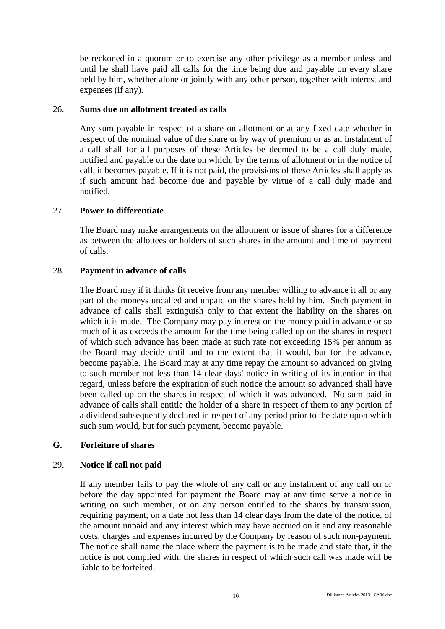be reckoned in a quorum or to exercise any other privilege as a member unless and until he shall have paid all calls for the time being due and payable on every share held by him, whether alone or jointly with any other person, together with interest and expenses (if any).

## 26. **Sums due on allotment treated as calls**

Any sum payable in respect of a share on allotment or at any fixed date whether in respect of the nominal value of the share or by way of premium or as an instalment of a call shall for all purposes of these Articles be deemed to be a call duly made, notified and payable on the date on which, by the terms of allotment or in the notice of call, it becomes payable. If it is not paid, the provisions of these Articles shall apply as if such amount had become due and payable by virtue of a call duly made and notified.

## 27. **Power to differentiate**

The Board may make arrangements on the allotment or issue of shares for a difference as between the allottees or holders of such shares in the amount and time of payment of calls.

## 28. **Payment in advance of calls**

The Board may if it thinks fit receive from any member willing to advance it all or any part of the moneys uncalled and unpaid on the shares held by him. Such payment in advance of calls shall extinguish only to that extent the liability on the shares on which it is made. The Company may pay interest on the money paid in advance or so much of it as exceeds the amount for the time being called up on the shares in respect of which such advance has been made at such rate not exceeding 15% per annum as the Board may decide until and to the extent that it would, but for the advance, become payable. The Board may at any time repay the amount so advanced on giving to such member not less than 14 clear days' notice in writing of its intention in that regard, unless before the expiration of such notice the amount so advanced shall have been called up on the shares in respect of which it was advanced. No sum paid in advance of calls shall entitle the holder of a share in respect of them to any portion of a dividend subsequently declared in respect of any period prior to the date upon which such sum would, but for such payment, become payable.

## **G. Forfeiture of shares**

## 29. **Notice if call not paid**

If any member fails to pay the whole of any call or any instalment of any call on or before the day appointed for payment the Board may at any time serve a notice in writing on such member, or on any person entitled to the shares by transmission, requiring payment, on a date not less than 14 clear days from the date of the notice, of the amount unpaid and any interest which may have accrued on it and any reasonable costs, charges and expenses incurred by the Company by reason of such non-payment. The notice shall name the place where the payment is to be made and state that, if the notice is not complied with, the shares in respect of which such call was made will be liable to be forfeited.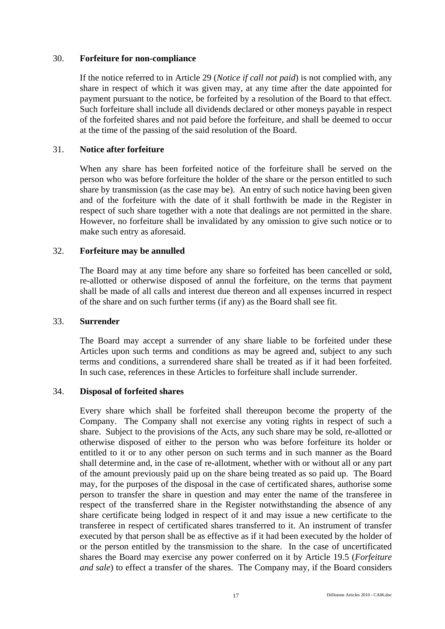## 30. **Forfeiture for non-compliance**

If the notice referred to in Article 29 (*Notice if call not paid*) is not complied with, any share in respect of which it was given may, at any time after the date appointed for payment pursuant to the notice, be forfeited by a resolution of the Board to that effect. Such forfeiture shall include all dividends declared or other moneys payable in respect of the forfeited shares and not paid before the forfeiture, and shall be deemed to occur at the time of the passing of the said resolution of the Board.

## 31. **Notice after forfeiture**

When any share has been forfeited notice of the forfeiture shall be served on the person who was before forfeiture the holder of the share or the person entitled to such share by transmission (as the case may be). An entry of such notice having been given and of the forfeiture with the date of it shall forthwith be made in the Register in respect of such share together with a note that dealings are not permitted in the share. However, no forfeiture shall be invalidated by any omission to give such notice or to make such entry as aforesaid.

## 32. **Forfeiture may be annulled**

The Board may at any time before any share so forfeited has been cancelled or sold, re-allotted or otherwise disposed of annul the forfeiture, on the terms that payment shall be made of all calls and interest due thereon and all expenses incurred in respect of the share and on such further terms (if any) as the Board shall see fit.

## 33. **Surrender**

The Board may accept a surrender of any share liable to be forfeited under these Articles upon such terms and conditions as may be agreed and, subject to any such terms and conditions, a surrendered share shall be treated as if it had been forfeited. In such case, references in these Articles to forfeiture shall include surrender.

## 34. **Disposal of forfeited shares**

Every share which shall be forfeited shall thereupon become the property of the Company. The Company shall not exercise any voting rights in respect of such a share. Subject to the provisions of the Acts, any such share may be sold, re-allotted or otherwise disposed of either to the person who was before forfeiture its holder or entitled to it or to any other person on such terms and in such manner as the Board shall determine and, in the case of re-allotment, whether with or without all or any part of the amount previously paid up on the share being treated as so paid up. The Board may, for the purposes of the disposal in the case of certificated shares, authorise some person to transfer the share in question and may enter the name of the transferee in respect of the transferred share in the Register notwithstanding the absence of any share certificate being lodged in respect of it and may issue a new certificate to the transferee in respect of certificated shares transferred to it. An instrument of transfer executed by that person shall be as effective as if it had been executed by the holder of or the person entitled by the transmission to the share. In the case of uncertificated shares the Board may exercise any power conferred on it by Article 19.5 (*Forfeiture and sale*) to effect a transfer of the shares. The Company may, if the Board considers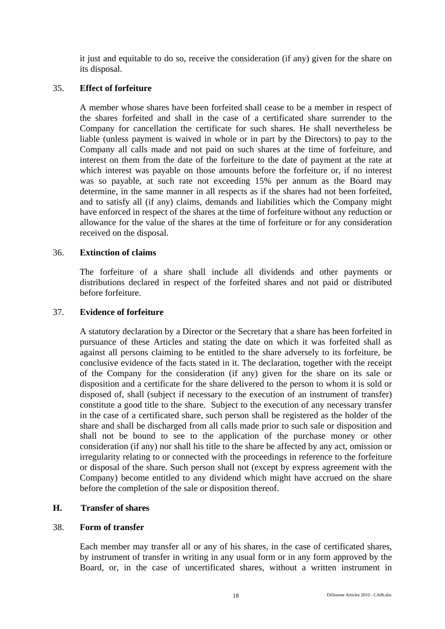it just and equitable to do so, receive the consideration (if any) given for the share on its disposal.

## 35. **Effect of forfeiture**

A member whose shares have been forfeited shall cease to be a member in respect of the shares forfeited and shall in the case of a certificated share surrender to the Company for cancellation the certificate for such shares. He shall nevertheless be liable (unless payment is waived in whole or in part by the Directors) to pay to the Company all calls made and not paid on such shares at the time of forfeiture, and interest on them from the date of the forfeiture to the date of payment at the rate at which interest was payable on those amounts before the forfeiture or, if no interest was so payable, at such rate not exceeding 15% per annum as the Board may determine, in the same manner in all respects as if the shares had not been forfeited, and to satisfy all (if any) claims, demands and liabilities which the Company might have enforced in respect of the shares at the time of forfeiture without any reduction or allowance for the value of the shares at the time of forfeiture or for any consideration received on the disposal.

#### 36. **Extinction of claims**

The forfeiture of a share shall include all dividends and other payments or distributions declared in respect of the forfeited shares and not paid or distributed before forfeiture.

#### 37. **Evidence of forfeiture**

A statutory declaration by a Director or the Secretary that a share has been forfeited in pursuance of these Articles and stating the date on which it was forfeited shall as against all persons claiming to be entitled to the share adversely to its forfeiture, be conclusive evidence of the facts stated in it. The declaration, together with the receipt of the Company for the consideration (if any) given for the share on its sale or disposition and a certificate for the share delivered to the person to whom it is sold or disposed of, shall (subject if necessary to the execution of an instrument of transfer) constitute a good title to the share. Subject to the execution of any necessary transfer in the case of a certificated share, such person shall be registered as the holder of the share and shall be discharged from all calls made prior to such sale or disposition and shall not be bound to see to the application of the purchase money or other consideration (if any) nor shall his title to the share be affected by any act, omission or irregularity relating to or connected with the proceedings in reference to the forfeiture or disposal of the share. Such person shall not (except by express agreement with the Company) become entitled to any dividend which might have accrued on the share before the completion of the sale or disposition thereof.

## **H. Transfer of shares**

#### 38. **Form of transfer**

Each member may transfer all or any of his shares, in the case of certificated shares, by instrument of transfer in writing in any usual form or in any form approved by the Board, or, in the case of uncertificated shares, without a written instrument in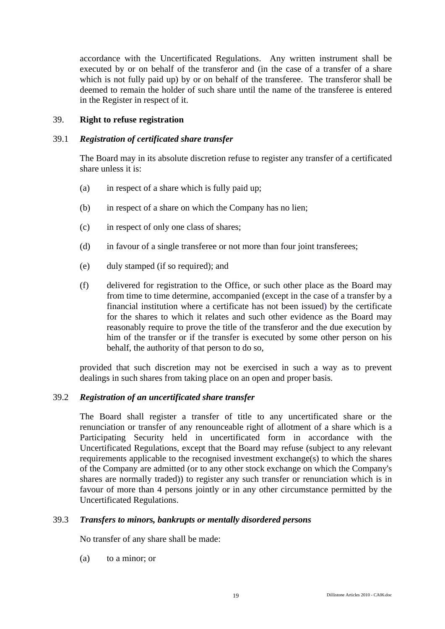accordance with the Uncertificated Regulations. Any written instrument shall be executed by or on behalf of the transferor and (in the case of a transfer of a share which is not fully paid up) by or on behalf of the transferee. The transferor shall be deemed to remain the holder of such share until the name of the transferee is entered in the Register in respect of it.

## 39. **Right to refuse registration**

## 39.1 *Registration of certificated share transfer*

The Board may in its absolute discretion refuse to register any transfer of a certificated share unless it is:

- (a) in respect of a share which is fully paid up;
- (b) in respect of a share on which the Company has no lien;
- (c) in respect of only one class of shares;
- (d) in favour of a single transferee or not more than four joint transferees;
- (e) duly stamped (if so required); and
- (f) delivered for registration to the Office, or such other place as the Board may from time to time determine, accompanied (except in the case of a transfer by a financial institution where a certificate has not been issued) by the certificate for the shares to which it relates and such other evidence as the Board may reasonably require to prove the title of the transferor and the due execution by him of the transfer or if the transfer is executed by some other person on his behalf, the authority of that person to do so,

provided that such discretion may not be exercised in such a way as to prevent dealings in such shares from taking place on an open and proper basis.

## 39.2 *Registration of an uncertificated share transfer*

The Board shall register a transfer of title to any uncertificated share or the renunciation or transfer of any renounceable right of allotment of a share which is a Participating Security held in uncertificated form in accordance with the Uncertificated Regulations, except that the Board may refuse (subject to any relevant requirements applicable to the recognised investment exchange(s) to which the shares of the Company are admitted (or to any other stock exchange on which the Company's shares are normally traded)) to register any such transfer or renunciation which is in favour of more than 4 persons jointly or in any other circumstance permitted by the Uncertificated Regulations.

## 39.3 *Transfers to minors, bankrupts or mentally disordered persons*

No transfer of any share shall be made:

(a) to a minor; or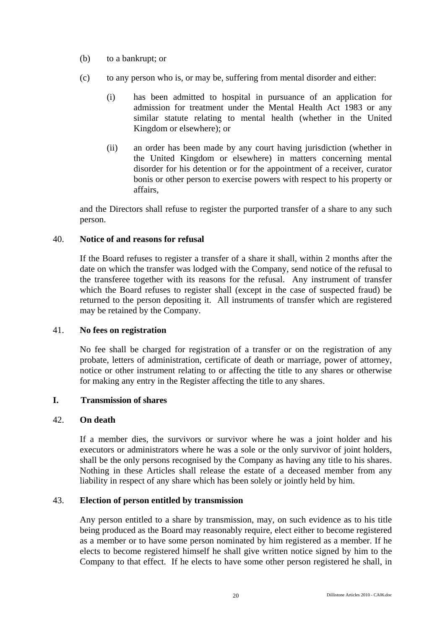- (b) to a bankrupt; or
- (c) to any person who is, or may be, suffering from mental disorder and either:
	- (i) has been admitted to hospital in pursuance of an application for admission for treatment under the Mental Health Act 1983 or any similar statute relating to mental health (whether in the United Kingdom or elsewhere); or
	- (ii) an order has been made by any court having jurisdiction (whether in the United Kingdom or elsewhere) in matters concerning mental disorder for his detention or for the appointment of a receiver, curator bonis or other person to exercise powers with respect to his property or affairs,

and the Directors shall refuse to register the purported transfer of a share to any such person.

## 40. **Notice of and reasons for refusal**

If the Board refuses to register a transfer of a share it shall, within 2 months after the date on which the transfer was lodged with the Company, send notice of the refusal to the transferee together with its reasons for the refusal. Any instrument of transfer which the Board refuses to register shall (except in the case of suspected fraud) be returned to the person depositing it. All instruments of transfer which are registered may be retained by the Company.

## 41. **No fees on registration**

No fee shall be charged for registration of a transfer or on the registration of any probate, letters of administration, certificate of death or marriage, power of attorney, notice or other instrument relating to or affecting the title to any shares or otherwise for making any entry in the Register affecting the title to any shares.

## **I. Transmission of shares**

## 42. **On death**

If a member dies, the survivors or survivor where he was a joint holder and his executors or administrators where he was a sole or the only survivor of joint holders, shall be the only persons recognised by the Company as having any title to his shares. Nothing in these Articles shall release the estate of a deceased member from any liability in respect of any share which has been solely or jointly held by him.

# 43. **Election of person entitled by transmission**

Any person entitled to a share by transmission, may, on such evidence as to his title being produced as the Board may reasonably require, elect either to become registered as a member or to have some person nominated by him registered as a member. If he elects to become registered himself he shall give written notice signed by him to the Company to that effect. If he elects to have some other person registered he shall, in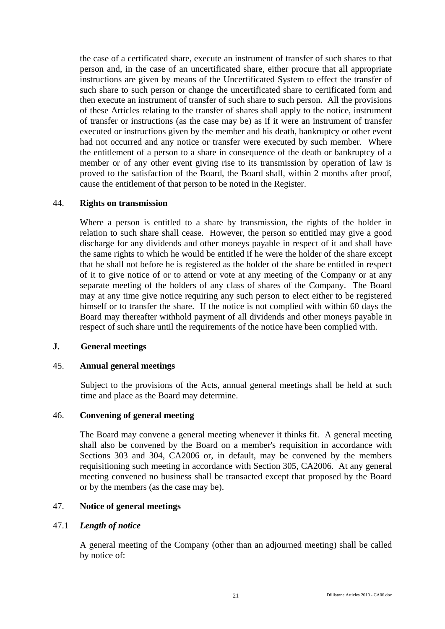the case of a certificated share, execute an instrument of transfer of such shares to that person and, in the case of an uncertificated share, either procure that all appropriate instructions are given by means of the Uncertificated System to effect the transfer of such share to such person or change the uncertificated share to certificated form and then execute an instrument of transfer of such share to such person. All the provisions of these Articles relating to the transfer of shares shall apply to the notice, instrument of transfer or instructions (as the case may be) as if it were an instrument of transfer executed or instructions given by the member and his death, bankruptcy or other event had not occurred and any notice or transfer were executed by such member. Where the entitlement of a person to a share in consequence of the death or bankruptcy of a member or of any other event giving rise to its transmission by operation of law is proved to the satisfaction of the Board, the Board shall, within 2 months after proof, cause the entitlement of that person to be noted in the Register.

## 44. **Rights on transmission**

Where a person is entitled to a share by transmission, the rights of the holder in relation to such share shall cease. However, the person so entitled may give a good discharge for any dividends and other moneys payable in respect of it and shall have the same rights to which he would be entitled if he were the holder of the share except that he shall not before he is registered as the holder of the share be entitled in respect of it to give notice of or to attend or vote at any meeting of the Company or at any separate meeting of the holders of any class of shares of the Company. The Board may at any time give notice requiring any such person to elect either to be registered himself or to transfer the share. If the notice is not complied with within 60 days the Board may thereafter withhold payment of all dividends and other moneys payable in respect of such share until the requirements of the notice have been complied with.

## **J. General meetings**

## 45. **Annual general meetings**

 Subject to the provisions of the Acts, annual general meetings shall be held at such time and place as the Board may determine.

## 46. **Convening of general meeting**

The Board may convene a general meeting whenever it thinks fit. A general meeting shall also be convened by the Board on a member's requisition in accordance with Sections 303 and 304, CA2006 or, in default, may be convened by the members requisitioning such meeting in accordance with Section 305, CA2006. At any general meeting convened no business shall be transacted except that proposed by the Board or by the members (as the case may be).

# 47. **Notice of general meetings**

## 47.1 *Length of notice*

A general meeting of the Company (other than an adjourned meeting) shall be called by notice of: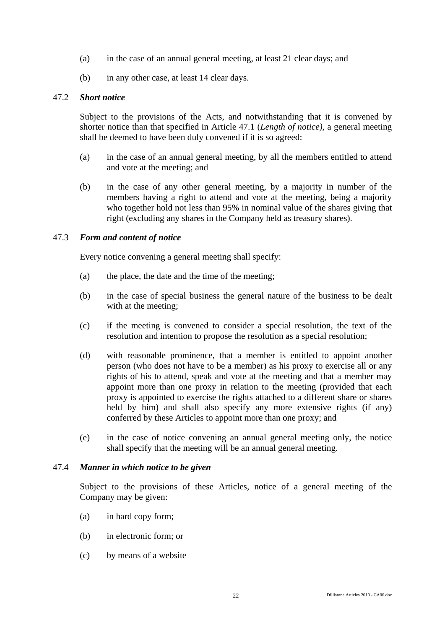- (a) in the case of an annual general meeting, at least 21 clear days; and
- (b) in any other case, at least 14 clear days.

## 47.2 *Short notice*

Subject to the provisions of the Acts, and notwithstanding that it is convened by shorter notice than that specified in Article 47.1 (*Length of notice)*, a general meeting shall be deemed to have been duly convened if it is so agreed:

- (a) in the case of an annual general meeting, by all the members entitled to attend and vote at the meeting; and
- (b) in the case of any other general meeting, by a majority in number of the members having a right to attend and vote at the meeting, being a majority who together hold not less than 95% in nominal value of the shares giving that right (excluding any shares in the Company held as treasury shares).

#### 47.3 *Form and content of notice*

Every notice convening a general meeting shall specify:

- (a) the place, the date and the time of the meeting;
- (b) in the case of special business the general nature of the business to be dealt with at the meeting;
- (c) if the meeting is convened to consider a special resolution, the text of the resolution and intention to propose the resolution as a special resolution;
- (d) with reasonable prominence, that a member is entitled to appoint another person (who does not have to be a member) as his proxy to exercise all or any rights of his to attend, speak and vote at the meeting and that a member may appoint more than one proxy in relation to the meeting (provided that each proxy is appointed to exercise the rights attached to a different share or shares held by him) and shall also specify any more extensive rights (if any) conferred by these Articles to appoint more than one proxy; and
- (e) in the case of notice convening an annual general meeting only, the notice shall specify that the meeting will be an annual general meeting.

#### 47.4 *Manner in which notice to be given*

Subject to the provisions of these Articles, notice of a general meeting of the Company may be given:

- (a) in hard copy form;
- (b) in electronic form; or
- (c) by means of a website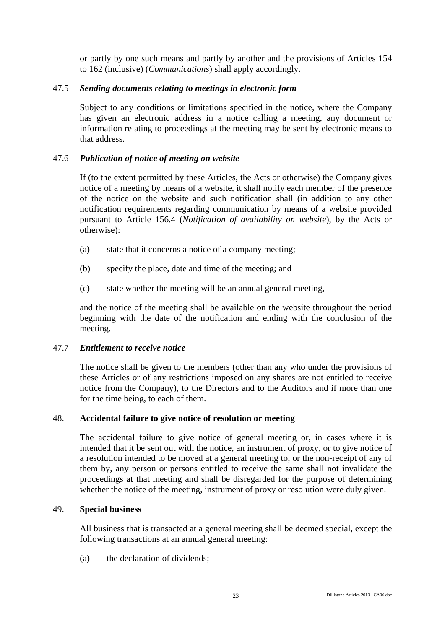or partly by one such means and partly by another and the provisions of Articles 154 to 162 (inclusive) (*Communications*) shall apply accordingly.

## 47.5 *Sending documents relating to meetings in electronic form*

Subject to any conditions or limitations specified in the notice, where the Company has given an electronic address in a notice calling a meeting, any document or information relating to proceedings at the meeting may be sent by electronic means to that address.

## 47.6 *Publication of notice of meeting on website*

If (to the extent permitted by these Articles, the Acts or otherwise) the Company gives notice of a meeting by means of a website, it shall notify each member of the presence of the notice on the website and such notification shall (in addition to any other notification requirements regarding communication by means of a website provided pursuant to Article 156.4 (*Notification of availability on website*), by the Acts or otherwise):

- (a) state that it concerns a notice of a company meeting;
- (b) specify the place, date and time of the meeting; and
- (c) state whether the meeting will be an annual general meeting,

and the notice of the meeting shall be available on the website throughout the period beginning with the date of the notification and ending with the conclusion of the meeting.

## 47.7 *Entitlement to receive notice*

The notice shall be given to the members (other than any who under the provisions of these Articles or of any restrictions imposed on any shares are not entitled to receive notice from the Company), to the Directors and to the Auditors and if more than one for the time being, to each of them.

## 48. **Accidental failure to give notice of resolution or meeting**

The accidental failure to give notice of general meeting or, in cases where it is intended that it be sent out with the notice, an instrument of proxy, or to give notice of a resolution intended to be moved at a general meeting to, or the non-receipt of any of them by, any person or persons entitled to receive the same shall not invalidate the proceedings at that meeting and shall be disregarded for the purpose of determining whether the notice of the meeting, instrument of proxy or resolution were duly given.

## 49. **Special business**

All business that is transacted at a general meeting shall be deemed special, except the following transactions at an annual general meeting:

(a) the declaration of dividends;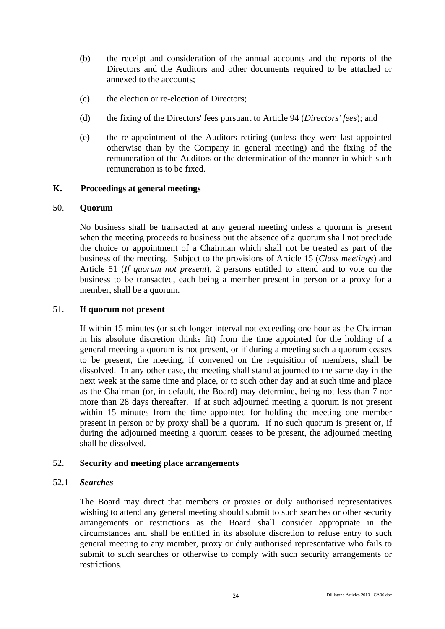- (b) the receipt and consideration of the annual accounts and the reports of the Directors and the Auditors and other documents required to be attached or annexed to the accounts;
- (c) the election or re-election of Directors;
- (d) the fixing of the Directors' fees pursuant to Article 94 (*Directors' fees*); and
- (e) the re-appointment of the Auditors retiring (unless they were last appointed otherwise than by the Company in general meeting) and the fixing of the remuneration of the Auditors or the determination of the manner in which such remuneration is to be fixed.

## **K. Proceedings at general meetings**

#### 50. **Quorum**

No business shall be transacted at any general meeting unless a quorum is present when the meeting proceeds to business but the absence of a quorum shall not preclude the choice or appointment of a Chairman which shall not be treated as part of the business of the meeting. Subject to the provisions of Article 15 (*Class meetings*) and Article 51 (*If quorum not present*), 2 persons entitled to attend and to vote on the business to be transacted, each being a member present in person or a proxy for a member, shall be a quorum.

## 51. **If quorum not present**

If within 15 minutes (or such longer interval not exceeding one hour as the Chairman in his absolute discretion thinks fit) from the time appointed for the holding of a general meeting a quorum is not present, or if during a meeting such a quorum ceases to be present, the meeting, if convened on the requisition of members, shall be dissolved. In any other case, the meeting shall stand adjourned to the same day in the next week at the same time and place, or to such other day and at such time and place as the Chairman (or, in default, the Board) may determine, being not less than 7 nor more than 28 days thereafter. If at such adjourned meeting a quorum is not present within 15 minutes from the time appointed for holding the meeting one member present in person or by proxy shall be a quorum. If no such quorum is present or, if during the adjourned meeting a quorum ceases to be present, the adjourned meeting shall be dissolved.

## 52. **Security and meeting place arrangements**

## 52.1 *Searches*

The Board may direct that members or proxies or duly authorised representatives wishing to attend any general meeting should submit to such searches or other security arrangements or restrictions as the Board shall consider appropriate in the circumstances and shall be entitled in its absolute discretion to refuse entry to such general meeting to any member, proxy or duly authorised representative who fails to submit to such searches or otherwise to comply with such security arrangements or restrictions.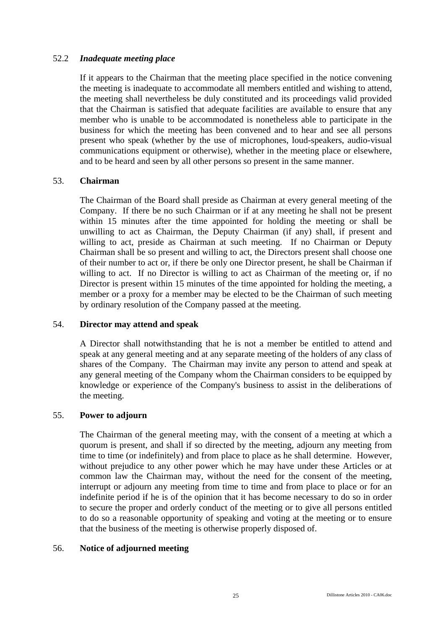## 52.2 *Inadequate meeting place*

If it appears to the Chairman that the meeting place specified in the notice convening the meeting is inadequate to accommodate all members entitled and wishing to attend, the meeting shall nevertheless be duly constituted and its proceedings valid provided that the Chairman is satisfied that adequate facilities are available to ensure that any member who is unable to be accommodated is nonetheless able to participate in the business for which the meeting has been convened and to hear and see all persons present who speak (whether by the use of microphones, loud-speakers, audio-visual communications equipment or otherwise), whether in the meeting place or elsewhere, and to be heard and seen by all other persons so present in the same manner.

## 53. **Chairman**

The Chairman of the Board shall preside as Chairman at every general meeting of the Company. If there be no such Chairman or if at any meeting he shall not be present within 15 minutes after the time appointed for holding the meeting or shall be unwilling to act as Chairman, the Deputy Chairman (if any) shall, if present and willing to act, preside as Chairman at such meeting. If no Chairman or Deputy Chairman shall be so present and willing to act, the Directors present shall choose one of their number to act or, if there be only one Director present, he shall be Chairman if willing to act. If no Director is willing to act as Chairman of the meeting or, if no Director is present within 15 minutes of the time appointed for holding the meeting, a member or a proxy for a member may be elected to be the Chairman of such meeting by ordinary resolution of the Company passed at the meeting.

## 54. **Director may attend and speak**

A Director shall notwithstanding that he is not a member be entitled to attend and speak at any general meeting and at any separate meeting of the holders of any class of shares of the Company. The Chairman may invite any person to attend and speak at any general meeting of the Company whom the Chairman considers to be equipped by knowledge or experience of the Company's business to assist in the deliberations of the meeting.

## 55. **Power to adjourn**

The Chairman of the general meeting may, with the consent of a meeting at which a quorum is present, and shall if so directed by the meeting, adjourn any meeting from time to time (or indefinitely) and from place to place as he shall determine. However, without prejudice to any other power which he may have under these Articles or at common law the Chairman may, without the need for the consent of the meeting, interrupt or adjourn any meeting from time to time and from place to place or for an indefinite period if he is of the opinion that it has become necessary to do so in order to secure the proper and orderly conduct of the meeting or to give all persons entitled to do so a reasonable opportunity of speaking and voting at the meeting or to ensure that the business of the meeting is otherwise properly disposed of.

# 56. **Notice of adjourned meeting**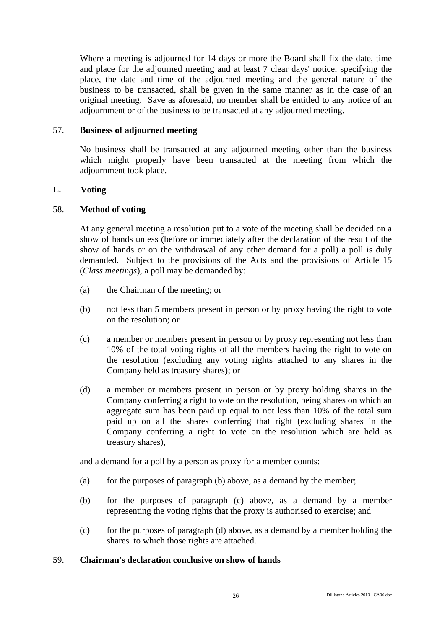Where a meeting is adjourned for 14 days or more the Board shall fix the date, time and place for the adjourned meeting and at least 7 clear days' notice, specifying the place, the date and time of the adjourned meeting and the general nature of the business to be transacted, shall be given in the same manner as in the case of an original meeting. Save as aforesaid, no member shall be entitled to any notice of an adjournment or of the business to be transacted at any adjourned meeting.

# 57. **Business of adjourned meeting**

No business shall be transacted at any adjourned meeting other than the business which might properly have been transacted at the meeting from which the adjournment took place.

## **L. Voting**

## 58. **Method of voting**

At any general meeting a resolution put to a vote of the meeting shall be decided on a show of hands unless (before or immediately after the declaration of the result of the show of hands or on the withdrawal of any other demand for a poll) a poll is duly demanded. Subject to the provisions of the Acts and the provisions of Article 15 (*Class meetings*), a poll may be demanded by:

- (a) the Chairman of the meeting; or
- (b) not less than 5 members present in person or by proxy having the right to vote on the resolution; or
- (c) a member or members present in person or by proxy representing not less than 10% of the total voting rights of all the members having the right to vote on the resolution (excluding any voting rights attached to any shares in the Company held as treasury shares); or
- (d) a member or members present in person or by proxy holding shares in the Company conferring a right to vote on the resolution, being shares on which an aggregate sum has been paid up equal to not less than 10% of the total sum paid up on all the shares conferring that right (excluding shares in the Company conferring a right to vote on the resolution which are held as treasury shares),

and a demand for a poll by a person as proxy for a member counts:

- (a) for the purposes of paragraph (b) above, as a demand by the member;
- (b) for the purposes of paragraph (c) above, as a demand by a member representing the voting rights that the proxy is authorised to exercise; and
- (c) for the purposes of paragraph (d) above, as a demand by a member holding the shares to which those rights are attached.

## 59. **Chairman's declaration conclusive on show of hands**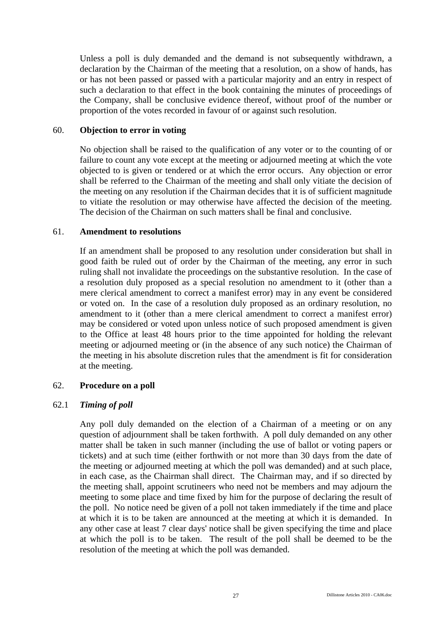Unless a poll is duly demanded and the demand is not subsequently withdrawn, a declaration by the Chairman of the meeting that a resolution, on a show of hands, has or has not been passed or passed with a particular majority and an entry in respect of such a declaration to that effect in the book containing the minutes of proceedings of the Company, shall be conclusive evidence thereof, without proof of the number or proportion of the votes recorded in favour of or against such resolution.

## 60. **Objection to error in voting**

No objection shall be raised to the qualification of any voter or to the counting of or failure to count any vote except at the meeting or adjourned meeting at which the vote objected to is given or tendered or at which the error occurs. Any objection or error shall be referred to the Chairman of the meeting and shall only vitiate the decision of the meeting on any resolution if the Chairman decides that it is of sufficient magnitude to vitiate the resolution or may otherwise have affected the decision of the meeting. The decision of the Chairman on such matters shall be final and conclusive.

## 61. **Amendment to resolutions**

If an amendment shall be proposed to any resolution under consideration but shall in good faith be ruled out of order by the Chairman of the meeting, any error in such ruling shall not invalidate the proceedings on the substantive resolution. In the case of a resolution duly proposed as a special resolution no amendment to it (other than a mere clerical amendment to correct a manifest error) may in any event be considered or voted on. In the case of a resolution duly proposed as an ordinary resolution, no amendment to it (other than a mere clerical amendment to correct a manifest error) may be considered or voted upon unless notice of such proposed amendment is given to the Office at least 48 hours prior to the time appointed for holding the relevant meeting or adjourned meeting or (in the absence of any such notice) the Chairman of the meeting in his absolute discretion rules that the amendment is fit for consideration at the meeting.

# 62. **Procedure on a poll**

## 62.1 *Timing of poll*

Any poll duly demanded on the election of a Chairman of a meeting or on any question of adjournment shall be taken forthwith. A poll duly demanded on any other matter shall be taken in such manner (including the use of ballot or voting papers or tickets) and at such time (either forthwith or not more than 30 days from the date of the meeting or adjourned meeting at which the poll was demanded) and at such place, in each case, as the Chairman shall direct. The Chairman may, and if so directed by the meeting shall, appoint scrutineers who need not be members and may adjourn the meeting to some place and time fixed by him for the purpose of declaring the result of the poll. No notice need be given of a poll not taken immediately if the time and place at which it is to be taken are announced at the meeting at which it is demanded. In any other case at least 7 clear days' notice shall be given specifying the time and place at which the poll is to be taken. The result of the poll shall be deemed to be the resolution of the meeting at which the poll was demanded.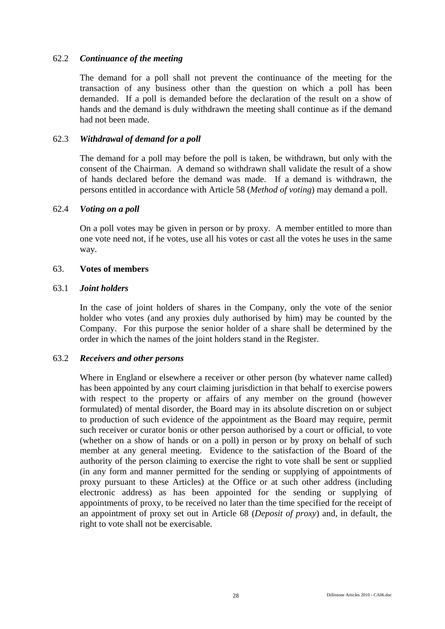## 62.2 *Continuance of the meeting*

The demand for a poll shall not prevent the continuance of the meeting for the transaction of any business other than the question on which a poll has been demanded. If a poll is demanded before the declaration of the result on a show of hands and the demand is duly withdrawn the meeting shall continue as if the demand had not been made.

## 62.3 *Withdrawal of demand for a poll*

The demand for a poll may before the poll is taken, be withdrawn, but only with the consent of the Chairman. A demand so withdrawn shall validate the result of a show of hands declared before the demand was made. If a demand is withdrawn, the persons entitled in accordance with Article 58 (*Method of voting*) may demand a poll.

#### 62.4 *Voting on a poll*

On a poll votes may be given in person or by proxy. A member entitled to more than one vote need not, if he votes, use all his votes or cast all the votes he uses in the same way.

#### 63. **Votes of members**

#### 63.1 *Joint holders*

In the case of joint holders of shares in the Company, only the vote of the senior holder who votes (and any proxies duly authorised by him) may be counted by the Company. For this purpose the senior holder of a share shall be determined by the order in which the names of the joint holders stand in the Register.

#### 63.2 *Receivers and other persons*

Where in England or elsewhere a receiver or other person (by whatever name called) has been appointed by any court claiming jurisdiction in that behalf to exercise powers with respect to the property or affairs of any member on the ground (however formulated) of mental disorder, the Board may in its absolute discretion on or subject to production of such evidence of the appointment as the Board may require, permit such receiver or curator bonis or other person authorised by a court or official, to vote (whether on a show of hands or on a poll) in person or by proxy on behalf of such member at any general meeting. Evidence to the satisfaction of the Board of the authority of the person claiming to exercise the right to vote shall be sent or supplied (in any form and manner permitted for the sending or supplying of appointments of proxy pursuant to these Articles) at the Office or at such other address (including electronic address) as has been appointed for the sending or supplying of appointments of proxy, to be received no later than the time specified for the receipt of an appointment of proxy set out in Article 68 (*Deposit of proxy*) and, in default, the right to vote shall not be exercisable.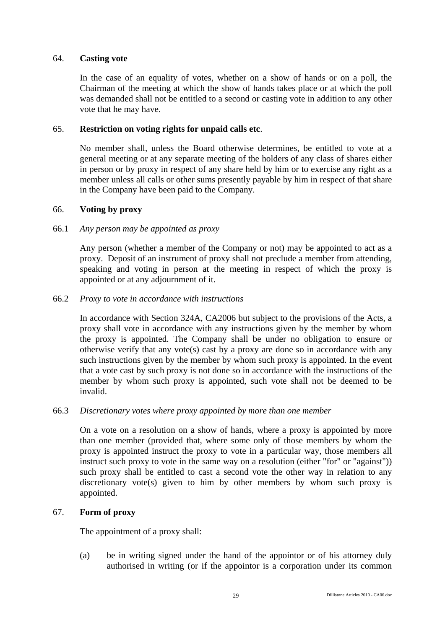## 64. **Casting vote**

In the case of an equality of votes, whether on a show of hands or on a poll, the Chairman of the meeting at which the show of hands takes place or at which the poll was demanded shall not be entitled to a second or casting vote in addition to any other vote that he may have.

## 65. **Restriction on voting rights for unpaid calls etc**.

No member shall, unless the Board otherwise determines, be entitled to vote at a general meeting or at any separate meeting of the holders of any class of shares either in person or by proxy in respect of any share held by him or to exercise any right as a member unless all calls or other sums presently payable by him in respect of that share in the Company have been paid to the Company.

## 66. **Voting by proxy**

## 66.1 *Any person may be appointed as proxy*

Any person (whether a member of the Company or not) may be appointed to act as a proxy. Deposit of an instrument of proxy shall not preclude a member from attending, speaking and voting in person at the meeting in respect of which the proxy is appointed or at any adjournment of it.

## 66.2 *Proxy to vote in accordance with instructions*

In accordance with Section 324A, CA2006 but subject to the provisions of the Acts, a proxy shall vote in accordance with any instructions given by the member by whom the proxy is appointed. The Company shall be under no obligation to ensure or otherwise verify that any vote(s) cast by a proxy are done so in accordance with any such instructions given by the member by whom such proxy is appointed. In the event that a vote cast by such proxy is not done so in accordance with the instructions of the member by whom such proxy is appointed, such vote shall not be deemed to be invalid.

## 66.3 *Discretionary votes where proxy appointed by more than one member*

On a vote on a resolution on a show of hands, where a proxy is appointed by more than one member (provided that, where some only of those members by whom the proxy is appointed instruct the proxy to vote in a particular way, those members all instruct such proxy to vote in the same way on a resolution (either "for" or "against")) such proxy shall be entitled to cast a second vote the other way in relation to any discretionary vote(s) given to him by other members by whom such proxy is appointed.

## 67. **Form of proxy**

The appointment of a proxy shall:

(a) be in writing signed under the hand of the appointor or of his attorney duly authorised in writing (or if the appointor is a corporation under its common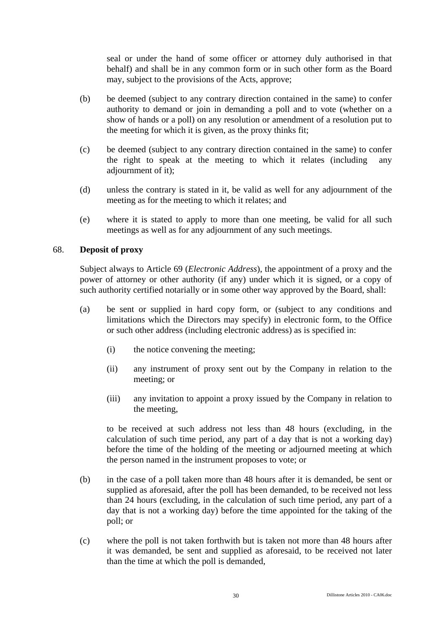seal or under the hand of some officer or attorney duly authorised in that behalf) and shall be in any common form or in such other form as the Board may, subject to the provisions of the Acts, approve;

- (b) be deemed (subject to any contrary direction contained in the same) to confer authority to demand or join in demanding a poll and to vote (whether on a show of hands or a poll) on any resolution or amendment of a resolution put to the meeting for which it is given, as the proxy thinks fit;
- (c) be deemed (subject to any contrary direction contained in the same) to confer the right to speak at the meeting to which it relates (including any adjournment of it);
- (d) unless the contrary is stated in it, be valid as well for any adjournment of the meeting as for the meeting to which it relates; and
- (e) where it is stated to apply to more than one meeting, be valid for all such meetings as well as for any adjournment of any such meetings.

## 68. **Deposit of proxy**

Subject always to Article 69 (*Electronic Address*), the appointment of a proxy and the power of attorney or other authority (if any) under which it is signed, or a copy of such authority certified notarially or in some other way approved by the Board, shall:

- (a) be sent or supplied in hard copy form, or (subject to any conditions and limitations which the Directors may specify) in electronic form, to the Office or such other address (including electronic address) as is specified in:
	- (i) the notice convening the meeting;
	- (ii) any instrument of proxy sent out by the Company in relation to the meeting; or
	- (iii) any invitation to appoint a proxy issued by the Company in relation to the meeting,

to be received at such address not less than 48 hours (excluding, in the calculation of such time period, any part of a day that is not a working day) before the time of the holding of the meeting or adjourned meeting at which the person named in the instrument proposes to vote; or

- (b) in the case of a poll taken more than 48 hours after it is demanded, be sent or supplied as aforesaid, after the poll has been demanded, to be received not less than 24 hours (excluding, in the calculation of such time period, any part of a day that is not a working day) before the time appointed for the taking of the poll; or
- (c) where the poll is not taken forthwith but is taken not more than 48 hours after it was demanded, be sent and supplied as aforesaid, to be received not later than the time at which the poll is demanded,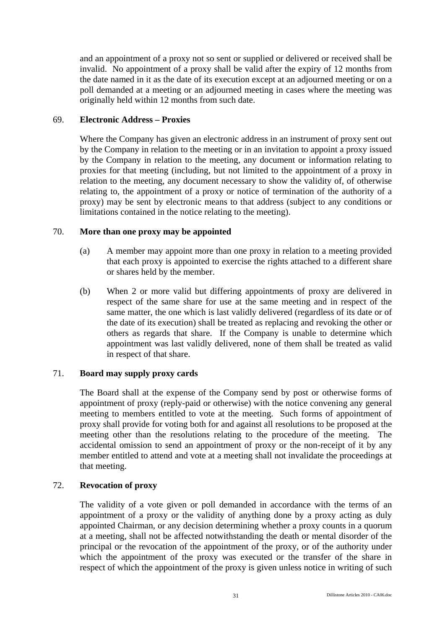and an appointment of a proxy not so sent or supplied or delivered or received shall be invalid. No appointment of a proxy shall be valid after the expiry of 12 months from the date named in it as the date of its execution except at an adjourned meeting or on a poll demanded at a meeting or an adjourned meeting in cases where the meeting was originally held within 12 months from such date.

# 69. **Electronic Address – Proxies**

Where the Company has given an electronic address in an instrument of proxy sent out by the Company in relation to the meeting or in an invitation to appoint a proxy issued by the Company in relation to the meeting, any document or information relating to proxies for that meeting (including, but not limited to the appointment of a proxy in relation to the meeting, any document necessary to show the validity of, of otherwise relating to, the appointment of a proxy or notice of termination of the authority of a proxy) may be sent by electronic means to that address (subject to any conditions or limitations contained in the notice relating to the meeting).

# 70. **More than one proxy may be appointed**

- (a) A member may appoint more than one proxy in relation to a meeting provided that each proxy is appointed to exercise the rights attached to a different share or shares held by the member.
- (b) When 2 or more valid but differing appointments of proxy are delivered in respect of the same share for use at the same meeting and in respect of the same matter, the one which is last validly delivered (regardless of its date or of the date of its execution) shall be treated as replacing and revoking the other or others as regards that share. If the Company is unable to determine which appointment was last validly delivered, none of them shall be treated as valid in respect of that share.

# 71. **Board may supply proxy cards**

The Board shall at the expense of the Company send by post or otherwise forms of appointment of proxy (reply-paid or otherwise) with the notice convening any general meeting to members entitled to vote at the meeting. Such forms of appointment of proxy shall provide for voting both for and against all resolutions to be proposed at the meeting other than the resolutions relating to the procedure of the meeting. The accidental omission to send an appointment of proxy or the non-receipt of it by any member entitled to attend and vote at a meeting shall not invalidate the proceedings at that meeting.

# 72. **Revocation of proxy**

The validity of a vote given or poll demanded in accordance with the terms of an appointment of a proxy or the validity of anything done by a proxy acting as duly appointed Chairman, or any decision determining whether a proxy counts in a quorum at a meeting, shall not be affected notwithstanding the death or mental disorder of the principal or the revocation of the appointment of the proxy, or of the authority under which the appointment of the proxy was executed or the transfer of the share in respect of which the appointment of the proxy is given unless notice in writing of such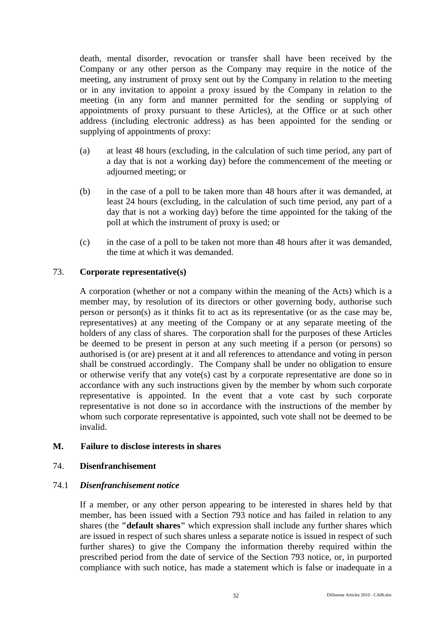death, mental disorder, revocation or transfer shall have been received by the Company or any other person as the Company may require in the notice of the meeting, any instrument of proxy sent out by the Company in relation to the meeting or in any invitation to appoint a proxy issued by the Company in relation to the meeting (in any form and manner permitted for the sending or supplying of appointments of proxy pursuant to these Articles), at the Office or at such other address (including electronic address) as has been appointed for the sending or supplying of appointments of proxy:

- (a) at least 48 hours (excluding, in the calculation of such time period, any part of a day that is not a working day) before the commencement of the meeting or adjourned meeting; or
- (b) in the case of a poll to be taken more than 48 hours after it was demanded, at least 24 hours (excluding, in the calculation of such time period, any part of a day that is not a working day) before the time appointed for the taking of the poll at which the instrument of proxy is used; or
- (c) in the case of a poll to be taken not more than 48 hours after it was demanded, the time at which it was demanded.

# 73. **Corporate representative(s)**

A corporation (whether or not a company within the meaning of the Acts) which is a member may, by resolution of its directors or other governing body, authorise such person or person(s) as it thinks fit to act as its representative (or as the case may be, representatives) at any meeting of the Company or at any separate meeting of the holders of any class of shares. The corporation shall for the purposes of these Articles be deemed to be present in person at any such meeting if a person (or persons) so authorised is (or are) present at it and all references to attendance and voting in person shall be construed accordingly. The Company shall be under no obligation to ensure or otherwise verify that any vote(s) cast by a corporate representative are done so in accordance with any such instructions given by the member by whom such corporate representative is appointed. In the event that a vote cast by such corporate representative is not done so in accordance with the instructions of the member by whom such corporate representative is appointed, such vote shall not be deemed to be invalid.

# **M. Failure to disclose interests in shares**

# 74. **Disenfranchisement**

# 74.1 *Disenfranchisement notice*

If a member, or any other person appearing to be interested in shares held by that member, has been issued with a Section 793 notice and has failed in relation to any shares (the **"default shares"** which expression shall include any further shares which are issued in respect of such shares unless a separate notice is issued in respect of such further shares) to give the Company the information thereby required within the prescribed period from the date of service of the Section 793 notice, or, in purported compliance with such notice, has made a statement which is false or inadequate in a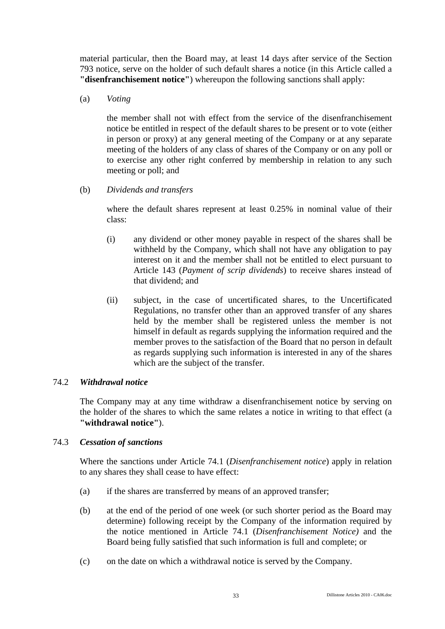material particular, then the Board may, at least 14 days after service of the Section 793 notice, serve on the holder of such default shares a notice (in this Article called a **"disenfranchisement notice"**) whereupon the following sanctions shall apply:

(a) *Voting*

the member shall not with effect from the service of the disenfranchisement notice be entitled in respect of the default shares to be present or to vote (either in person or proxy) at any general meeting of the Company or at any separate meeting of the holders of any class of shares of the Company or on any poll or to exercise any other right conferred by membership in relation to any such meeting or poll; and

(b) *Dividends and transfers*

where the default shares represent at least 0.25% in nominal value of their class:

- (i) any dividend or other money payable in respect of the shares shall be withheld by the Company, which shall not have any obligation to pay interest on it and the member shall not be entitled to elect pursuant to Article 143 (*Payment of scrip dividends*) to receive shares instead of that dividend; and
- (ii) subject, in the case of uncertificated shares, to the Uncertificated Regulations, no transfer other than an approved transfer of any shares held by the member shall be registered unless the member is not himself in default as regards supplying the information required and the member proves to the satisfaction of the Board that no person in default as regards supplying such information is interested in any of the shares which are the subject of the transfer.

# 74.2 *Withdrawal notice*

The Company may at any time withdraw a disenfranchisement notice by serving on the holder of the shares to which the same relates a notice in writing to that effect (a **"withdrawal notice"**).

# 74.3 *Cessation of sanctions*

Where the sanctions under Article 74.1 (*Disenfranchisement notice*) apply in relation to any shares they shall cease to have effect:

- (a) if the shares are transferred by means of an approved transfer;
- (b) at the end of the period of one week (or such shorter period as the Board may determine) following receipt by the Company of the information required by the notice mentioned in Article 74.1 (*Disenfranchisement Notice)* and the Board being fully satisfied that such information is full and complete; or
- (c) on the date on which a withdrawal notice is served by the Company.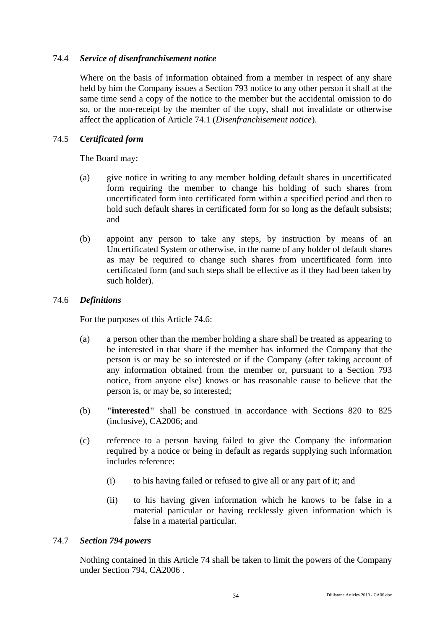# 74.4 *Service of disenfranchisement notice*

Where on the basis of information obtained from a member in respect of any share held by him the Company issues a Section 793 notice to any other person it shall at the same time send a copy of the notice to the member but the accidental omission to do so, or the non-receipt by the member of the copy, shall not invalidate or otherwise affect the application of Article 74.1 (*Disenfranchisement notice*).

# 74.5 *Certificated form*

The Board may:

- (a) give notice in writing to any member holding default shares in uncertificated form requiring the member to change his holding of such shares from uncertificated form into certificated form within a specified period and then to hold such default shares in certificated form for so long as the default subsists; and
- (b) appoint any person to take any steps, by instruction by means of an Uncertificated System or otherwise, in the name of any holder of default shares as may be required to change such shares from uncertificated form into certificated form (and such steps shall be effective as if they had been taken by such holder).

# 74.6 *Definitions*

For the purposes of this Article 74.6:

- (a) a person other than the member holding a share shall be treated as appearing to be interested in that share if the member has informed the Company that the person is or may be so interested or if the Company (after taking account of any information obtained from the member or, pursuant to a Section 793 notice, from anyone else) knows or has reasonable cause to believe that the person is, or may be, so interested;
- (b) **"interested"** shall be construed in accordance with Sections 820 to 825 (inclusive), CA2006; and
- (c) reference to a person having failed to give the Company the information required by a notice or being in default as regards supplying such information includes reference:
	- (i) to his having failed or refused to give all or any part of it; and
	- (ii) to his having given information which he knows to be false in a material particular or having recklessly given information which is false in a material particular.

# 74.7 *Section 794 powers*

Nothing contained in this Article 74 shall be taken to limit the powers of the Company under Section 794, CA2006 .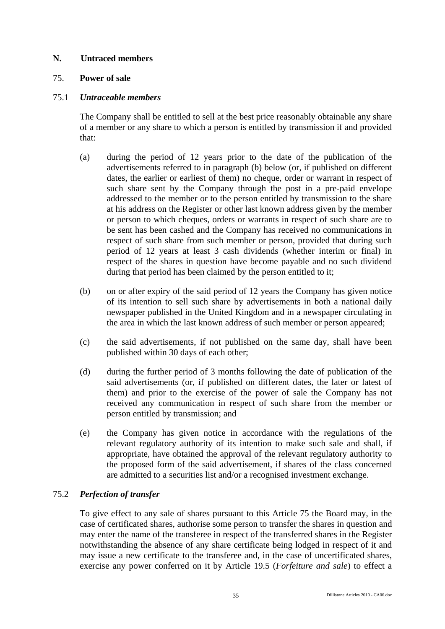# **N. Untraced members**

# 75. **Power of sale**

# 75.1 *Untraceable members*

The Company shall be entitled to sell at the best price reasonably obtainable any share of a member or any share to which a person is entitled by transmission if and provided that:

- (a) during the period of 12 years prior to the date of the publication of the advertisements referred to in paragraph (b) below (or, if published on different dates, the earlier or earliest of them) no cheque, order or warrant in respect of such share sent by the Company through the post in a pre-paid envelope addressed to the member or to the person entitled by transmission to the share at his address on the Register or other last known address given by the member or person to which cheques, orders or warrants in respect of such share are to be sent has been cashed and the Company has received no communications in respect of such share from such member or person, provided that during such period of 12 years at least 3 cash dividends (whether interim or final) in respect of the shares in question have become payable and no such dividend during that period has been claimed by the person entitled to it;
- (b) on or after expiry of the said period of 12 years the Company has given notice of its intention to sell such share by advertisements in both a national daily newspaper published in the United Kingdom and in a newspaper circulating in the area in which the last known address of such member or person appeared;
- (c) the said advertisements, if not published on the same day, shall have been published within 30 days of each other;
- (d) during the further period of 3 months following the date of publication of the said advertisements (or, if published on different dates, the later or latest of them) and prior to the exercise of the power of sale the Company has not received any communication in respect of such share from the member or person entitled by transmission; and
- (e) the Company has given notice in accordance with the regulations of the relevant regulatory authority of its intention to make such sale and shall, if appropriate, have obtained the approval of the relevant regulatory authority to the proposed form of the said advertisement, if shares of the class concerned are admitted to a securities list and/or a recognised investment exchange.

# 75.2 *Perfection of transfer*

To give effect to any sale of shares pursuant to this Article 75 the Board may, in the case of certificated shares, authorise some person to transfer the shares in question and may enter the name of the transferee in respect of the transferred shares in the Register notwithstanding the absence of any share certificate being lodged in respect of it and may issue a new certificate to the transferee and, in the case of uncertificated shares, exercise any power conferred on it by Article 19.5 (*Forfeiture and sale*) to effect a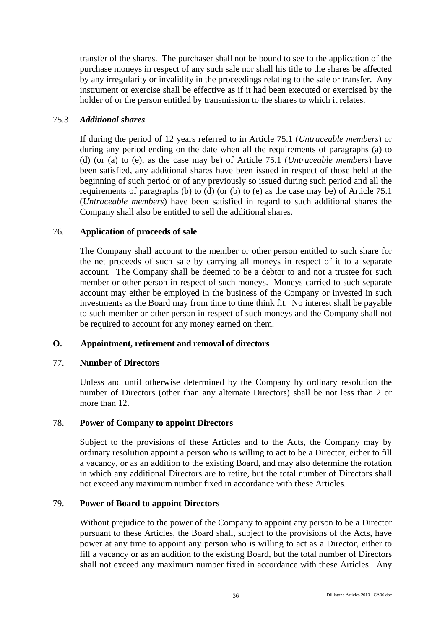transfer of the shares. The purchaser shall not be bound to see to the application of the purchase moneys in respect of any such sale nor shall his title to the shares be affected by any irregularity or invalidity in the proceedings relating to the sale or transfer. Any instrument or exercise shall be effective as if it had been executed or exercised by the holder of or the person entitled by transmission to the shares to which it relates.

# 75.3 *Additional shares*

If during the period of 12 years referred to in Article 75.1 (*Untraceable members*) or during any period ending on the date when all the requirements of paragraphs (a) to (d) (or (a) to (e), as the case may be) of Article 75.1 (*Untraceable members*) have been satisfied, any additional shares have been issued in respect of those held at the beginning of such period or of any previously so issued during such period and all the requirements of paragraphs (b) to (d) (or (b) to (e) as the case may be) of Article 75.1 (*Untraceable members*) have been satisfied in regard to such additional shares the Company shall also be entitled to sell the additional shares.

# 76. **Application of proceeds of sale**

The Company shall account to the member or other person entitled to such share for the net proceeds of such sale by carrying all moneys in respect of it to a separate account. The Company shall be deemed to be a debtor to and not a trustee for such member or other person in respect of such moneys. Moneys carried to such separate account may either be employed in the business of the Company or invested in such investments as the Board may from time to time think fit. No interest shall be payable to such member or other person in respect of such moneys and the Company shall not be required to account for any money earned on them.

# **O. Appointment, retirement and removal of directors**

# 77. **Number of Directors**

Unless and until otherwise determined by the Company by ordinary resolution the number of Directors (other than any alternate Directors) shall be not less than 2 or more than 12.

# 78. **Power of Company to appoint Directors**

Subject to the provisions of these Articles and to the Acts, the Company may by ordinary resolution appoint a person who is willing to act to be a Director, either to fill a vacancy, or as an addition to the existing Board, and may also determine the rotation in which any additional Directors are to retire, but the total number of Directors shall not exceed any maximum number fixed in accordance with these Articles.

# 79. **Power of Board to appoint Directors**

Without prejudice to the power of the Company to appoint any person to be a Director pursuant to these Articles, the Board shall, subject to the provisions of the Acts, have power at any time to appoint any person who is willing to act as a Director, either to fill a vacancy or as an addition to the existing Board, but the total number of Directors shall not exceed any maximum number fixed in accordance with these Articles. Any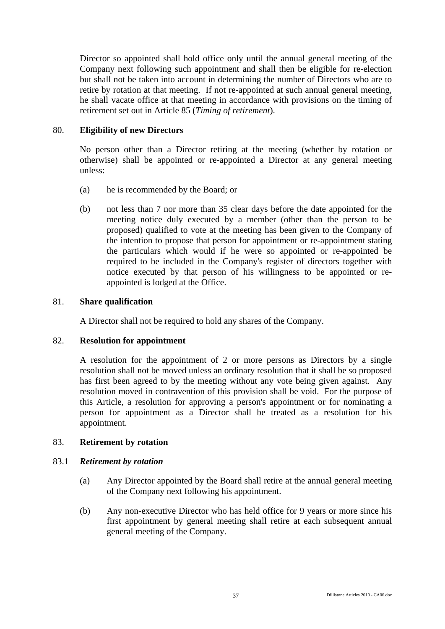Director so appointed shall hold office only until the annual general meeting of the Company next following such appointment and shall then be eligible for re-election but shall not be taken into account in determining the number of Directors who are to retire by rotation at that meeting. If not re-appointed at such annual general meeting, he shall vacate office at that meeting in accordance with provisions on the timing of retirement set out in Article 85 (*Timing of retirement*).

# 80. **Eligibility of new Directors**

No person other than a Director retiring at the meeting (whether by rotation or otherwise) shall be appointed or re-appointed a Director at any general meeting unless:

- (a) he is recommended by the Board; or
- (b) not less than 7 nor more than 35 clear days before the date appointed for the meeting notice duly executed by a member (other than the person to be proposed) qualified to vote at the meeting has been given to the Company of the intention to propose that person for appointment or re-appointment stating the particulars which would if he were so appointed or re-appointed be required to be included in the Company's register of directors together with notice executed by that person of his willingness to be appointed or reappointed is lodged at the Office.

# 81. **Share qualification**

A Director shall not be required to hold any shares of the Company.

# 82. **Resolution for appointment**

A resolution for the appointment of 2 or more persons as Directors by a single resolution shall not be moved unless an ordinary resolution that it shall be so proposed has first been agreed to by the meeting without any vote being given against. Any resolution moved in contravention of this provision shall be void. For the purpose of this Article, a resolution for approving a person's appointment or for nominating a person for appointment as a Director shall be treated as a resolution for his appointment.

# 83. **Retirement by rotation**

# 83.1 *Retirement by rotation*

- (a) Any Director appointed by the Board shall retire at the annual general meeting of the Company next following his appointment.
- (b) Any non-executive Director who has held office for 9 years or more since his first appointment by general meeting shall retire at each subsequent annual general meeting of the Company.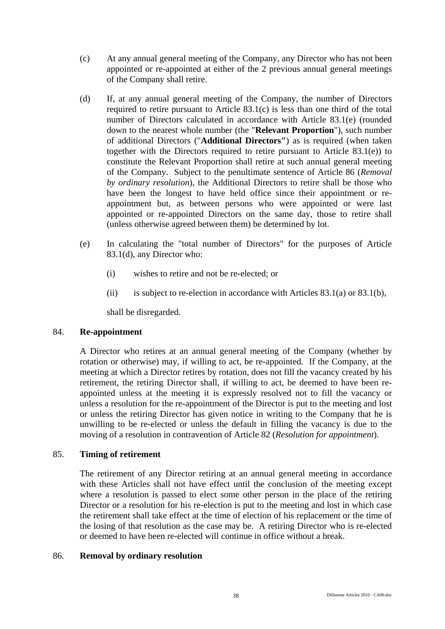- (c) At any annual general meeting of the Company, any Director who has not been appointed or re-appointed at either of the 2 previous annual general meetings of the Company shall retire.
- (d) If, at any annual general meeting of the Company, the number of Directors required to retire pursuant to Article 83.1(c) is less than one third of the total number of Directors calculated in accordance with Article 83.1(e) (rounded down to the nearest whole number (the "**Relevant Proportion**"), such number of additional Directors ("**Additional Directors"**) as is required (when taken together with the Directors required to retire pursuant to Article 83.1(e)) to constitute the Relevant Proportion shall retire at such annual general meeting of the Company. Subject to the penultimate sentence of Article 86 (*Removal by ordinary resolution*), the Additional Directors to retire shall be those who have been the longest to have held office since their appointment or reappointment but, as between persons who were appointed or were last appointed or re-appointed Directors on the same day, those to retire shall (unless otherwise agreed between them) be determined by lot.
- (e) In calculating the "total number of Directors" for the purposes of Article 83.1(d), any Director who:
	- (i) wishes to retire and not be re-elected; or
	- (ii) is subject to re-election in accordance with Articles  $83.1(a)$  or  $83.1(b)$ ,

shall be disregarded.

# 84. **Re-appointment**

A Director who retires at an annual general meeting of the Company (whether by rotation or otherwise) may, if willing to act, be re-appointed. If the Company, at the meeting at which a Director retires by rotation, does not fill the vacancy created by his retirement, the retiring Director shall, if willing to act, be deemed to have been reappointed unless at the meeting it is expressly resolved not to fill the vacancy or unless a resolution for the re-appointment of the Director is put to the meeting and lost or unless the retiring Director has given notice in writing to the Company that he is unwilling to be re-elected or unless the default in filling the vacancy is due to the moving of a resolution in contravention of Article 82 (*Resolution for appointment*).

# 85. **Timing of retirement**

The retirement of any Director retiring at an annual general meeting in accordance with these Articles shall not have effect until the conclusion of the meeting except where a resolution is passed to elect some other person in the place of the retiring Director or a resolution for his re-election is put to the meeting and lost in which case the retirement shall take effect at the time of election of his replacement or the time of the losing of that resolution as the case may be. A retiring Director who is re-elected or deemed to have been re-elected will continue in office without a break.

# 86. **Removal by ordinary resolution**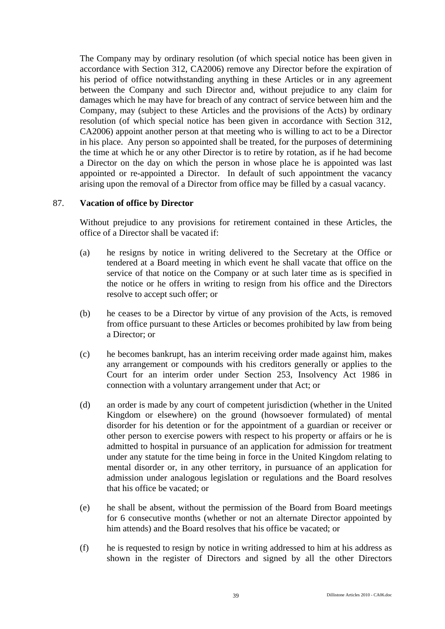The Company may by ordinary resolution (of which special notice has been given in accordance with Section 312, CA2006) remove any Director before the expiration of his period of office notwithstanding anything in these Articles or in any agreement between the Company and such Director and, without prejudice to any claim for damages which he may have for breach of any contract of service between him and the Company, may (subject to these Articles and the provisions of the Acts) by ordinary resolution (of which special notice has been given in accordance with Section 312, CA2006) appoint another person at that meeting who is willing to act to be a Director in his place. Any person so appointed shall be treated, for the purposes of determining the time at which he or any other Director is to retire by rotation, as if he had become a Director on the day on which the person in whose place he is appointed was last appointed or re-appointed a Director. In default of such appointment the vacancy arising upon the removal of a Director from office may be filled by a casual vacancy.

# 87. **Vacation of office by Director**

Without prejudice to any provisions for retirement contained in these Articles, the office of a Director shall be vacated if:

- (a) he resigns by notice in writing delivered to the Secretary at the Office or tendered at a Board meeting in which event he shall vacate that office on the service of that notice on the Company or at such later time as is specified in the notice or he offers in writing to resign from his office and the Directors resolve to accept such offer; or
- (b) he ceases to be a Director by virtue of any provision of the Acts, is removed from office pursuant to these Articles or becomes prohibited by law from being a Director; or
- (c) he becomes bankrupt, has an interim receiving order made against him, makes any arrangement or compounds with his creditors generally or applies to the Court for an interim order under Section 253, Insolvency Act 1986 in connection with a voluntary arrangement under that Act; or
- (d) an order is made by any court of competent jurisdiction (whether in the United Kingdom or elsewhere) on the ground (howsoever formulated) of mental disorder for his detention or for the appointment of a guardian or receiver or other person to exercise powers with respect to his property or affairs or he is admitted to hospital in pursuance of an application for admission for treatment under any statute for the time being in force in the United Kingdom relating to mental disorder or, in any other territory, in pursuance of an application for admission under analogous legislation or regulations and the Board resolves that his office be vacated; or
- (e) he shall be absent, without the permission of the Board from Board meetings for 6 consecutive months (whether or not an alternate Director appointed by him attends) and the Board resolves that his office be vacated; or
- (f) he is requested to resign by notice in writing addressed to him at his address as shown in the register of Directors and signed by all the other Directors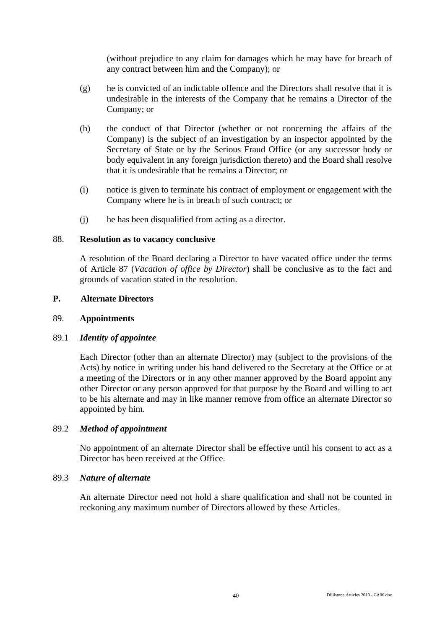(without prejudice to any claim for damages which he may have for breach of any contract between him and the Company); or

- (g) he is convicted of an indictable offence and the Directors shall resolve that it is undesirable in the interests of the Company that he remains a Director of the Company; or
- (h) the conduct of that Director (whether or not concerning the affairs of the Company) is the subject of an investigation by an inspector appointed by the Secretary of State or by the Serious Fraud Office (or any successor body or body equivalent in any foreign jurisdiction thereto) and the Board shall resolve that it is undesirable that he remains a Director; or
- (i) notice is given to terminate his contract of employment or engagement with the Company where he is in breach of such contract; or
- (j) he has been disqualified from acting as a director.

# 88. **Resolution as to vacancy conclusive**

A resolution of the Board declaring a Director to have vacated office under the terms of Article 87 (*Vacation of office by Director*) shall be conclusive as to the fact and grounds of vacation stated in the resolution.

# **P. Alternate Directors**

# 89. **Appointments**

# 89.1 *Identity of appointee*

Each Director (other than an alternate Director) may (subject to the provisions of the Acts) by notice in writing under his hand delivered to the Secretary at the Office or at a meeting of the Directors or in any other manner approved by the Board appoint any other Director or any person approved for that purpose by the Board and willing to act to be his alternate and may in like manner remove from office an alternate Director so appointed by him.

# 89.2 *Method of appointment*

No appointment of an alternate Director shall be effective until his consent to act as a Director has been received at the Office.

# 89.3 *Nature of alternate*

An alternate Director need not hold a share qualification and shall not be counted in reckoning any maximum number of Directors allowed by these Articles.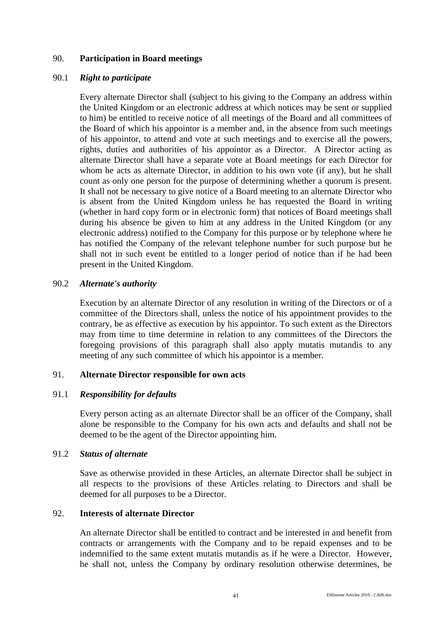# 90. **Participation in Board meetings**

### 90.1 *Right to participate*

Every alternate Director shall (subject to his giving to the Company an address within the United Kingdom or an electronic address at which notices may be sent or supplied to him) be entitled to receive notice of all meetings of the Board and all committees of the Board of which his appointor is a member and, in the absence from such meetings of his appointor, to attend and vote at such meetings and to exercise all the powers, rights, duties and authorities of his appointor as a Director. A Director acting as alternate Director shall have a separate vote at Board meetings for each Director for whom he acts as alternate Director, in addition to his own vote (if any), but he shall count as only one person for the purpose of determining whether a quorum is present. It shall not be necessary to give notice of a Board meeting to an alternate Director who is absent from the United Kingdom unless he has requested the Board in writing (whether in hard copy form or in electronic form) that notices of Board meetings shall during his absence be given to him at any address in the United Kingdom (or any electronic address) notified to the Company for this purpose or by telephone where he has notified the Company of the relevant telephone number for such purpose but he shall not in such event be entitled to a longer period of notice than if he had been present in the United Kingdom.

### 90.2 *Alternate's authority*

Execution by an alternate Director of any resolution in writing of the Directors or of a committee of the Directors shall, unless the notice of his appointment provides to the contrary, be as effective as execution by his appointor. To such extent as the Directors may from time to time determine in relation to any committees of the Directors the foregoing provisions of this paragraph shall also apply mutatis mutandis to any meeting of any such committee of which his appointor is a member.

# 91. **Alternate Director responsible for own acts**

# 91.1 *Responsibility for defaults*

Every person acting as an alternate Director shall be an officer of the Company, shall alone be responsible to the Company for his own acts and defaults and shall not be deemed to be the agent of the Director appointing him.

### 91.2 *Status of alternate*

Save as otherwise provided in these Articles, an alternate Director shall be subject in all respects to the provisions of these Articles relating to Directors and shall be deemed for all purposes to be a Director.

# 92. **Interests of alternate Director**

An alternate Director shall be entitled to contract and be interested in and benefit from contracts or arrangements with the Company and to be repaid expenses and to be indemnified to the same extent mutatis mutandis as if he were a Director. However, he shall not, unless the Company by ordinary resolution otherwise determines, be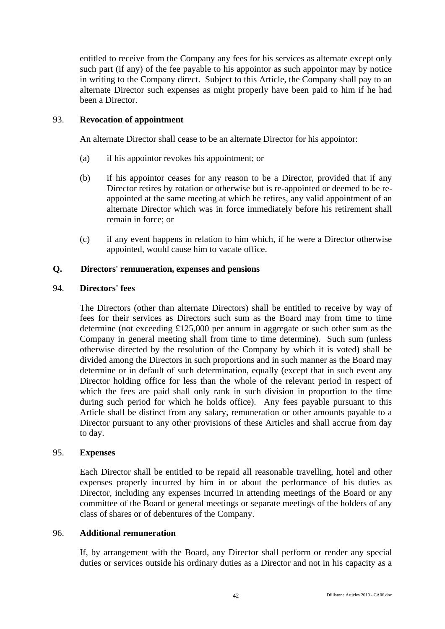entitled to receive from the Company any fees for his services as alternate except only such part (if any) of the fee payable to his appointor as such appointor may by notice in writing to the Company direct. Subject to this Article, the Company shall pay to an alternate Director such expenses as might properly have been paid to him if he had been a Director.

# 93. **Revocation of appointment**

An alternate Director shall cease to be an alternate Director for his appointor:

- (a) if his appointor revokes his appointment; or
- (b) if his appointor ceases for any reason to be a Director, provided that if any Director retires by rotation or otherwise but is re-appointed or deemed to be reappointed at the same meeting at which he retires, any valid appointment of an alternate Director which was in force immediately before his retirement shall remain in force; or
- (c) if any event happens in relation to him which, if he were a Director otherwise appointed, would cause him to vacate office.

# **Q. Directors' remuneration, expenses and pensions**

# 94. **Directors' fees**

The Directors (other than alternate Directors) shall be entitled to receive by way of fees for their services as Directors such sum as the Board may from time to time determine (not exceeding £125,000 per annum in aggregate or such other sum as the Company in general meeting shall from time to time determine). Such sum (unless otherwise directed by the resolution of the Company by which it is voted) shall be divided among the Directors in such proportions and in such manner as the Board may determine or in default of such determination, equally (except that in such event any Director holding office for less than the whole of the relevant period in respect of which the fees are paid shall only rank in such division in proportion to the time during such period for which he holds office). Any fees payable pursuant to this Article shall be distinct from any salary, remuneration or other amounts payable to a Director pursuant to any other provisions of these Articles and shall accrue from day to day.

# 95. **Expenses**

Each Director shall be entitled to be repaid all reasonable travelling, hotel and other expenses properly incurred by him in or about the performance of his duties as Director, including any expenses incurred in attending meetings of the Board or any committee of the Board or general meetings or separate meetings of the holders of any class of shares or of debentures of the Company.

# 96. **Additional remuneration**

If, by arrangement with the Board, any Director shall perform or render any special duties or services outside his ordinary duties as a Director and not in his capacity as a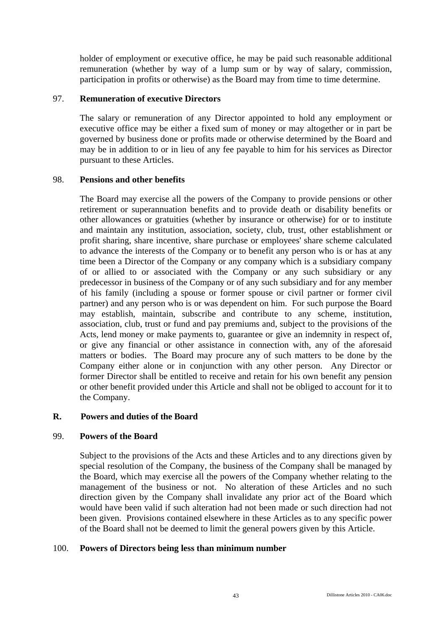holder of employment or executive office, he may be paid such reasonable additional remuneration (whether by way of a lump sum or by way of salary, commission, participation in profits or otherwise) as the Board may from time to time determine.

# 97. **Remuneration of executive Directors**

The salary or remuneration of any Director appointed to hold any employment or executive office may be either a fixed sum of money or may altogether or in part be governed by business done or profits made or otherwise determined by the Board and may be in addition to or in lieu of any fee payable to him for his services as Director pursuant to these Articles.

# 98. **Pensions and other benefits**

The Board may exercise all the powers of the Company to provide pensions or other retirement or superannuation benefits and to provide death or disability benefits or other allowances or gratuities (whether by insurance or otherwise) for or to institute and maintain any institution, association, society, club, trust, other establishment or profit sharing, share incentive, share purchase or employees' share scheme calculated to advance the interests of the Company or to benefit any person who is or has at any time been a Director of the Company or any company which is a subsidiary company of or allied to or associated with the Company or any such subsidiary or any predecessor in business of the Company or of any such subsidiary and for any member of his family (including a spouse or former spouse or civil partner or former civil partner) and any person who is or was dependent on him. For such purpose the Board may establish, maintain, subscribe and contribute to any scheme, institution, association, club, trust or fund and pay premiums and, subject to the provisions of the Acts, lend money or make payments to, guarantee or give an indemnity in respect of, or give any financial or other assistance in connection with, any of the aforesaid matters or bodies. The Board may procure any of such matters to be done by the Company either alone or in conjunction with any other person. Any Director or former Director shall be entitled to receive and retain for his own benefit any pension or other benefit provided under this Article and shall not be obliged to account for it to the Company.

# **R. Powers and duties of the Board**

# 99. **Powers of the Board**

Subject to the provisions of the Acts and these Articles and to any directions given by special resolution of the Company, the business of the Company shall be managed by the Board, which may exercise all the powers of the Company whether relating to the management of the business or not. No alteration of these Articles and no such direction given by the Company shall invalidate any prior act of the Board which would have been valid if such alteration had not been made or such direction had not been given. Provisions contained elsewhere in these Articles as to any specific power of the Board shall not be deemed to limit the general powers given by this Article.

# 100. **Powers of Directors being less than minimum number**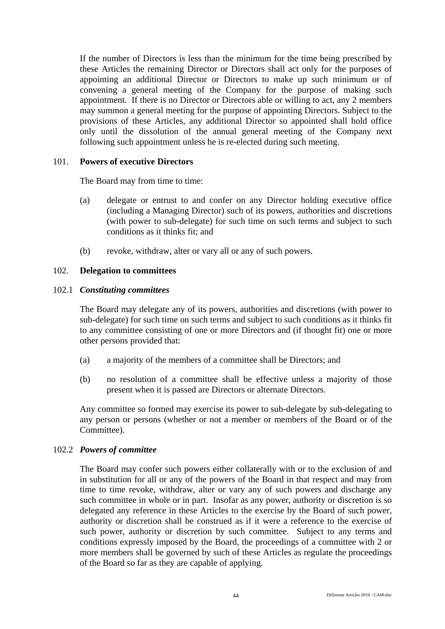If the number of Directors is less than the minimum for the time being prescribed by these Articles the remaining Director or Directors shall act only for the purposes of appointing an additional Director or Directors to make up such minimum or of convening a general meeting of the Company for the purpose of making such appointment. If there is no Director or Directors able or willing to act, any 2 members may summon a general meeting for the purpose of appointing Directors. Subject to the provisions of these Articles, any additional Director so appointed shall hold office only until the dissolution of the annual general meeting of the Company next following such appointment unless he is re-elected during such meeting.

# 101. **Powers of executive Directors**

The Board may from time to time:

- (a) delegate or entrust to and confer on any Director holding executive office (including a Managing Director) such of its powers, authorities and discretions (with power to sub-delegate) for such time on such terms and subject to such conditions as it thinks fit; and
- (b) revoke, withdraw, alter or vary all or any of such powers.

### 102. **Delegation to committees**

### 102.1 *Constituting committees*

The Board may delegate any of its powers, authorities and discretions (with power to sub-delegate) for such time on such terms and subject to such conditions as it thinks fit to any committee consisting of one or more Directors and (if thought fit) one or more other persons provided that:

- (a) a majority of the members of a committee shall be Directors; and
- (b) no resolution of a committee shall be effective unless a majority of those present when it is passed are Directors or alternate Directors.

Any committee so formed may exercise its power to sub-delegate by sub-delegating to any person or persons (whether or not a member or members of the Board or of the Committee).

#### 102.2 *Powers of committee*

The Board may confer such powers either collaterally with or to the exclusion of and in substitution for all or any of the powers of the Board in that respect and may from time to time revoke, withdraw, alter or vary any of such powers and discharge any such committee in whole or in part. Insofar as any power, authority or discretion is so delegated any reference in these Articles to the exercise by the Board of such power, authority or discretion shall be construed as if it were a reference to the exercise of such power, authority or discretion by such committee. Subject to any terms and conditions expressly imposed by the Board, the proceedings of a committee with 2 or more members shall be governed by such of these Articles as regulate the proceedings of the Board so far as they are capable of applying.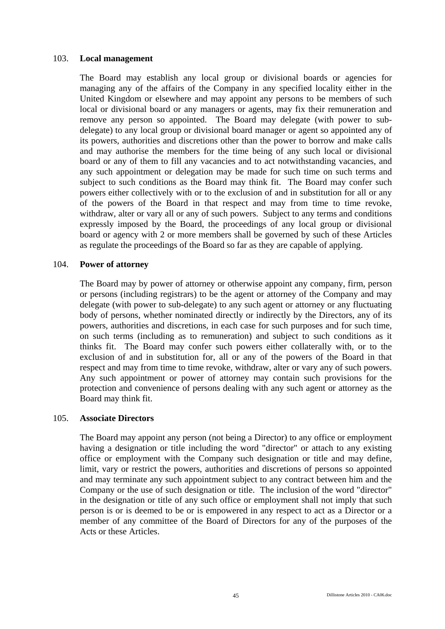### 103. **Local management**

The Board may establish any local group or divisional boards or agencies for managing any of the affairs of the Company in any specified locality either in the United Kingdom or elsewhere and may appoint any persons to be members of such local or divisional board or any managers or agents, may fix their remuneration and remove any person so appointed. The Board may delegate (with power to subdelegate) to any local group or divisional board manager or agent so appointed any of its powers, authorities and discretions other than the power to borrow and make calls and may authorise the members for the time being of any such local or divisional board or any of them to fill any vacancies and to act notwithstanding vacancies, and any such appointment or delegation may be made for such time on such terms and subject to such conditions as the Board may think fit. The Board may confer such powers either collectively with or to the exclusion of and in substitution for all or any of the powers of the Board in that respect and may from time to time revoke, withdraw, alter or vary all or any of such powers. Subject to any terms and conditions expressly imposed by the Board, the proceedings of any local group or divisional board or agency with 2 or more members shall be governed by such of these Articles as regulate the proceedings of the Board so far as they are capable of applying.

# 104. **Power of attorney**

The Board may by power of attorney or otherwise appoint any company, firm, person or persons (including registrars) to be the agent or attorney of the Company and may delegate (with power to sub-delegate) to any such agent or attorney or any fluctuating body of persons, whether nominated directly or indirectly by the Directors, any of its powers, authorities and discretions, in each case for such purposes and for such time, on such terms (including as to remuneration) and subject to such conditions as it thinks fit. The Board may confer such powers either collaterally with, or to the exclusion of and in substitution for, all or any of the powers of the Board in that respect and may from time to time revoke, withdraw, alter or vary any of such powers. Any such appointment or power of attorney may contain such provisions for the protection and convenience of persons dealing with any such agent or attorney as the Board may think fit.

#### 105. **Associate Directors**

The Board may appoint any person (not being a Director) to any office or employment having a designation or title including the word "director" or attach to any existing office or employment with the Company such designation or title and may define, limit, vary or restrict the powers, authorities and discretions of persons so appointed and may terminate any such appointment subject to any contract between him and the Company or the use of such designation or title. The inclusion of the word "director" in the designation or title of any such office or employment shall not imply that such person is or is deemed to be or is empowered in any respect to act as a Director or a member of any committee of the Board of Directors for any of the purposes of the Acts or these Articles.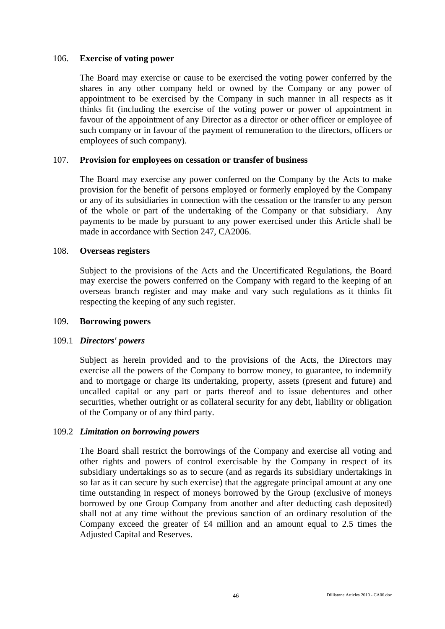### 106. **Exercise of voting power**

The Board may exercise or cause to be exercised the voting power conferred by the shares in any other company held or owned by the Company or any power of appointment to be exercised by the Company in such manner in all respects as it thinks fit (including the exercise of the voting power or power of appointment in favour of the appointment of any Director as a director or other officer or employee of such company or in favour of the payment of remuneration to the directors, officers or employees of such company).

# 107. **Provision for employees on cessation or transfer of business**

The Board may exercise any power conferred on the Company by the Acts to make provision for the benefit of persons employed or formerly employed by the Company or any of its subsidiaries in connection with the cessation or the transfer to any person of the whole or part of the undertaking of the Company or that subsidiary. Any payments to be made by pursuant to any power exercised under this Article shall be made in accordance with Section 247, CA2006.

### 108. **Overseas registers**

Subject to the provisions of the Acts and the Uncertificated Regulations, the Board may exercise the powers conferred on the Company with regard to the keeping of an overseas branch register and may make and vary such regulations as it thinks fit respecting the keeping of any such register.

#### 109. **Borrowing powers**

# 109.1 *Directors' powers*

Subject as herein provided and to the provisions of the Acts, the Directors may exercise all the powers of the Company to borrow money, to guarantee, to indemnify and to mortgage or charge its undertaking, property, assets (present and future) and uncalled capital or any part or parts thereof and to issue debentures and other securities, whether outright or as collateral security for any debt, liability or obligation of the Company or of any third party.

# 109.2 *Limitation on borrowing powers*

The Board shall restrict the borrowings of the Company and exercise all voting and other rights and powers of control exercisable by the Company in respect of its subsidiary undertakings so as to secure (and as regards its subsidiary undertakings in so far as it can secure by such exercise) that the aggregate principal amount at any one time outstanding in respect of moneys borrowed by the Group (exclusive of moneys borrowed by one Group Company from another and after deducting cash deposited) shall not at any time without the previous sanction of an ordinary resolution of the Company exceed the greater of £4 million and an amount equal to 2.5 times the Adjusted Capital and Reserves.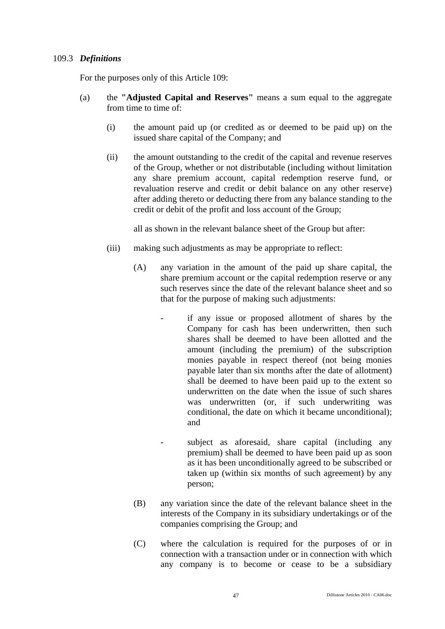# 109.3 *Definitions*

For the purposes only of this Article 109:

- (a) the **"Adjusted Capital and Reserves"** means a sum equal to the aggregate from time to time of:
	- (i) the amount paid up (or credited as or deemed to be paid up) on the issued share capital of the Company; and
	- (ii) the amount outstanding to the credit of the capital and revenue reserves of the Group, whether or not distributable (including without limitation any share premium account, capital redemption reserve fund, or revaluation reserve and credit or debit balance on any other reserve) after adding thereto or deducting there from any balance standing to the credit or debit of the profit and loss account of the Group;

all as shown in the relevant balance sheet of the Group but after:

- (iii) making such adjustments as may be appropriate to reflect:
	- (A) any variation in the amount of the paid up share capital, the share premium account or the capital redemption reserve or any such reserves since the date of the relevant balance sheet and so that for the purpose of making such adjustments:
		- if any issue or proposed allotment of shares by the Company for cash has been underwritten, then such shares shall be deemed to have been allotted and the amount (including the premium) of the subscription monies payable in respect thereof (not being monies payable later than six months after the date of allotment) shall be deemed to have been paid up to the extent so underwritten on the date when the issue of such shares was underwritten (or, if such underwriting was conditional, the date on which it became unconditional); and
		- subject as aforesaid, share capital (including any premium) shall be deemed to have been paid up as soon as it has been unconditionally agreed to be subscribed or taken up (within six months of such agreement) by any person;
	- (B) any variation since the date of the relevant balance sheet in the interests of the Company in its subsidiary undertakings or of the companies comprising the Group; and
	- (C) where the calculation is required for the purposes of or in connection with a transaction under or in connection with which any company is to become or cease to be a subsidiary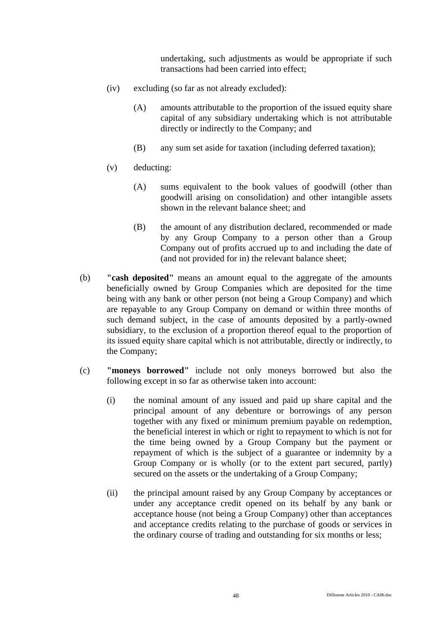undertaking, such adjustments as would be appropriate if such transactions had been carried into effect;

- (iv) excluding (so far as not already excluded):
	- (A) amounts attributable to the proportion of the issued equity share capital of any subsidiary undertaking which is not attributable directly or indirectly to the Company; and
	- (B) any sum set aside for taxation (including deferred taxation);
- (v) deducting:
	- (A) sums equivalent to the book values of goodwill (other than goodwill arising on consolidation) and other intangible assets shown in the relevant balance sheet; and
	- (B) the amount of any distribution declared, recommended or made by any Group Company to a person other than a Group Company out of profits accrued up to and including the date of (and not provided for in) the relevant balance sheet;
- (b) **"cash deposited"** means an amount equal to the aggregate of the amounts beneficially owned by Group Companies which are deposited for the time being with any bank or other person (not being a Group Company) and which are repayable to any Group Company on demand or within three months of such demand subject, in the case of amounts deposited by a partly-owned subsidiary, to the exclusion of a proportion thereof equal to the proportion of its issued equity share capital which is not attributable, directly or indirectly, to the Company;
- (c) **"moneys borrowed"** include not only moneys borrowed but also the following except in so far as otherwise taken into account:
	- (i) the nominal amount of any issued and paid up share capital and the principal amount of any debenture or borrowings of any person together with any fixed or minimum premium payable on redemption, the beneficial interest in which or right to repayment to which is not for the time being owned by a Group Company but the payment or repayment of which is the subject of a guarantee or indemnity by a Group Company or is wholly (or to the extent part secured, partly) secured on the assets or the undertaking of a Group Company;
	- (ii) the principal amount raised by any Group Company by acceptances or under any acceptance credit opened on its behalf by any bank or acceptance house (not being a Group Company) other than acceptances and acceptance credits relating to the purchase of goods or services in the ordinary course of trading and outstanding for six months or less;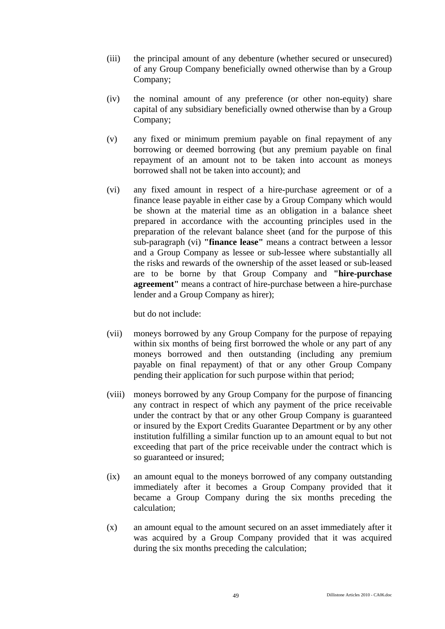- (iii) the principal amount of any debenture (whether secured or unsecured) of any Group Company beneficially owned otherwise than by a Group Company;
- (iv) the nominal amount of any preference (or other non-equity) share capital of any subsidiary beneficially owned otherwise than by a Group Company;
- (v) any fixed or minimum premium payable on final repayment of any borrowing or deemed borrowing (but any premium payable on final repayment of an amount not to be taken into account as moneys borrowed shall not be taken into account); and
- (vi) any fixed amount in respect of a hire-purchase agreement or of a finance lease payable in either case by a Group Company which would be shown at the material time as an obligation in a balance sheet prepared in accordance with the accounting principles used in the preparation of the relevant balance sheet (and for the purpose of this sub-paragraph (vi) **"finance lease"** means a contract between a lessor and a Group Company as lessee or sub-lessee where substantially all the risks and rewards of the ownership of the asset leased or sub-leased are to be borne by that Group Company and **"hire-purchase agreement"** means a contract of hire-purchase between a hire-purchase lender and a Group Company as hirer);

but do not include:

- (vii) moneys borrowed by any Group Company for the purpose of repaying within six months of being first borrowed the whole or any part of any moneys borrowed and then outstanding (including any premium payable on final repayment) of that or any other Group Company pending their application for such purpose within that period;
- (viii) moneys borrowed by any Group Company for the purpose of financing any contract in respect of which any payment of the price receivable under the contract by that or any other Group Company is guaranteed or insured by the Export Credits Guarantee Department or by any other institution fulfilling a similar function up to an amount equal to but not exceeding that part of the price receivable under the contract which is so guaranteed or insured;
- (ix) an amount equal to the moneys borrowed of any company outstanding immediately after it becomes a Group Company provided that it became a Group Company during the six months preceding the calculation;
- (x) an amount equal to the amount secured on an asset immediately after it was acquired by a Group Company provided that it was acquired during the six months preceding the calculation;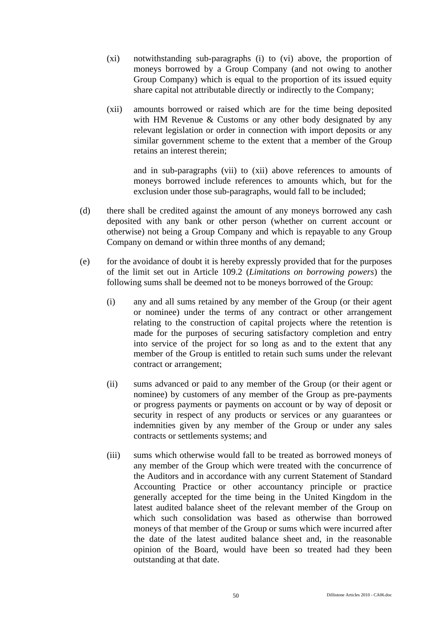- (xi) notwithstanding sub-paragraphs (i) to (vi) above, the proportion of moneys borrowed by a Group Company (and not owing to another Group Company) which is equal to the proportion of its issued equity share capital not attributable directly or indirectly to the Company;
- (xii) amounts borrowed or raised which are for the time being deposited with HM Revenue & Customs or any other body designated by any relevant legislation or order in connection with import deposits or any similar government scheme to the extent that a member of the Group retains an interest therein;

and in sub-paragraphs (vii) to (xii) above references to amounts of moneys borrowed include references to amounts which, but for the exclusion under those sub-paragraphs, would fall to be included;

- (d) there shall be credited against the amount of any moneys borrowed any cash deposited with any bank or other person (whether on current account or otherwise) not being a Group Company and which is repayable to any Group Company on demand or within three months of any demand;
- (e) for the avoidance of doubt it is hereby expressly provided that for the purposes of the limit set out in Article 109.2 (*Limitations on borrowing powers*) the following sums shall be deemed not to be moneys borrowed of the Group:
	- (i) any and all sums retained by any member of the Group (or their agent or nominee) under the terms of any contract or other arrangement relating to the construction of capital projects where the retention is made for the purposes of securing satisfactory completion and entry into service of the project for so long as and to the extent that any member of the Group is entitled to retain such sums under the relevant contract or arrangement;
	- (ii) sums advanced or paid to any member of the Group (or their agent or nominee) by customers of any member of the Group as pre-payments or progress payments or payments on account or by way of deposit or security in respect of any products or services or any guarantees or indemnities given by any member of the Group or under any sales contracts or settlements systems; and
	- (iii) sums which otherwise would fall to be treated as borrowed moneys of any member of the Group which were treated with the concurrence of the Auditors and in accordance with any current Statement of Standard Accounting Practice or other accountancy principle or practice generally accepted for the time being in the United Kingdom in the latest audited balance sheet of the relevant member of the Group on which such consolidation was based as otherwise than borrowed moneys of that member of the Group or sums which were incurred after the date of the latest audited balance sheet and, in the reasonable opinion of the Board, would have been so treated had they been outstanding at that date.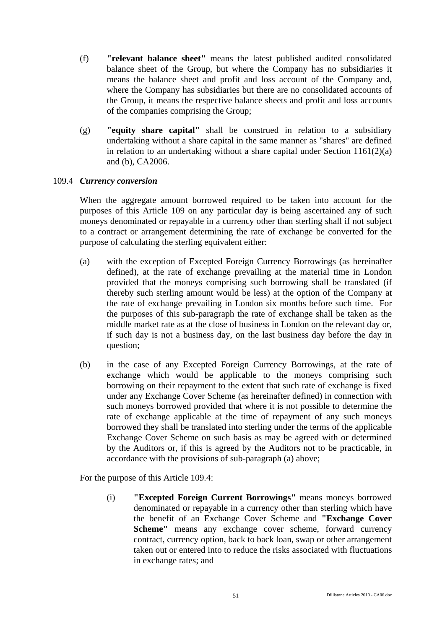- (f) **"relevant balance sheet"** means the latest published audited consolidated balance sheet of the Group, but where the Company has no subsidiaries it means the balance sheet and profit and loss account of the Company and, where the Company has subsidiaries but there are no consolidated accounts of the Group, it means the respective balance sheets and profit and loss accounts of the companies comprising the Group;
- (g) **"equity share capital"** shall be construed in relation to a subsidiary undertaking without a share capital in the same manner as "shares" are defined in relation to an undertaking without a share capital under Section 1161(2)(a) and (b), CA2006.

# 109.4 *Currency conversion*

When the aggregate amount borrowed required to be taken into account for the purposes of this Article 109 on any particular day is being ascertained any of such moneys denominated or repayable in a currency other than sterling shall if not subject to a contract or arrangement determining the rate of exchange be converted for the purpose of calculating the sterling equivalent either:

- (a) with the exception of Excepted Foreign Currency Borrowings (as hereinafter defined), at the rate of exchange prevailing at the material time in London provided that the moneys comprising such borrowing shall be translated (if thereby such sterling amount would be less) at the option of the Company at the rate of exchange prevailing in London six months before such time. For the purposes of this sub-paragraph the rate of exchange shall be taken as the middle market rate as at the close of business in London on the relevant day or, if such day is not a business day, on the last business day before the day in question;
- (b) in the case of any Excepted Foreign Currency Borrowings, at the rate of exchange which would be applicable to the moneys comprising such borrowing on their repayment to the extent that such rate of exchange is fixed under any Exchange Cover Scheme (as hereinafter defined) in connection with such moneys borrowed provided that where it is not possible to determine the rate of exchange applicable at the time of repayment of any such moneys borrowed they shall be translated into sterling under the terms of the applicable Exchange Cover Scheme on such basis as may be agreed with or determined by the Auditors or, if this is agreed by the Auditors not to be practicable, in accordance with the provisions of sub-paragraph (a) above;

For the purpose of this Article 109.4:

(i) **"Excepted Foreign Current Borrowings"** means moneys borrowed denominated or repayable in a currency other than sterling which have the benefit of an Exchange Cover Scheme and **"Exchange Cover Scheme"** means any exchange cover scheme, forward currency contract, currency option, back to back loan, swap or other arrangement taken out or entered into to reduce the risks associated with fluctuations in exchange rates; and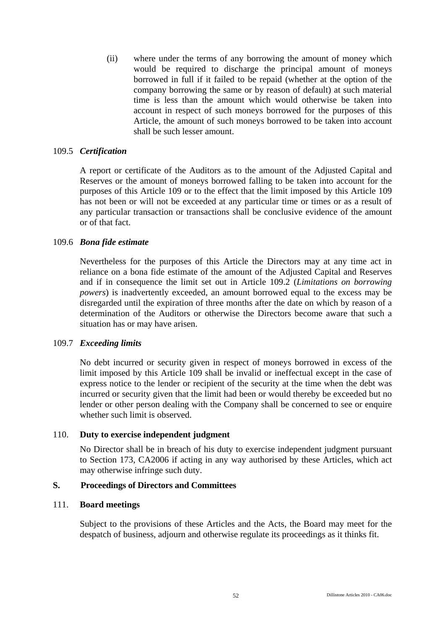(ii) where under the terms of any borrowing the amount of money which would be required to discharge the principal amount of moneys borrowed in full if it failed to be repaid (whether at the option of the company borrowing the same or by reason of default) at such material time is less than the amount which would otherwise be taken into account in respect of such moneys borrowed for the purposes of this Article, the amount of such moneys borrowed to be taken into account shall be such lesser amount.

### 109.5 *Certification*

A report or certificate of the Auditors as to the amount of the Adjusted Capital and Reserves or the amount of moneys borrowed falling to be taken into account for the purposes of this Article 109 or to the effect that the limit imposed by this Article 109 has not been or will not be exceeded at any particular time or times or as a result of any particular transaction or transactions shall be conclusive evidence of the amount or of that fact.

### 109.6 *Bona fide estimate*

Nevertheless for the purposes of this Article the Directors may at any time act in reliance on a bona fide estimate of the amount of the Adjusted Capital and Reserves and if in consequence the limit set out in Article 109.2 (*Limitations on borrowing powers*) is inadvertently exceeded, an amount borrowed equal to the excess may be disregarded until the expiration of three months after the date on which by reason of a determination of the Auditors or otherwise the Directors become aware that such a situation has or may have arisen.

### 109.7 *Exceeding limits*

No debt incurred or security given in respect of moneys borrowed in excess of the limit imposed by this Article 109 shall be invalid or ineffectual except in the case of express notice to the lender or recipient of the security at the time when the debt was incurred or security given that the limit had been or would thereby be exceeded but no lender or other person dealing with the Company shall be concerned to see or enquire whether such limit is observed.

#### 110. **Duty to exercise independent judgment**

No Director shall be in breach of his duty to exercise independent judgment pursuant to Section 173, CA2006 if acting in any way authorised by these Articles, which act may otherwise infringe such duty.

#### **S. Proceedings of Directors and Committees**

#### 111. **Board meetings**

Subject to the provisions of these Articles and the Acts, the Board may meet for the despatch of business, adjourn and otherwise regulate its proceedings as it thinks fit.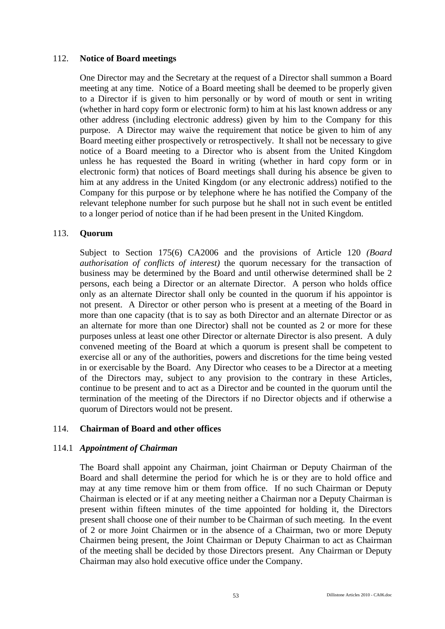# 112. **Notice of Board meetings**

One Director may and the Secretary at the request of a Director shall summon a Board meeting at any time. Notice of a Board meeting shall be deemed to be properly given to a Director if is given to him personally or by word of mouth or sent in writing (whether in hard copy form or electronic form) to him at his last known address or any other address (including electronic address) given by him to the Company for this purpose. A Director may waive the requirement that notice be given to him of any Board meeting either prospectively or retrospectively. It shall not be necessary to give notice of a Board meeting to a Director who is absent from the United Kingdom unless he has requested the Board in writing (whether in hard copy form or in electronic form) that notices of Board meetings shall during his absence be given to him at any address in the United Kingdom (or any electronic address) notified to the Company for this purpose or by telephone where he has notified the Company of the relevant telephone number for such purpose but he shall not in such event be entitled to a longer period of notice than if he had been present in the United Kingdom.

# 113. **Quorum**

Subject to Section 175(6) CA2006 and the provisions of Article 120 *(Board authorisation of conflicts of interest)* the quorum necessary for the transaction of business may be determined by the Board and until otherwise determined shall be 2 persons, each being a Director or an alternate Director. A person who holds office only as an alternate Director shall only be counted in the quorum if his appointor is not present. A Director or other person who is present at a meeting of the Board in more than one capacity (that is to say as both Director and an alternate Director or as an alternate for more than one Director) shall not be counted as 2 or more for these purposes unless at least one other Director or alternate Director is also present. A duly convened meeting of the Board at which a quorum is present shall be competent to exercise all or any of the authorities, powers and discretions for the time being vested in or exercisable by the Board. Any Director who ceases to be a Director at a meeting of the Directors may, subject to any provision to the contrary in these Articles, continue to be present and to act as a Director and be counted in the quorum until the termination of the meeting of the Directors if no Director objects and if otherwise a quorum of Directors would not be present.

# 114. **Chairman of Board and other offices**

# 114.1 *Appointment of Chairman*

The Board shall appoint any Chairman, joint Chairman or Deputy Chairman of the Board and shall determine the period for which he is or they are to hold office and may at any time remove him or them from office. If no such Chairman or Deputy Chairman is elected or if at any meeting neither a Chairman nor a Deputy Chairman is present within fifteen minutes of the time appointed for holding it, the Directors present shall choose one of their number to be Chairman of such meeting. In the event of 2 or more Joint Chairmen or in the absence of a Chairman, two or more Deputy Chairmen being present, the Joint Chairman or Deputy Chairman to act as Chairman of the meeting shall be decided by those Directors present. Any Chairman or Deputy Chairman may also hold executive office under the Company.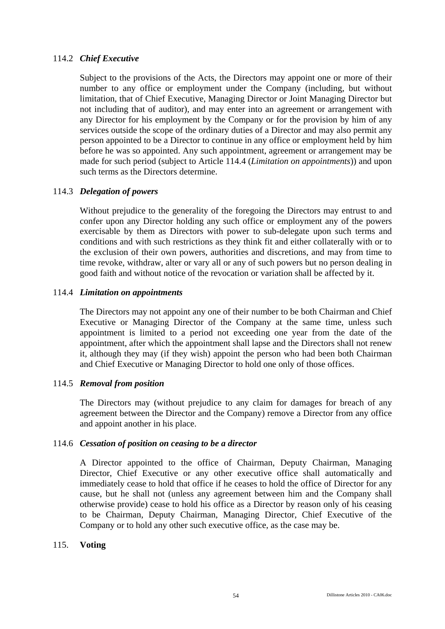# 114.2 *Chief Executive*

Subject to the provisions of the Acts, the Directors may appoint one or more of their number to any office or employment under the Company (including, but without limitation, that of Chief Executive, Managing Director or Joint Managing Director but not including that of auditor), and may enter into an agreement or arrangement with any Director for his employment by the Company or for the provision by him of any services outside the scope of the ordinary duties of a Director and may also permit any person appointed to be a Director to continue in any office or employment held by him before he was so appointed. Any such appointment, agreement or arrangement may be made for such period (subject to Article 114.4 (*Limitation on appointments*)) and upon such terms as the Directors determine.

# 114.3 *Delegation of powers*

Without prejudice to the generality of the foregoing the Directors may entrust to and confer upon any Director holding any such office or employment any of the powers exercisable by them as Directors with power to sub-delegate upon such terms and conditions and with such restrictions as they think fit and either collaterally with or to the exclusion of their own powers, authorities and discretions, and may from time to time revoke, withdraw, alter or vary all or any of such powers but no person dealing in good faith and without notice of the revocation or variation shall be affected by it.

# 114.4 *Limitation on appointments*

The Directors may not appoint any one of their number to be both Chairman and Chief Executive or Managing Director of the Company at the same time, unless such appointment is limited to a period not exceeding one year from the date of the appointment, after which the appointment shall lapse and the Directors shall not renew it, although they may (if they wish) appoint the person who had been both Chairman and Chief Executive or Managing Director to hold one only of those offices.

# 114.5 *Removal from position*

The Directors may (without prejudice to any claim for damages for breach of any agreement between the Director and the Company) remove a Director from any office and appoint another in his place.

# 114.6 *Cessation of position on ceasing to be a director*

A Director appointed to the office of Chairman, Deputy Chairman, Managing Director, Chief Executive or any other executive office shall automatically and immediately cease to hold that office if he ceases to hold the office of Director for any cause, but he shall not (unless any agreement between him and the Company shall otherwise provide) cease to hold his office as a Director by reason only of his ceasing to be Chairman, Deputy Chairman, Managing Director, Chief Executive of the Company or to hold any other such executive office, as the case may be.

# 115. **Voting**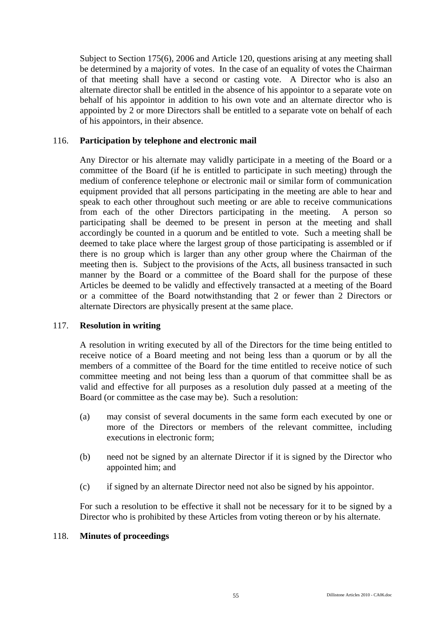Subject to Section 175(6), 2006 and Article 120, questions arising at any meeting shall be determined by a majority of votes. In the case of an equality of votes the Chairman of that meeting shall have a second or casting vote. A Director who is also an alternate director shall be entitled in the absence of his appointor to a separate vote on behalf of his appointor in addition to his own vote and an alternate director who is appointed by 2 or more Directors shall be entitled to a separate vote on behalf of each of his appointors, in their absence.

# 116. **Participation by telephone and electronic mail**

Any Director or his alternate may validly participate in a meeting of the Board or a committee of the Board (if he is entitled to participate in such meeting) through the medium of conference telephone or electronic mail or similar form of communication equipment provided that all persons participating in the meeting are able to hear and speak to each other throughout such meeting or are able to receive communications from each of the other Directors participating in the meeting. A person so participating shall be deemed to be present in person at the meeting and shall accordingly be counted in a quorum and be entitled to vote. Such a meeting shall be deemed to take place where the largest group of those participating is assembled or if there is no group which is larger than any other group where the Chairman of the meeting then is. Subject to the provisions of the Acts, all business transacted in such manner by the Board or a committee of the Board shall for the purpose of these Articles be deemed to be validly and effectively transacted at a meeting of the Board or a committee of the Board notwithstanding that 2 or fewer than 2 Directors or alternate Directors are physically present at the same place.

# 117. **Resolution in writing**

A resolution in writing executed by all of the Directors for the time being entitled to receive notice of a Board meeting and not being less than a quorum or by all the members of a committee of the Board for the time entitled to receive notice of such committee meeting and not being less than a quorum of that committee shall be as valid and effective for all purposes as a resolution duly passed at a meeting of the Board (or committee as the case may be). Such a resolution:

- (a) may consist of several documents in the same form each executed by one or more of the Directors or members of the relevant committee, including executions in electronic form;
- (b) need not be signed by an alternate Director if it is signed by the Director who appointed him; and
- (c) if signed by an alternate Director need not also be signed by his appointor.

For such a resolution to be effective it shall not be necessary for it to be signed by a Director who is prohibited by these Articles from voting thereon or by his alternate.

# 118. **Minutes of proceedings**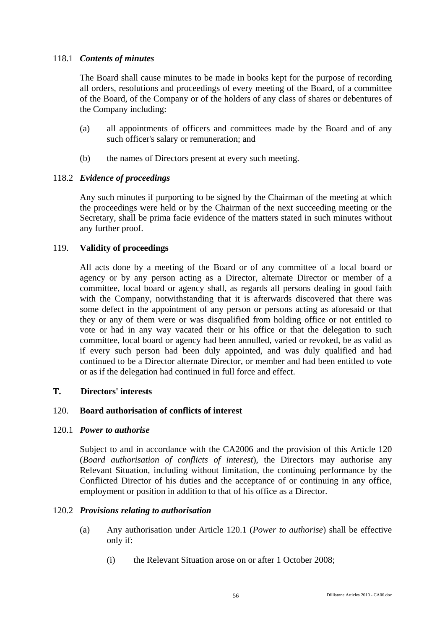# 118.1 *Contents of minutes*

The Board shall cause minutes to be made in books kept for the purpose of recording all orders, resolutions and proceedings of every meeting of the Board, of a committee of the Board, of the Company or of the holders of any class of shares or debentures of the Company including:

- (a) all appointments of officers and committees made by the Board and of any such officer's salary or remuneration; and
- (b) the names of Directors present at every such meeting.

# 118.2 *Evidence of proceedings*

Any such minutes if purporting to be signed by the Chairman of the meeting at which the proceedings were held or by the Chairman of the next succeeding meeting or the Secretary, shall be prima facie evidence of the matters stated in such minutes without any further proof.

# 119. **Validity of proceedings**

All acts done by a meeting of the Board or of any committee of a local board or agency or by any person acting as a Director, alternate Director or member of a committee, local board or agency shall, as regards all persons dealing in good faith with the Company, notwithstanding that it is afterwards discovered that there was some defect in the appointment of any person or persons acting as aforesaid or that they or any of them were or was disqualified from holding office or not entitled to vote or had in any way vacated their or his office or that the delegation to such committee, local board or agency had been annulled, varied or revoked, be as valid as if every such person had been duly appointed, and was duly qualified and had continued to be a Director alternate Director, or member and had been entitled to vote or as if the delegation had continued in full force and effect.

# **T. Directors' interests**

# 120. **Board authorisation of conflicts of interest**

# 120.1 *Power to authorise*

Subject to and in accordance with the CA2006 and the provision of this Article 120 (*Board authorisation of conflicts of interest*), the Directors may authorise any Relevant Situation, including without limitation, the continuing performance by the Conflicted Director of his duties and the acceptance of or continuing in any office, employment or position in addition to that of his office as a Director.

# 120.2 *Provisions relating to authorisation*

- (a) Any authorisation under Article 120.1 (*Power to authorise*) shall be effective only if:
	- (i) the Relevant Situation arose on or after 1 October 2008;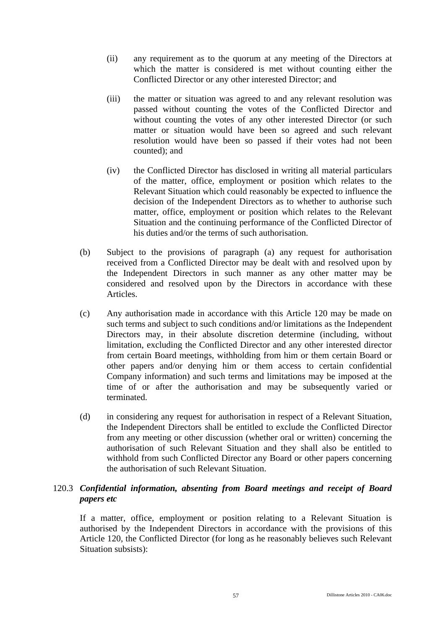- (ii) any requirement as to the quorum at any meeting of the Directors at which the matter is considered is met without counting either the Conflicted Director or any other interested Director; and
- (iii) the matter or situation was agreed to and any relevant resolution was passed without counting the votes of the Conflicted Director and without counting the votes of any other interested Director (or such matter or situation would have been so agreed and such relevant resolution would have been so passed if their votes had not been counted); and
- (iv) the Conflicted Director has disclosed in writing all material particulars of the matter, office, employment or position which relates to the Relevant Situation which could reasonably be expected to influence the decision of the Independent Directors as to whether to authorise such matter, office, employment or position which relates to the Relevant Situation and the continuing performance of the Conflicted Director of his duties and/or the terms of such authorisation.
- (b) Subject to the provisions of paragraph (a) any request for authorisation received from a Conflicted Director may be dealt with and resolved upon by the Independent Directors in such manner as any other matter may be considered and resolved upon by the Directors in accordance with these **Articles**
- (c) Any authorisation made in accordance with this Article 120 may be made on such terms and subject to such conditions and/or limitations as the Independent Directors may, in their absolute discretion determine (including, without limitation, excluding the Conflicted Director and any other interested director from certain Board meetings, withholding from him or them certain Board or other papers and/or denying him or them access to certain confidential Company information) and such terms and limitations may be imposed at the time of or after the authorisation and may be subsequently varied or terminated.
- (d) in considering any request for authorisation in respect of a Relevant Situation, the Independent Directors shall be entitled to exclude the Conflicted Director from any meeting or other discussion (whether oral or written) concerning the authorisation of such Relevant Situation and they shall also be entitled to withhold from such Conflicted Director any Board or other papers concerning the authorisation of such Relevant Situation.

# 120.3 *Confidential information, absenting from Board meetings and receipt of Board papers etc*

If a matter, office, employment or position relating to a Relevant Situation is authorised by the Independent Directors in accordance with the provisions of this Article 120, the Conflicted Director (for long as he reasonably believes such Relevant Situation subsists):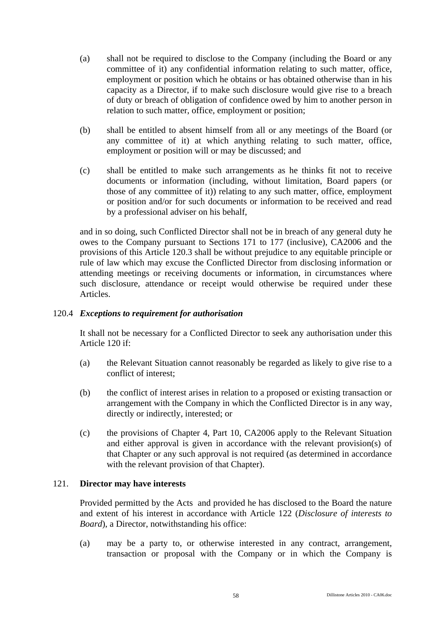- (a) shall not be required to disclose to the Company (including the Board or any committee of it) any confidential information relating to such matter, office, employment or position which he obtains or has obtained otherwise than in his capacity as a Director, if to make such disclosure would give rise to a breach of duty or breach of obligation of confidence owed by him to another person in relation to such matter, office, employment or position;
- (b) shall be entitled to absent himself from all or any meetings of the Board (or any committee of it) at which anything relating to such matter, office, employment or position will or may be discussed; and
- (c) shall be entitled to make such arrangements as he thinks fit not to receive documents or information (including, without limitation, Board papers (or those of any committee of it)) relating to any such matter, office, employment or position and/or for such documents or information to be received and read by a professional adviser on his behalf,

and in so doing, such Conflicted Director shall not be in breach of any general duty he owes to the Company pursuant to Sections 171 to 177 (inclusive), CA2006 and the provisions of this Article 120.3 shall be without prejudice to any equitable principle or rule of law which may excuse the Conflicted Director from disclosing information or attending meetings or receiving documents or information, in circumstances where such disclosure, attendance or receipt would otherwise be required under these Articles.

# 120.4 *Exceptions to requirement for authorisation*

It shall not be necessary for a Conflicted Director to seek any authorisation under this Article 120 if:

- (a) the Relevant Situation cannot reasonably be regarded as likely to give rise to a conflict of interest;
- (b) the conflict of interest arises in relation to a proposed or existing transaction or arrangement with the Company in which the Conflicted Director is in any way, directly or indirectly, interested; or
- (c) the provisions of Chapter 4, Part 10, CA2006 apply to the Relevant Situation and either approval is given in accordance with the relevant provision(s) of that Chapter or any such approval is not required (as determined in accordance with the relevant provision of that Chapter).

# 121. **Director may have interests**

Provided permitted by the Acts and provided he has disclosed to the Board the nature and extent of his interest in accordance with Article 122 (*Disclosure of interests to Board*), a Director, notwithstanding his office:

(a) may be a party to, or otherwise interested in any contract, arrangement, transaction or proposal with the Company or in which the Company is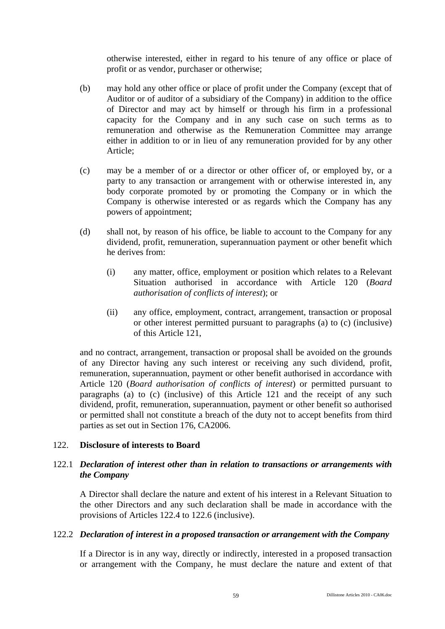otherwise interested, either in regard to his tenure of any office or place of profit or as vendor, purchaser or otherwise;

- (b) may hold any other office or place of profit under the Company (except that of Auditor or of auditor of a subsidiary of the Company) in addition to the office of Director and may act by himself or through his firm in a professional capacity for the Company and in any such case on such terms as to remuneration and otherwise as the Remuneration Committee may arrange either in addition to or in lieu of any remuneration provided for by any other Article;
- (c) may be a member of or a director or other officer of, or employed by, or a party to any transaction or arrangement with or otherwise interested in, any body corporate promoted by or promoting the Company or in which the Company is otherwise interested or as regards which the Company has any powers of appointment;
- (d) shall not, by reason of his office, be liable to account to the Company for any dividend, profit, remuneration, superannuation payment or other benefit which he derives from:
	- (i) any matter, office, employment or position which relates to a Relevant Situation authorised in accordance with Article 120 (*Board authorisation of conflicts of interest*); or
	- (ii) any office, employment, contract, arrangement, transaction or proposal or other interest permitted pursuant to paragraphs (a) to (c) (inclusive) of this Article 121,

and no contract, arrangement, transaction or proposal shall be avoided on the grounds of any Director having any such interest or receiving any such dividend, profit, remuneration, superannuation, payment or other benefit authorised in accordance with Article 120 (*Board authorisation of conflicts of interest*) or permitted pursuant to paragraphs (a) to (c) (inclusive) of this Article 121 and the receipt of any such dividend, profit, remuneration, superannuation, payment or other benefit so authorised or permitted shall not constitute a breach of the duty not to accept benefits from third parties as set out in Section 176, CA2006.

# 122. **Disclosure of interests to Board**

# 122.1 *Declaration of interest other than in relation to transactions or arrangements with the Company*

A Director shall declare the nature and extent of his interest in a Relevant Situation to the other Directors and any such declaration shall be made in accordance with the provisions of Articles 122.4 to 122.6 (inclusive).

# 122.2 *Declaration of interest in a proposed transaction or arrangement with the Company*

If a Director is in any way, directly or indirectly, interested in a proposed transaction or arrangement with the Company, he must declare the nature and extent of that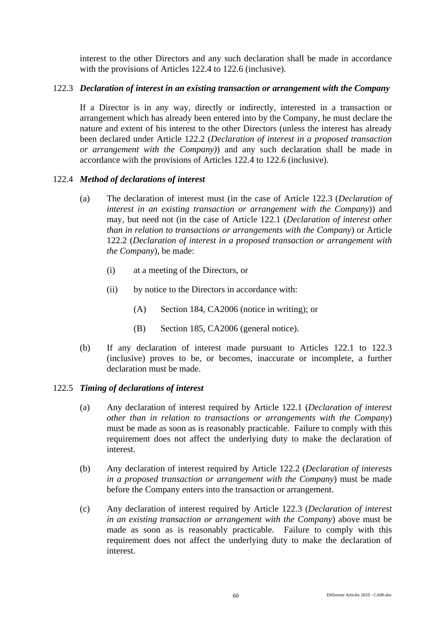interest to the other Directors and any such declaration shall be made in accordance with the provisions of Articles 122.4 to 122.6 (inclusive).

# 122.3 *Declaration of interest in an existing transaction or arrangement with the Company*

If a Director is in any way, directly or indirectly, interested in a transaction or arrangement which has already been entered into by the Company, he must declare the nature and extent of his interest to the other Directors (unless the interest has already been declared under Article 122.2 (*Declaration of interest in a proposed transaction or arrangement with the Company)*) and any such declaration shall be made in accordance with the provisions of Articles 122.4 to 122.6 (inclusive).

# 122.4 *Method of declarations of interest*

- (a) The declaration of interest must (in the case of Article 122.3 (*Declaration of interest in an existing transaction or arrangement with the Company*)) and may, but need not (in the case of Article 122.1 (*Declaration of interest other than in relation to transactions or arrangements with the Company*) or Article 122.2 (*Declaration of interest in a proposed transaction or arrangement with the Company*), be made:
	- (i) at a meeting of the Directors, or
	- (ii) by notice to the Directors in accordance with:
		- (A) Section 184, CA2006 (notice in writing); or
		- (B) Section 185, CA2006 (general notice).
- (b) If any declaration of interest made pursuant to Articles 122.1 to 122.3 (inclusive) proves to be, or becomes, inaccurate or incomplete, a further declaration must be made.

# 122.5 *Timing of declarations of interest*

- (a) Any declaration of interest required by Article 122.1 (*Declaration of interest other than in relation to transactions or arrangements with the Company*) must be made as soon as is reasonably practicable. Failure to comply with this requirement does not affect the underlying duty to make the declaration of interest.
- (b) Any declaration of interest required by Article 122.2 (*Declaration of interests in a proposed transaction or arrangement with the Company*) must be made before the Company enters into the transaction or arrangement.
- (c) Any declaration of interest required by Article 122.3 (*Declaration of interest in an existing transaction or arrangement with the Company*) above must be made as soon as is reasonably practicable. Failure to comply with this requirement does not affect the underlying duty to make the declaration of interest.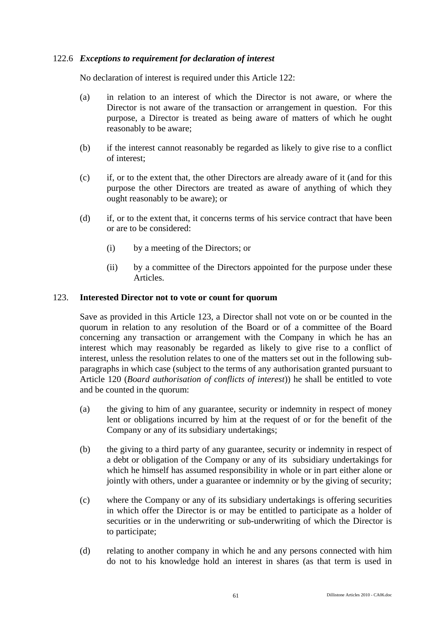# 122.6 *Exceptions to requirement for declaration of interest*

No declaration of interest is required under this Article 122:

- (a) in relation to an interest of which the Director is not aware, or where the Director is not aware of the transaction or arrangement in question. For this purpose, a Director is treated as being aware of matters of which he ought reasonably to be aware;
- (b) if the interest cannot reasonably be regarded as likely to give rise to a conflict of interest;
- (c) if, or to the extent that, the other Directors are already aware of it (and for this purpose the other Directors are treated as aware of anything of which they ought reasonably to be aware); or
- (d) if, or to the extent that, it concerns terms of his service contract that have been or are to be considered:
	- (i) by a meeting of the Directors; or
	- (ii) by a committee of the Directors appointed for the purpose under these Articles.

# 123. **Interested Director not to vote or count for quorum**

Save as provided in this Article 123, a Director shall not vote on or be counted in the quorum in relation to any resolution of the Board or of a committee of the Board concerning any transaction or arrangement with the Company in which he has an interest which may reasonably be regarded as likely to give rise to a conflict of interest, unless the resolution relates to one of the matters set out in the following subparagraphs in which case (subject to the terms of any authorisation granted pursuant to Article 120 (*Board authorisation of conflicts of interest*)) he shall be entitled to vote and be counted in the quorum:

- (a) the giving to him of any guarantee, security or indemnity in respect of money lent or obligations incurred by him at the request of or for the benefit of the Company or any of its subsidiary undertakings;
- (b) the giving to a third party of any guarantee, security or indemnity in respect of a debt or obligation of the Company or any of its subsidiary undertakings for which he himself has assumed responsibility in whole or in part either alone or jointly with others, under a guarantee or indemnity or by the giving of security;
- (c) where the Company or any of its subsidiary undertakings is offering securities in which offer the Director is or may be entitled to participate as a holder of securities or in the underwriting or sub-underwriting of which the Director is to participate;
- (d) relating to another company in which he and any persons connected with him do not to his knowledge hold an interest in shares (as that term is used in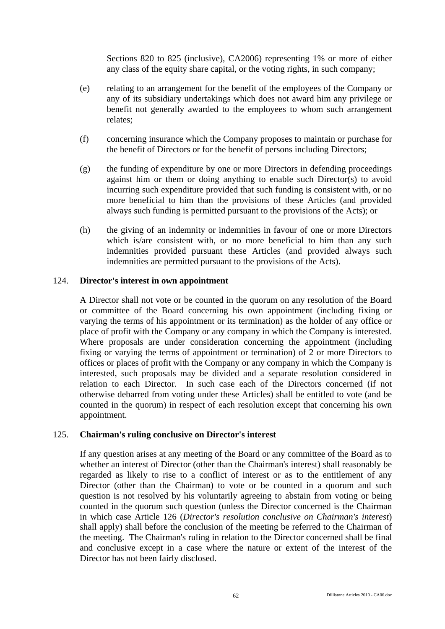Sections 820 to 825 (inclusive), CA2006) representing 1% or more of either any class of the equity share capital, or the voting rights, in such company;

- (e) relating to an arrangement for the benefit of the employees of the Company or any of its subsidiary undertakings which does not award him any privilege or benefit not generally awarded to the employees to whom such arrangement relates;
- (f) concerning insurance which the Company proposes to maintain or purchase for the benefit of Directors or for the benefit of persons including Directors;
- (g) the funding of expenditure by one or more Directors in defending proceedings against him or them or doing anything to enable such Director(s) to avoid incurring such expenditure provided that such funding is consistent with, or no more beneficial to him than the provisions of these Articles (and provided always such funding is permitted pursuant to the provisions of the Acts); or
- (h) the giving of an indemnity or indemnities in favour of one or more Directors which is/are consistent with, or no more beneficial to him than any such indemnities provided pursuant these Articles (and provided always such indemnities are permitted pursuant to the provisions of the Acts).

# 124. **Director's interest in own appointment**

A Director shall not vote or be counted in the quorum on any resolution of the Board or committee of the Board concerning his own appointment (including fixing or varying the terms of his appointment or its termination) as the holder of any office or place of profit with the Company or any company in which the Company is interested. Where proposals are under consideration concerning the appointment (including fixing or varying the terms of appointment or termination) of 2 or more Directors to offices or places of profit with the Company or any company in which the Company is interested, such proposals may be divided and a separate resolution considered in relation to each Director. In such case each of the Directors concerned (if not otherwise debarred from voting under these Articles) shall be entitled to vote (and be counted in the quorum) in respect of each resolution except that concerning his own appointment.

# 125. **Chairman's ruling conclusive on Director's interest**

If any question arises at any meeting of the Board or any committee of the Board as to whether an interest of Director (other than the Chairman's interest) shall reasonably be regarded as likely to rise to a conflict of interest or as to the entitlement of any Director (other than the Chairman) to vote or be counted in a quorum and such question is not resolved by his voluntarily agreeing to abstain from voting or being counted in the quorum such question (unless the Director concerned is the Chairman in which case Article 126 (*Director's resolution conclusive on Chairman's interest*) shall apply) shall before the conclusion of the meeting be referred to the Chairman of the meeting. The Chairman's ruling in relation to the Director concerned shall be final and conclusive except in a case where the nature or extent of the interest of the Director has not been fairly disclosed.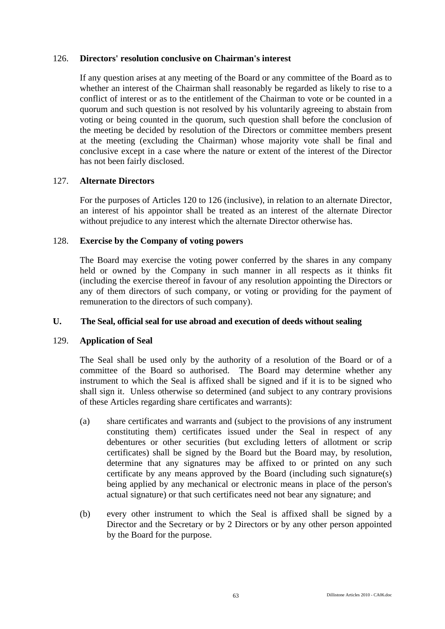### 126. **Directors' resolution conclusive on Chairman's interest**

If any question arises at any meeting of the Board or any committee of the Board as to whether an interest of the Chairman shall reasonably be regarded as likely to rise to a conflict of interest or as to the entitlement of the Chairman to vote or be counted in a quorum and such question is not resolved by his voluntarily agreeing to abstain from voting or being counted in the quorum, such question shall before the conclusion of the meeting be decided by resolution of the Directors or committee members present at the meeting (excluding the Chairman) whose majority vote shall be final and conclusive except in a case where the nature or extent of the interest of the Director has not been fairly disclosed.

# 127. **Alternate Directors**

For the purposes of Articles 120 to 126 (inclusive), in relation to an alternate Director, an interest of his appointor shall be treated as an interest of the alternate Director without prejudice to any interest which the alternate Director otherwise has.

# 128. **Exercise by the Company of voting powers**

The Board may exercise the voting power conferred by the shares in any company held or owned by the Company in such manner in all respects as it thinks fit (including the exercise thereof in favour of any resolution appointing the Directors or any of them directors of such company, or voting or providing for the payment of remuneration to the directors of such company).

# **U. The Seal, official seal for use abroad and execution of deeds without sealing**

# 129. **Application of Seal**

The Seal shall be used only by the authority of a resolution of the Board or of a committee of the Board so authorised. The Board may determine whether any instrument to which the Seal is affixed shall be signed and if it is to be signed who shall sign it. Unless otherwise so determined (and subject to any contrary provisions of these Articles regarding share certificates and warrants):

- (a) share certificates and warrants and (subject to the provisions of any instrument constituting them) certificates issued under the Seal in respect of any debentures or other securities (but excluding letters of allotment or scrip certificates) shall be signed by the Board but the Board may, by resolution, determine that any signatures may be affixed to or printed on any such certificate by any means approved by the Board (including such signature(s) being applied by any mechanical or electronic means in place of the person's actual signature) or that such certificates need not bear any signature; and
- (b) every other instrument to which the Seal is affixed shall be signed by a Director and the Secretary or by 2 Directors or by any other person appointed by the Board for the purpose.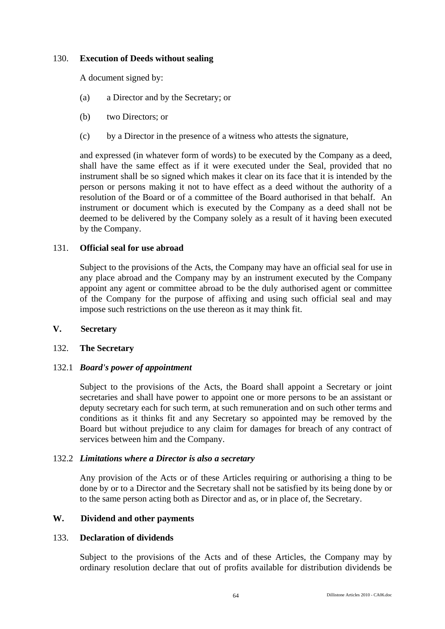# 130. **Execution of Deeds without sealing**

A document signed by:

- (a) a Director and by the Secretary; or
- (b) two Directors; or
- (c) by a Director in the presence of a witness who attests the signature,

and expressed (in whatever form of words) to be executed by the Company as a deed, shall have the same effect as if it were executed under the Seal, provided that no instrument shall be so signed which makes it clear on its face that it is intended by the person or persons making it not to have effect as a deed without the authority of a resolution of the Board or of a committee of the Board authorised in that behalf. An instrument or document which is executed by the Company as a deed shall not be deemed to be delivered by the Company solely as a result of it having been executed by the Company.

### 131. **Official seal for use abroad**

Subject to the provisions of the Acts, the Company may have an official seal for use in any place abroad and the Company may by an instrument executed by the Company appoint any agent or committee abroad to be the duly authorised agent or committee of the Company for the purpose of affixing and using such official seal and may impose such restrictions on the use thereon as it may think fit.

### **V. Secretary**

# 132. **The Secretary**

# 132.1 *Board's power of appointment*

Subject to the provisions of the Acts, the Board shall appoint a Secretary or joint secretaries and shall have power to appoint one or more persons to be an assistant or deputy secretary each for such term, at such remuneration and on such other terms and conditions as it thinks fit and any Secretary so appointed may be removed by the Board but without prejudice to any claim for damages for breach of any contract of services between him and the Company.

### 132.2 *Limitations where a Director is also a secretary*

Any provision of the Acts or of these Articles requiring or authorising a thing to be done by or to a Director and the Secretary shall not be satisfied by its being done by or to the same person acting both as Director and as, or in place of, the Secretary.

#### **W. Dividend and other payments**

#### 133. **Declaration of dividends**

Subject to the provisions of the Acts and of these Articles, the Company may by ordinary resolution declare that out of profits available for distribution dividends be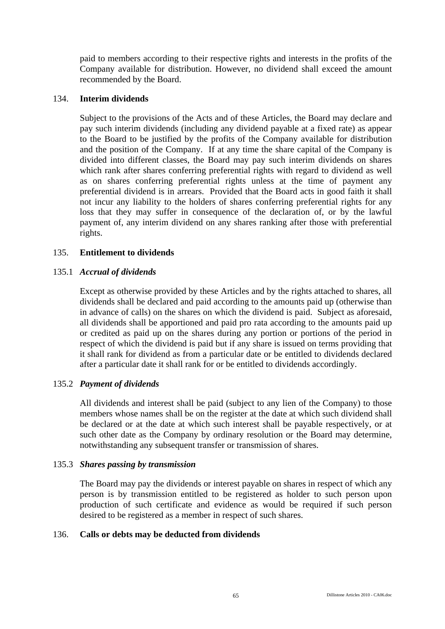paid to members according to their respective rights and interests in the profits of the Company available for distribution. However, no dividend shall exceed the amount recommended by the Board.

# 134. **Interim dividends**

Subject to the provisions of the Acts and of these Articles, the Board may declare and pay such interim dividends (including any dividend payable at a fixed rate) as appear to the Board to be justified by the profits of the Company available for distribution and the position of the Company. If at any time the share capital of the Company is divided into different classes, the Board may pay such interim dividends on shares which rank after shares conferring preferential rights with regard to dividend as well as on shares conferring preferential rights unless at the time of payment any preferential dividend is in arrears. Provided that the Board acts in good faith it shall not incur any liability to the holders of shares conferring preferential rights for any loss that they may suffer in consequence of the declaration of, or by the lawful payment of, any interim dividend on any shares ranking after those with preferential rights.

# 135. **Entitlement to dividends**

# 135.1 *Accrual of dividends*

Except as otherwise provided by these Articles and by the rights attached to shares, all dividends shall be declared and paid according to the amounts paid up (otherwise than in advance of calls) on the shares on which the dividend is paid. Subject as aforesaid, all dividends shall be apportioned and paid pro rata according to the amounts paid up or credited as paid up on the shares during any portion or portions of the period in respect of which the dividend is paid but if any share is issued on terms providing that it shall rank for dividend as from a particular date or be entitled to dividends declared after a particular date it shall rank for or be entitled to dividends accordingly.

# 135.2 *Payment of dividends*

All dividends and interest shall be paid (subject to any lien of the Company) to those members whose names shall be on the register at the date at which such dividend shall be declared or at the date at which such interest shall be payable respectively, or at such other date as the Company by ordinary resolution or the Board may determine, notwithstanding any subsequent transfer or transmission of shares.

#### 135.3 *Shares passing by transmission*

The Board may pay the dividends or interest payable on shares in respect of which any person is by transmission entitled to be registered as holder to such person upon production of such certificate and evidence as would be required if such person desired to be registered as a member in respect of such shares.

# 136. **Calls or debts may be deducted from dividends**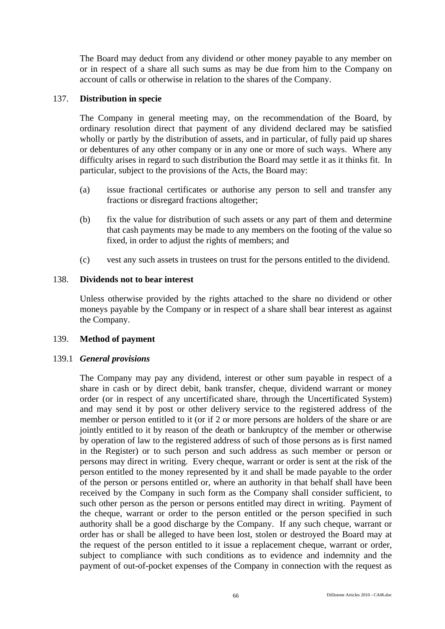The Board may deduct from any dividend or other money payable to any member on or in respect of a share all such sums as may be due from him to the Company on account of calls or otherwise in relation to the shares of the Company.

# 137. **Distribution in specie**

The Company in general meeting may, on the recommendation of the Board, by ordinary resolution direct that payment of any dividend declared may be satisfied wholly or partly by the distribution of assets, and in particular, of fully paid up shares or debentures of any other company or in any one or more of such ways. Where any difficulty arises in regard to such distribution the Board may settle it as it thinks fit. In particular, subject to the provisions of the Acts, the Board may:

- (a) issue fractional certificates or authorise any person to sell and transfer any fractions or disregard fractions altogether;
- (b) fix the value for distribution of such assets or any part of them and determine that cash payments may be made to any members on the footing of the value so fixed, in order to adjust the rights of members; and
- (c) vest any such assets in trustees on trust for the persons entitled to the dividend.

# 138. **Dividends not to bear interest**

Unless otherwise provided by the rights attached to the share no dividend or other moneys payable by the Company or in respect of a share shall bear interest as against the Company.

# 139. **Method of payment**

# 139.1 *General provisions*

The Company may pay any dividend, interest or other sum payable in respect of a share in cash or by direct debit, bank transfer, cheque, dividend warrant or money order (or in respect of any uncertificated share, through the Uncertificated System) and may send it by post or other delivery service to the registered address of the member or person entitled to it (or if 2 or more persons are holders of the share or are jointly entitled to it by reason of the death or bankruptcy of the member or otherwise by operation of law to the registered address of such of those persons as is first named in the Register) or to such person and such address as such member or person or persons may direct in writing. Every cheque, warrant or order is sent at the risk of the person entitled to the money represented by it and shall be made payable to the order of the person or persons entitled or, where an authority in that behalf shall have been received by the Company in such form as the Company shall consider sufficient, to such other person as the person or persons entitled may direct in writing. Payment of the cheque, warrant or order to the person entitled or the person specified in such authority shall be a good discharge by the Company. If any such cheque, warrant or order has or shall be alleged to have been lost, stolen or destroyed the Board may at the request of the person entitled to it issue a replacement cheque, warrant or order, subject to compliance with such conditions as to evidence and indemnity and the payment of out-of-pocket expenses of the Company in connection with the request as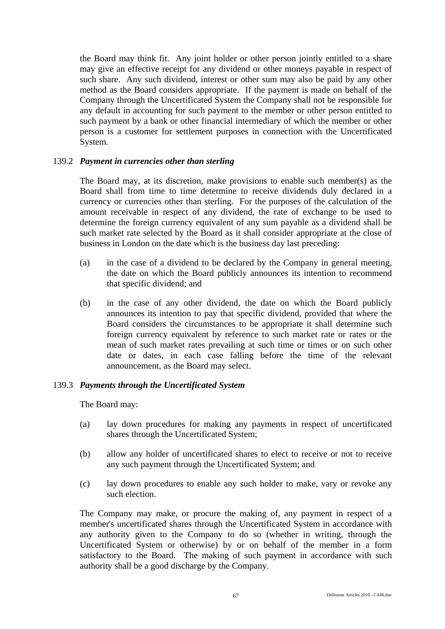the Board may think fit. Any joint holder or other person jointly entitled to a share may give an effective receipt for any dividend or other moneys payable in respect of such share. Any such dividend, interest or other sum may also be paid by any other method as the Board considers appropriate. If the payment is made on behalf of the Company through the Uncertificated System the Company shall not be responsible for any default in accounting for such payment to the member or other person entitled to such payment by a bank or other financial intermediary of which the member or other person is a customer for settlement purposes in connection with the Uncertificated System.

## 139.2 *Payment in currencies other than sterling*

The Board may, at its discretion, make provisions to enable such member(s) as the Board shall from time to time determine to receive dividends duly declared in a currency or currencies other than sterling. For the purposes of the calculation of the amount receivable in respect of any dividend, the rate of exchange to be used to determine the foreign currency equivalent of any sum payable as a dividend shall be such market rate selected by the Board as it shall consider appropriate at the close of business in London on the date which is the business day last preceding:

- (a) in the case of a dividend to be declared by the Company in general meeting, the date on which the Board publicly announces its intention to recommend that specific dividend; and
- (b) in the case of any other dividend, the date on which the Board publicly announces its intention to pay that specific dividend, provided that where the Board considers the circumstances to be appropriate it shall determine such foreign currency equivalent by reference to such market rate or rates or the mean of such market rates prevailing at such time or times or on such other date or dates, in each case falling before the time of the relevant announcement, as the Board may select.

## 139.3 *Payments through the Uncertificated System*

The Board may:

- (a) lay down procedures for making any payments in respect of uncertificated shares through the Uncertificated System;
- (b) allow any holder of uncertificated shares to elect to receive or not to receive any such payment through the Uncertificated System; and
- (c) lay down procedures to enable any such holder to make, vary or revoke any such election.

The Company may make, or procure the making of, any payment in respect of a member's uncertificated shares through the Uncertificated System in accordance with any authority given to the Company to do so (whether in writing, through the Uncertificated System or otherwise) by or on behalf of the member in a form satisfactory to the Board. The making of such payment in accordance with such authority shall be a good discharge by the Company.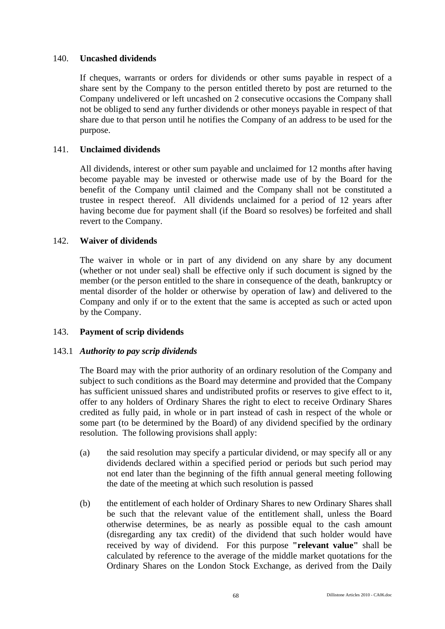## 140. **Uncashed dividends**

If cheques, warrants or orders for dividends or other sums payable in respect of a share sent by the Company to the person entitled thereto by post are returned to the Company undelivered or left uncashed on 2 consecutive occasions the Company shall not be obliged to send any further dividends or other moneys payable in respect of that share due to that person until he notifies the Company of an address to be used for the purpose.

# 141. **Unclaimed dividends**

All dividends, interest or other sum payable and unclaimed for 12 months after having become payable may be invested or otherwise made use of by the Board for the benefit of the Company until claimed and the Company shall not be constituted a trustee in respect thereof. All dividends unclaimed for a period of 12 years after having become due for payment shall (if the Board so resolves) be forfeited and shall revert to the Company.

# 142. **Waiver of dividends**

The waiver in whole or in part of any dividend on any share by any document (whether or not under seal) shall be effective only if such document is signed by the member (or the person entitled to the share in consequence of the death, bankruptcy or mental disorder of the holder or otherwise by operation of law) and delivered to the Company and only if or to the extent that the same is accepted as such or acted upon by the Company.

# 143. **Payment of scrip dividends**

## 143.1 *Authority to pay scrip dividends*

The Board may with the prior authority of an ordinary resolution of the Company and subject to such conditions as the Board may determine and provided that the Company has sufficient unissued shares and undistributed profits or reserves to give effect to it, offer to any holders of Ordinary Shares the right to elect to receive Ordinary Shares credited as fully paid, in whole or in part instead of cash in respect of the whole or some part (to be determined by the Board) of any dividend specified by the ordinary resolution. The following provisions shall apply:

- (a) the said resolution may specify a particular dividend, or may specify all or any dividends declared within a specified period or periods but such period may not end later than the beginning of the fifth annual general meeting following the date of the meeting at which such resolution is passed
- (b) the entitlement of each holder of Ordinary Shares to new Ordinary Shares shall be such that the relevant value of the entitlement shall, unless the Board otherwise determines, be as nearly as possible equal to the cash amount (disregarding any tax credit) of the dividend that such holder would have received by way of dividend. For this purpose **"relevant value"** shall be calculated by reference to the average of the middle market quotations for the Ordinary Shares on the London Stock Exchange, as derived from the Daily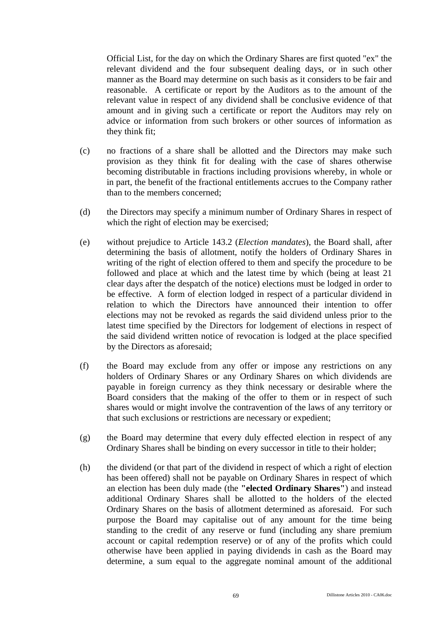Official List, for the day on which the Ordinary Shares are first quoted "ex" the relevant dividend and the four subsequent dealing days, or in such other manner as the Board may determine on such basis as it considers to be fair and reasonable. A certificate or report by the Auditors as to the amount of the relevant value in respect of any dividend shall be conclusive evidence of that amount and in giving such a certificate or report the Auditors may rely on advice or information from such brokers or other sources of information as they think fit;

- (c) no fractions of a share shall be allotted and the Directors may make such provision as they think fit for dealing with the case of shares otherwise becoming distributable in fractions including provisions whereby, in whole or in part, the benefit of the fractional entitlements accrues to the Company rather than to the members concerned;
- (d) the Directors may specify a minimum number of Ordinary Shares in respect of which the right of election may be exercised;
- (e) without prejudice to Article 143.2 (*Election mandates*), the Board shall, after determining the basis of allotment, notify the holders of Ordinary Shares in writing of the right of election offered to them and specify the procedure to be followed and place at which and the latest time by which (being at least 21 clear days after the despatch of the notice) elections must be lodged in order to be effective. A form of election lodged in respect of a particular dividend in relation to which the Directors have announced their intention to offer elections may not be revoked as regards the said dividend unless prior to the latest time specified by the Directors for lodgement of elections in respect of the said dividend written notice of revocation is lodged at the place specified by the Directors as aforesaid;
- (f) the Board may exclude from any offer or impose any restrictions on any holders of Ordinary Shares or any Ordinary Shares on which dividends are payable in foreign currency as they think necessary or desirable where the Board considers that the making of the offer to them or in respect of such shares would or might involve the contravention of the laws of any territory or that such exclusions or restrictions are necessary or expedient;
- (g) the Board may determine that every duly effected election in respect of any Ordinary Shares shall be binding on every successor in title to their holder;
- (h) the dividend (or that part of the dividend in respect of which a right of election has been offered) shall not be payable on Ordinary Shares in respect of which an election has been duly made (the **"elected Ordinary Shares"**) and instead additional Ordinary Shares shall be allotted to the holders of the elected Ordinary Shares on the basis of allotment determined as aforesaid. For such purpose the Board may capitalise out of any amount for the time being standing to the credit of any reserve or fund (including any share premium account or capital redemption reserve) or of any of the profits which could otherwise have been applied in paying dividends in cash as the Board may determine, a sum equal to the aggregate nominal amount of the additional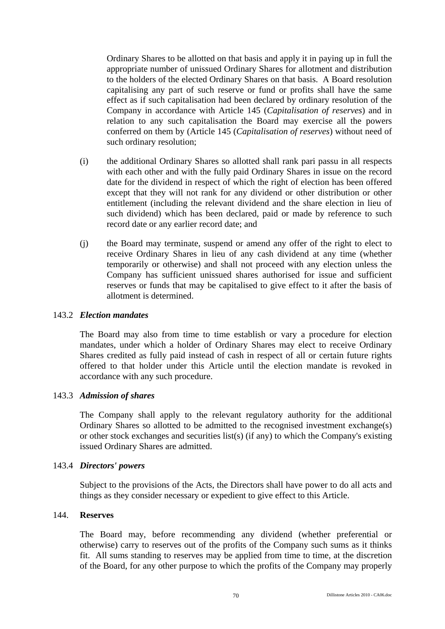Ordinary Shares to be allotted on that basis and apply it in paying up in full the appropriate number of unissued Ordinary Shares for allotment and distribution to the holders of the elected Ordinary Shares on that basis. A Board resolution capitalising any part of such reserve or fund or profits shall have the same effect as if such capitalisation had been declared by ordinary resolution of the Company in accordance with Article 145 (*Capitalisation of reserves*) and in relation to any such capitalisation the Board may exercise all the powers conferred on them by (Article 145 (*Capitalisation of reserves*) without need of such ordinary resolution;

- (i) the additional Ordinary Shares so allotted shall rank pari passu in all respects with each other and with the fully paid Ordinary Shares in issue on the record date for the dividend in respect of which the right of election has been offered except that they will not rank for any dividend or other distribution or other entitlement (including the relevant dividend and the share election in lieu of such dividend) which has been declared, paid or made by reference to such record date or any earlier record date; and
- (j) the Board may terminate, suspend or amend any offer of the right to elect to receive Ordinary Shares in lieu of any cash dividend at any time (whether temporarily or otherwise) and shall not proceed with any election unless the Company has sufficient unissued shares authorised for issue and sufficient reserves or funds that may be capitalised to give effect to it after the basis of allotment is determined.

## 143.2 *Election mandates*

The Board may also from time to time establish or vary a procedure for election mandates, under which a holder of Ordinary Shares may elect to receive Ordinary Shares credited as fully paid instead of cash in respect of all or certain future rights offered to that holder under this Article until the election mandate is revoked in accordance with any such procedure.

## 143.3 *Admission of shares*

The Company shall apply to the relevant regulatory authority for the additional Ordinary Shares so allotted to be admitted to the recognised investment exchange(s) or other stock exchanges and securities list(s) (if any) to which the Company's existing issued Ordinary Shares are admitted.

#### 143.4 *Directors' powers*

Subject to the provisions of the Acts, the Directors shall have power to do all acts and things as they consider necessary or expedient to give effect to this Article.

## 144. **Reserves**

The Board may, before recommending any dividend (whether preferential or otherwise) carry to reserves out of the profits of the Company such sums as it thinks fit. All sums standing to reserves may be applied from time to time, at the discretion of the Board, for any other purpose to which the profits of the Company may properly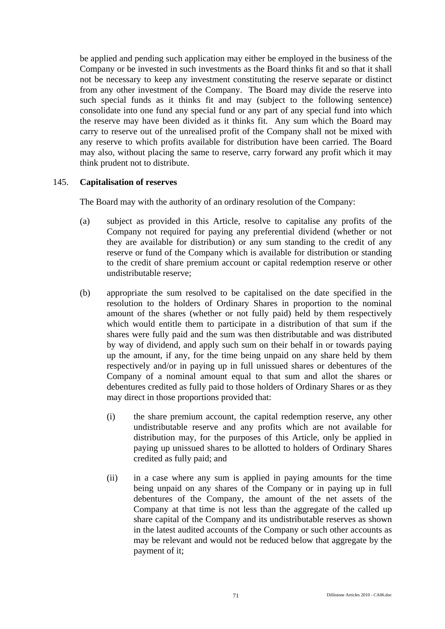be applied and pending such application may either be employed in the business of the Company or be invested in such investments as the Board thinks fit and so that it shall not be necessary to keep any investment constituting the reserve separate or distinct from any other investment of the Company. The Board may divide the reserve into such special funds as it thinks fit and may (subject to the following sentence) consolidate into one fund any special fund or any part of any special fund into which the reserve may have been divided as it thinks fit. Any sum which the Board may carry to reserve out of the unrealised profit of the Company shall not be mixed with any reserve to which profits available for distribution have been carried. The Board may also, without placing the same to reserve, carry forward any profit which it may think prudent not to distribute.

## 145. **Capitalisation of reserves**

The Board may with the authority of an ordinary resolution of the Company:

- (a) subject as provided in this Article, resolve to capitalise any profits of the Company not required for paying any preferential dividend (whether or not they are available for distribution) or any sum standing to the credit of any reserve or fund of the Company which is available for distribution or standing to the credit of share premium account or capital redemption reserve or other undistributable reserve;
- (b) appropriate the sum resolved to be capitalised on the date specified in the resolution to the holders of Ordinary Shares in proportion to the nominal amount of the shares (whether or not fully paid) held by them respectively which would entitle them to participate in a distribution of that sum if the shares were fully paid and the sum was then distributable and was distributed by way of dividend, and apply such sum on their behalf in or towards paying up the amount, if any, for the time being unpaid on any share held by them respectively and/or in paying up in full unissued shares or debentures of the Company of a nominal amount equal to that sum and allot the shares or debentures credited as fully paid to those holders of Ordinary Shares or as they may direct in those proportions provided that:
	- (i) the share premium account, the capital redemption reserve, any other undistributable reserve and any profits which are not available for distribution may, for the purposes of this Article, only be applied in paying up unissued shares to be allotted to holders of Ordinary Shares credited as fully paid; and
	- (ii) in a case where any sum is applied in paying amounts for the time being unpaid on any shares of the Company or in paying up in full debentures of the Company, the amount of the net assets of the Company at that time is not less than the aggregate of the called up share capital of the Company and its undistributable reserves as shown in the latest audited accounts of the Company or such other accounts as may be relevant and would not be reduced below that aggregate by the payment of it;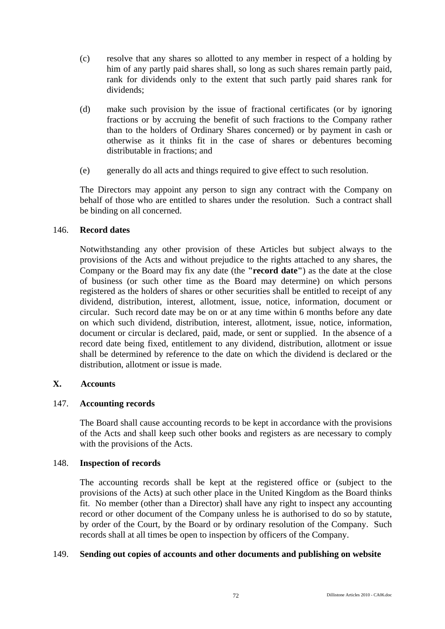- (c) resolve that any shares so allotted to any member in respect of a holding by him of any partly paid shares shall, so long as such shares remain partly paid, rank for dividends only to the extent that such partly paid shares rank for dividends;
- (d) make such provision by the issue of fractional certificates (or by ignoring fractions or by accruing the benefit of such fractions to the Company rather than to the holders of Ordinary Shares concerned) or by payment in cash or otherwise as it thinks fit in the case of shares or debentures becoming distributable in fractions; and
- (e) generally do all acts and things required to give effect to such resolution.

The Directors may appoint any person to sign any contract with the Company on behalf of those who are entitled to shares under the resolution. Such a contract shall be binding on all concerned.

# 146. **Record dates**

Notwithstanding any other provision of these Articles but subject always to the provisions of the Acts and without prejudice to the rights attached to any shares, the Company or the Board may fix any date (the **"record date"**) as the date at the close of business (or such other time as the Board may determine) on which persons registered as the holders of shares or other securities shall be entitled to receipt of any dividend, distribution, interest, allotment, issue, notice, information, document or circular. Such record date may be on or at any time within 6 months before any date on which such dividend, distribution, interest, allotment, issue, notice, information, document or circular is declared, paid, made, or sent or supplied. In the absence of a record date being fixed, entitlement to any dividend, distribution, allotment or issue shall be determined by reference to the date on which the dividend is declared or the distribution, allotment or issue is made.

# **X. Accounts**

## 147. **Accounting records**

The Board shall cause accounting records to be kept in accordance with the provisions of the Acts and shall keep such other books and registers as are necessary to comply with the provisions of the Acts.

## 148. **Inspection of records**

The accounting records shall be kept at the registered office or (subject to the provisions of the Acts) at such other place in the United Kingdom as the Board thinks fit. No member (other than a Director) shall have any right to inspect any accounting record or other document of the Company unless he is authorised to do so by statute, by order of the Court, by the Board or by ordinary resolution of the Company. Such records shall at all times be open to inspection by officers of the Company.

## 149. **Sending out copies of accounts and other documents and publishing on website**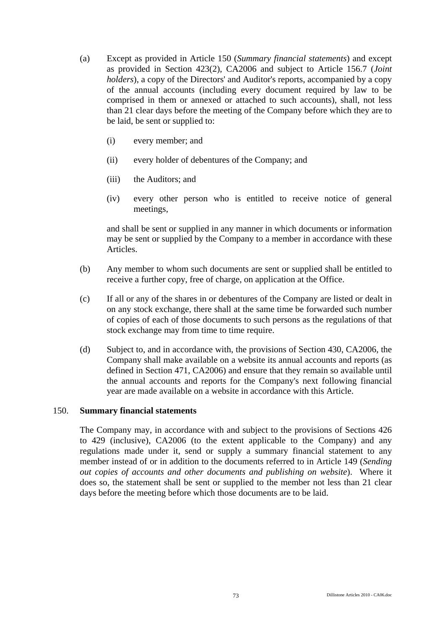- (a) Except as provided in Article 150 (*Summary financial statements*) and except as provided in Section 423(2), CA2006 and subject to Article 156.7 (*Joint holders*), a copy of the Directors' and Auditor's reports, accompanied by a copy of the annual accounts (including every document required by law to be comprised in them or annexed or attached to such accounts), shall, not less than 21 clear days before the meeting of the Company before which they are to be laid, be sent or supplied to:
	- (i) every member; and
	- (ii) every holder of debentures of the Company; and
	- (iii) the Auditors; and
	- (iv) every other person who is entitled to receive notice of general meetings,

and shall be sent or supplied in any manner in which documents or information may be sent or supplied by the Company to a member in accordance with these Articles.

- (b) Any member to whom such documents are sent or supplied shall be entitled to receive a further copy, free of charge, on application at the Office.
- (c) If all or any of the shares in or debentures of the Company are listed or dealt in on any stock exchange, there shall at the same time be forwarded such number of copies of each of those documents to such persons as the regulations of that stock exchange may from time to time require.
- (d) Subject to, and in accordance with, the provisions of Section 430, CA2006, the Company shall make available on a website its annual accounts and reports (as defined in Section 471, CA2006) and ensure that they remain so available until the annual accounts and reports for the Company's next following financial year are made available on a website in accordance with this Article.

## 150. **Summary financial statements**

The Company may, in accordance with and subject to the provisions of Sections 426 to 429 (inclusive), CA2006 (to the extent applicable to the Company) and any regulations made under it, send or supply a summary financial statement to any member instead of or in addition to the documents referred to in Article 149 (*Sending out copies of accounts and other documents and publishing on website*). Where it does so, the statement shall be sent or supplied to the member not less than 21 clear days before the meeting before which those documents are to be laid.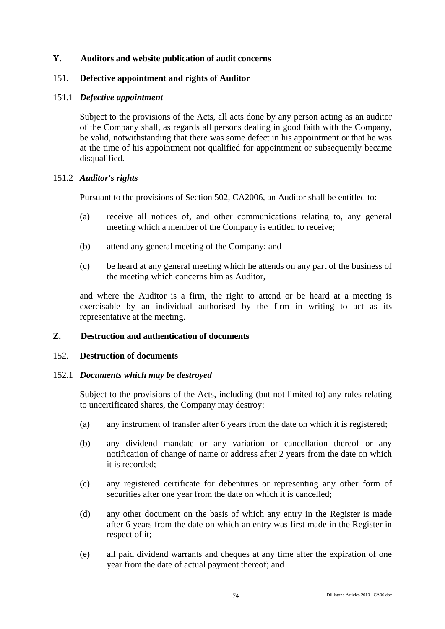## **Y. Auditors and website publication of audit concerns**

## 151. **Defective appointment and rights of Auditor**

## 151.1 *Defective appointment*

Subject to the provisions of the Acts, all acts done by any person acting as an auditor of the Company shall, as regards all persons dealing in good faith with the Company, be valid, notwithstanding that there was some defect in his appointment or that he was at the time of his appointment not qualified for appointment or subsequently became disqualified.

### 151.2 *Auditor's rights*

Pursuant to the provisions of Section 502, CA2006, an Auditor shall be entitled to:

- (a) receive all notices of, and other communications relating to, any general meeting which a member of the Company is entitled to receive;
- (b) attend any general meeting of the Company; and
- (c) be heard at any general meeting which he attends on any part of the business of the meeting which concerns him as Auditor,

and where the Auditor is a firm, the right to attend or be heard at a meeting is exercisable by an individual authorised by the firm in writing to act as its representative at the meeting.

# **Z. Destruction and authentication of documents**

## 152. **Destruction of documents**

## 152.1 *Documents which may be destroyed*

Subject to the provisions of the Acts, including (but not limited to) any rules relating to uncertificated shares, the Company may destroy:

- (a) any instrument of transfer after 6 years from the date on which it is registered;
- (b) any dividend mandate or any variation or cancellation thereof or any notification of change of name or address after 2 years from the date on which it is recorded;
- (c) any registered certificate for debentures or representing any other form of securities after one year from the date on which it is cancelled;
- (d) any other document on the basis of which any entry in the Register is made after 6 years from the date on which an entry was first made in the Register in respect of it;
- (e) all paid dividend warrants and cheques at any time after the expiration of one year from the date of actual payment thereof; and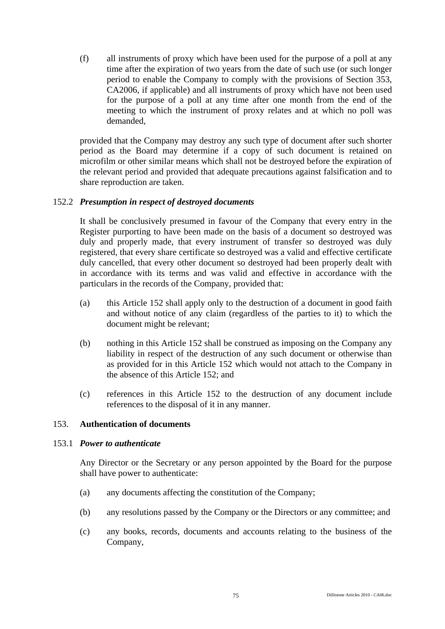(f) all instruments of proxy which have been used for the purpose of a poll at any time after the expiration of two years from the date of such use (or such longer period to enable the Company to comply with the provisions of Section 353, CA2006, if applicable) and all instruments of proxy which have not been used for the purpose of a poll at any time after one month from the end of the meeting to which the instrument of proxy relates and at which no poll was demanded,

provided that the Company may destroy any such type of document after such shorter period as the Board may determine if a copy of such document is retained on microfilm or other similar means which shall not be destroyed before the expiration of the relevant period and provided that adequate precautions against falsification and to share reproduction are taken.

# 152.2 *Presumption in respect of destroyed documents*

It shall be conclusively presumed in favour of the Company that every entry in the Register purporting to have been made on the basis of a document so destroyed was duly and properly made, that every instrument of transfer so destroyed was duly registered, that every share certificate so destroyed was a valid and effective certificate duly cancelled, that every other document so destroyed had been properly dealt with in accordance with its terms and was valid and effective in accordance with the particulars in the records of the Company, provided that:

- (a) this Article 152 shall apply only to the destruction of a document in good faith and without notice of any claim (regardless of the parties to it) to which the document might be relevant;
- (b) nothing in this Article 152 shall be construed as imposing on the Company any liability in respect of the destruction of any such document or otherwise than as provided for in this Article 152 which would not attach to the Company in the absence of this Article 152; and
- (c) references in this Article 152 to the destruction of any document include references to the disposal of it in any manner.

## 153. **Authentication of documents**

## 153.1 *Power to authenticate*

Any Director or the Secretary or any person appointed by the Board for the purpose shall have power to authenticate:

- (a) any documents affecting the constitution of the Company;
- (b) any resolutions passed by the Company or the Directors or any committee; and
- (c) any books, records, documents and accounts relating to the business of the Company,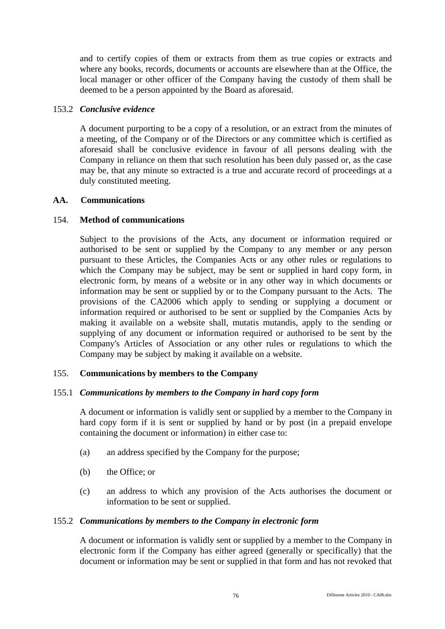and to certify copies of them or extracts from them as true copies or extracts and where any books, records, documents or accounts are elsewhere than at the Office, the local manager or other officer of the Company having the custody of them shall be deemed to be a person appointed by the Board as aforesaid.

# 153.2 *Conclusive evidence*

A document purporting to be a copy of a resolution, or an extract from the minutes of a meeting, of the Company or of the Directors or any committee which is certified as aforesaid shall be conclusive evidence in favour of all persons dealing with the Company in reliance on them that such resolution has been duly passed or, as the case may be, that any minute so extracted is a true and accurate record of proceedings at a duly constituted meeting.

## **AA. Communications**

# 154. **Method of communications**

Subject to the provisions of the Acts, any document or information required or authorised to be sent or supplied by the Company to any member or any person pursuant to these Articles, the Companies Acts or any other rules or regulations to which the Company may be subject, may be sent or supplied in hard copy form, in electronic form, by means of a website or in any other way in which documents or information may be sent or supplied by or to the Company pursuant to the Acts. The provisions of the CA2006 which apply to sending or supplying a document or information required or authorised to be sent or supplied by the Companies Acts by making it available on a website shall, mutatis mutandis, apply to the sending or supplying of any document or information required or authorised to be sent by the Company's Articles of Association or any other rules or regulations to which the Company may be subject by making it available on a website.

## 155. **Communications by members to the Company**

## 155.1 *Communications by members to the Company in hard copy form*

A document or information is validly sent or supplied by a member to the Company in hard copy form if it is sent or supplied by hand or by post (in a prepaid envelope containing the document or information) in either case to:

- (a) an address specified by the Company for the purpose;
- (b) the Office; or
- (c) an address to which any provision of the Acts authorises the document or information to be sent or supplied.

## 155.2 *Communications by members to the Company in electronic form*

A document or information is validly sent or supplied by a member to the Company in electronic form if the Company has either agreed (generally or specifically) that the document or information may be sent or supplied in that form and has not revoked that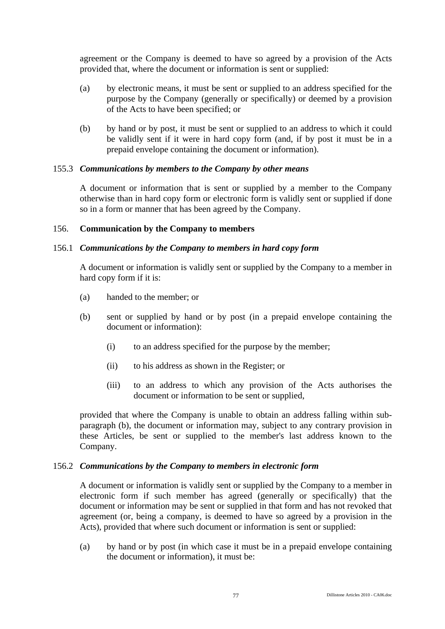agreement or the Company is deemed to have so agreed by a provision of the Acts provided that, where the document or information is sent or supplied:

- (a) by electronic means, it must be sent or supplied to an address specified for the purpose by the Company (generally or specifically) or deemed by a provision of the Acts to have been specified; or
- (b) by hand or by post, it must be sent or supplied to an address to which it could be validly sent if it were in hard copy form (and, if by post it must be in a prepaid envelope containing the document or information).

## 155.3 *Communications by members to the Company by other means*

A document or information that is sent or supplied by a member to the Company otherwise than in hard copy form or electronic form is validly sent or supplied if done so in a form or manner that has been agreed by the Company.

## 156. **Communication by the Company to members**

## 156.1 *Communications by the Company to members in hard copy form*

A document or information is validly sent or supplied by the Company to a member in hard copy form if it is:

- (a) handed to the member; or
- (b) sent or supplied by hand or by post (in a prepaid envelope containing the document or information):
	- (i) to an address specified for the purpose by the member;
	- (ii) to his address as shown in the Register; or
	- (iii) to an address to which any provision of the Acts authorises the document or information to be sent or supplied,

provided that where the Company is unable to obtain an address falling within subparagraph (b), the document or information may, subject to any contrary provision in these Articles, be sent or supplied to the member's last address known to the Company.

#### 156.2 *Communications by the Company to members in electronic form*

A document or information is validly sent or supplied by the Company to a member in electronic form if such member has agreed (generally or specifically) that the document or information may be sent or supplied in that form and has not revoked that agreement (or, being a company, is deemed to have so agreed by a provision in the Acts), provided that where such document or information is sent or supplied:

(a) by hand or by post (in which case it must be in a prepaid envelope containing the document or information), it must be: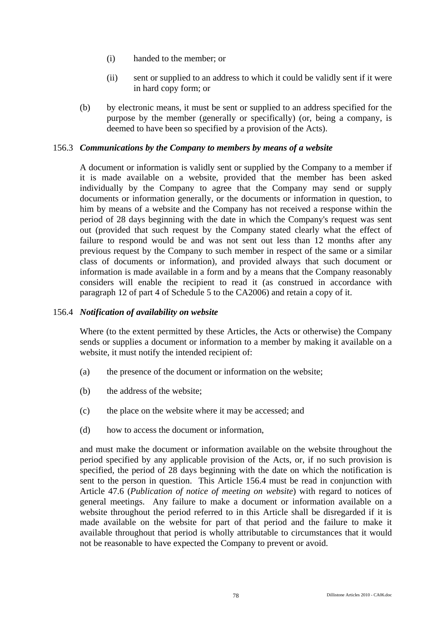- (i) handed to the member; or
- (ii) sent or supplied to an address to which it could be validly sent if it were in hard copy form; or
- (b) by electronic means, it must be sent or supplied to an address specified for the purpose by the member (generally or specifically) (or, being a company, is deemed to have been so specified by a provision of the Acts).

# 156.3 *Communications by the Company to members by means of a website*

A document or information is validly sent or supplied by the Company to a member if it is made available on a website, provided that the member has been asked individually by the Company to agree that the Company may send or supply documents or information generally, or the documents or information in question, to him by means of a website and the Company has not received a response within the period of 28 days beginning with the date in which the Company's request was sent out (provided that such request by the Company stated clearly what the effect of failure to respond would be and was not sent out less than 12 months after any previous request by the Company to such member in respect of the same or a similar class of documents or information), and provided always that such document or information is made available in a form and by a means that the Company reasonably considers will enable the recipient to read it (as construed in accordance with paragraph 12 of part 4 of Schedule 5 to the CA2006) and retain a copy of it.

## 156.4 *Notification of availability on website*

Where (to the extent permitted by these Articles, the Acts or otherwise) the Company sends or supplies a document or information to a member by making it available on a website, it must notify the intended recipient of:

- (a) the presence of the document or information on the website;
- (b) the address of the website;
- (c) the place on the website where it may be accessed; and
- (d) how to access the document or information,

and must make the document or information available on the website throughout the period specified by any applicable provision of the Acts, or, if no such provision is specified, the period of 28 days beginning with the date on which the notification is sent to the person in question. This Article 156.4 must be read in conjunction with Article 47.6 (*Publication of notice of meeting on website*) with regard to notices of general meetings. Any failure to make a document or information available on a website throughout the period referred to in this Article shall be disregarded if it is made available on the website for part of that period and the failure to make it available throughout that period is wholly attributable to circumstances that it would not be reasonable to have expected the Company to prevent or avoid.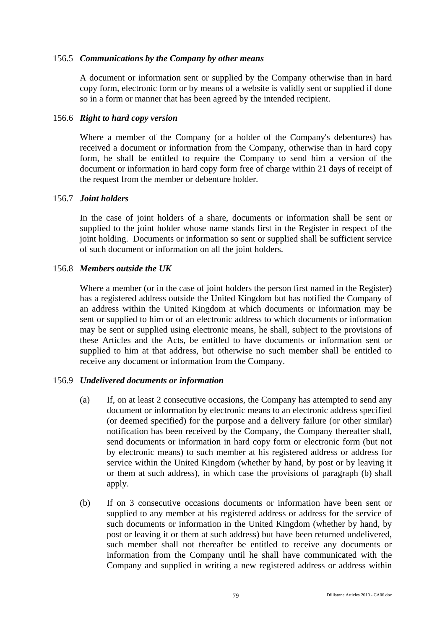## 156.5 *Communications by the Company by other means*

A document or information sent or supplied by the Company otherwise than in hard copy form, electronic form or by means of a website is validly sent or supplied if done so in a form or manner that has been agreed by the intended recipient.

### 156.6 *Right to hard copy version*

Where a member of the Company (or a holder of the Company's debentures) has received a document or information from the Company, otherwise than in hard copy form, he shall be entitled to require the Company to send him a version of the document or information in hard copy form free of charge within 21 days of receipt of the request from the member or debenture holder.

### 156.7 *Joint holders*

In the case of joint holders of a share, documents or information shall be sent or supplied to the joint holder whose name stands first in the Register in respect of the joint holding. Documents or information so sent or supplied shall be sufficient service of such document or information on all the joint holders.

### 156.8 *Members outside the UK*

Where a member (or in the case of joint holders the person first named in the Register) has a registered address outside the United Kingdom but has notified the Company of an address within the United Kingdom at which documents or information may be sent or supplied to him or of an electronic address to which documents or information may be sent or supplied using electronic means, he shall, subject to the provisions of these Articles and the Acts, be entitled to have documents or information sent or supplied to him at that address, but otherwise no such member shall be entitled to receive any document or information from the Company.

## 156.9 *Undelivered documents or information*

- (a) If, on at least 2 consecutive occasions, the Company has attempted to send any document or information by electronic means to an electronic address specified (or deemed specified) for the purpose and a delivery failure (or other similar) notification has been received by the Company, the Company thereafter shall, send documents or information in hard copy form or electronic form (but not by electronic means) to such member at his registered address or address for service within the United Kingdom (whether by hand, by post or by leaving it or them at such address), in which case the provisions of paragraph (b) shall apply.
- (b) If on 3 consecutive occasions documents or information have been sent or supplied to any member at his registered address or address for the service of such documents or information in the United Kingdom (whether by hand, by post or leaving it or them at such address) but have been returned undelivered, such member shall not thereafter be entitled to receive any documents or information from the Company until he shall have communicated with the Company and supplied in writing a new registered address or address within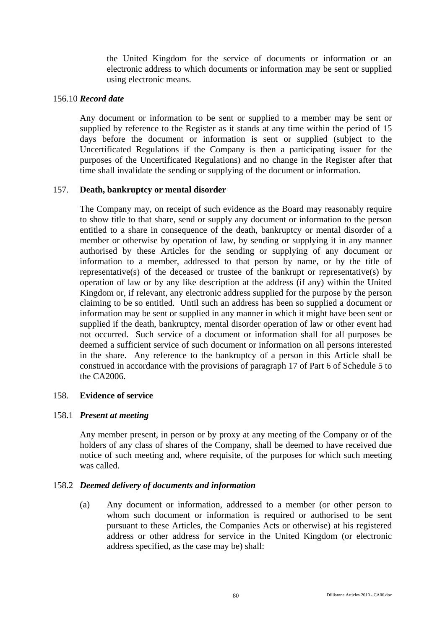the United Kingdom for the service of documents or information or an electronic address to which documents or information may be sent or supplied using electronic means.

## 156.10 *Record date*

Any document or information to be sent or supplied to a member may be sent or supplied by reference to the Register as it stands at any time within the period of 15 days before the document or information is sent or supplied (subject to the Uncertificated Regulations if the Company is then a participating issuer for the purposes of the Uncertificated Regulations) and no change in the Register after that time shall invalidate the sending or supplying of the document or information.

### 157. **Death, bankruptcy or mental disorder**

The Company may, on receipt of such evidence as the Board may reasonably require to show title to that share, send or supply any document or information to the person entitled to a share in consequence of the death, bankruptcy or mental disorder of a member or otherwise by operation of law, by sending or supplying it in any manner authorised by these Articles for the sending or supplying of any document or information to a member, addressed to that person by name, or by the title of representative(s) of the deceased or trustee of the bankrupt or representative(s) by operation of law or by any like description at the address (if any) within the United Kingdom or, if relevant, any electronic address supplied for the purpose by the person claiming to be so entitled. Until such an address has been so supplied a document or information may be sent or supplied in any manner in which it might have been sent or supplied if the death, bankruptcy, mental disorder operation of law or other event had not occurred. Such service of a document or information shall for all purposes be deemed a sufficient service of such document or information on all persons interested in the share. Any reference to the bankruptcy of a person in this Article shall be construed in accordance with the provisions of paragraph 17 of Part 6 of Schedule 5 to the CA2006.

## 158. **Evidence of service**

## 158.1 *Present at meeting*

Any member present, in person or by proxy at any meeting of the Company or of the holders of any class of shares of the Company, shall be deemed to have received due notice of such meeting and, where requisite, of the purposes for which such meeting was called.

## 158.2 *Deemed delivery of documents and information*

(a) Any document or information, addressed to a member (or other person to whom such document or information is required or authorised to be sent pursuant to these Articles, the Companies Acts or otherwise) at his registered address or other address for service in the United Kingdom (or electronic address specified, as the case may be) shall: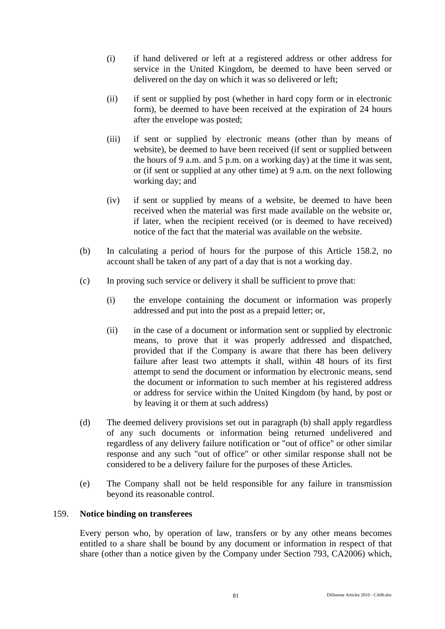- (i) if hand delivered or left at a registered address or other address for service in the United Kingdom, be deemed to have been served or delivered on the day on which it was so delivered or left;
- (ii) if sent or supplied by post (whether in hard copy form or in electronic form), be deemed to have been received at the expiration of 24 hours after the envelope was posted;
- (iii) if sent or supplied by electronic means (other than by means of website), be deemed to have been received (if sent or supplied between the hours of 9 a.m. and 5 p.m. on a working day) at the time it was sent, or (if sent or supplied at any other time) at 9 a.m. on the next following working day; and
- (iv) if sent or supplied by means of a website, be deemed to have been received when the material was first made available on the website or, if later, when the recipient received (or is deemed to have received) notice of the fact that the material was available on the website.
- (b) In calculating a period of hours for the purpose of this Article 158.2, no account shall be taken of any part of a day that is not a working day.
- (c) In proving such service or delivery it shall be sufficient to prove that:
	- (i) the envelope containing the document or information was properly addressed and put into the post as a prepaid letter; or,
	- (ii) in the case of a document or information sent or supplied by electronic means, to prove that it was properly addressed and dispatched, provided that if the Company is aware that there has been delivery failure after least two attempts it shall, within 48 hours of its first attempt to send the document or information by electronic means, send the document or information to such member at his registered address or address for service within the United Kingdom (by hand, by post or by leaving it or them at such address)
- (d) The deemed delivery provisions set out in paragraph (b) shall apply regardless of any such documents or information being returned undelivered and regardless of any delivery failure notification or "out of office" or other similar response and any such "out of office" or other similar response shall not be considered to be a delivery failure for the purposes of these Articles.
- (e) The Company shall not be held responsible for any failure in transmission beyond its reasonable control.

# 159. **Notice binding on transferees**

Every person who, by operation of law, transfers or by any other means becomes entitled to a share shall be bound by any document or information in respect of that share (other than a notice given by the Company under Section 793, CA2006) which,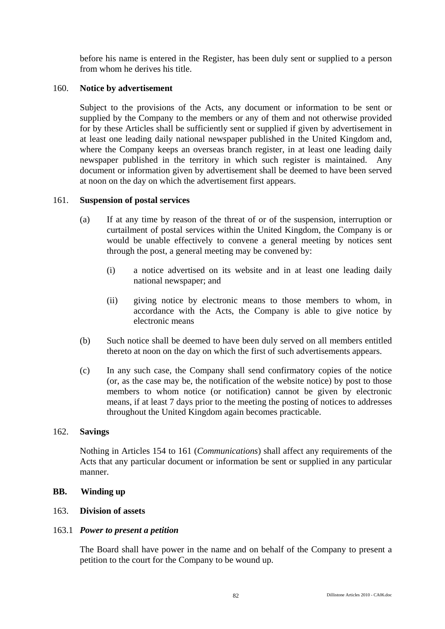before his name is entered in the Register, has been duly sent or supplied to a person from whom he derives his title.

## 160. **Notice by advertisement**

Subject to the provisions of the Acts, any document or information to be sent or supplied by the Company to the members or any of them and not otherwise provided for by these Articles shall be sufficiently sent or supplied if given by advertisement in at least one leading daily national newspaper published in the United Kingdom and, where the Company keeps an overseas branch register, in at least one leading daily newspaper published in the territory in which such register is maintained. Any document or information given by advertisement shall be deemed to have been served at noon on the day on which the advertisement first appears.

### 161. **Suspension of postal services**

- (a) If at any time by reason of the threat of or of the suspension, interruption or curtailment of postal services within the United Kingdom, the Company is or would be unable effectively to convene a general meeting by notices sent through the post, a general meeting may be convened by:
	- (i) a notice advertised on its website and in at least one leading daily national newspaper; and
	- (ii) giving notice by electronic means to those members to whom, in accordance with the Acts, the Company is able to give notice by electronic means
- (b) Such notice shall be deemed to have been duly served on all members entitled thereto at noon on the day on which the first of such advertisements appears.
- (c) In any such case, the Company shall send confirmatory copies of the notice (or, as the case may be, the notification of the website notice) by post to those members to whom notice (or notification) cannot be given by electronic means, if at least 7 days prior to the meeting the posting of notices to addresses throughout the United Kingdom again becomes practicable.

#### 162. **Savings**

Nothing in Articles 154 to 161 (*Communications*) shall affect any requirements of the Acts that any particular document or information be sent or supplied in any particular manner.

#### **BB. Winding up**

## 163. **Division of assets**

#### 163.1 *Power to present a petition*

The Board shall have power in the name and on behalf of the Company to present a petition to the court for the Company to be wound up.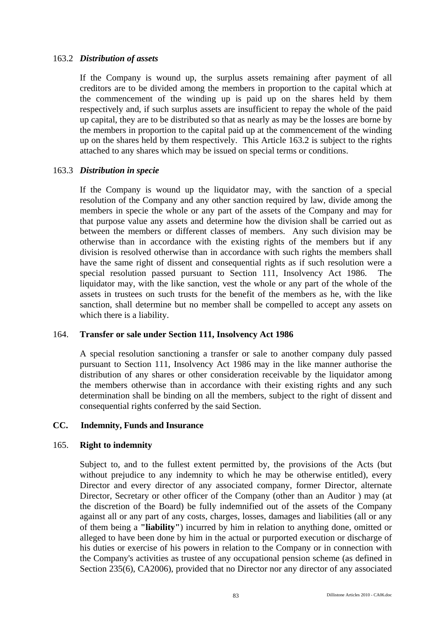## 163.2 *Distribution of assets*

If the Company is wound up, the surplus assets remaining after payment of all creditors are to be divided among the members in proportion to the capital which at the commencement of the winding up is paid up on the shares held by them respectively and, if such surplus assets are insufficient to repay the whole of the paid up capital, they are to be distributed so that as nearly as may be the losses are borne by the members in proportion to the capital paid up at the commencement of the winding up on the shares held by them respectively. This Article 163.2 is subject to the rights attached to any shares which may be issued on special terms or conditions.

### 163.3 *Distribution in specie*

If the Company is wound up the liquidator may, with the sanction of a special resolution of the Company and any other sanction required by law, divide among the members in specie the whole or any part of the assets of the Company and may for that purpose value any assets and determine how the division shall be carried out as between the members or different classes of members. Any such division may be otherwise than in accordance with the existing rights of the members but if any division is resolved otherwise than in accordance with such rights the members shall have the same right of dissent and consequential rights as if such resolution were a special resolution passed pursuant to Section 111, Insolvency Act 1986. The liquidator may, with the like sanction, vest the whole or any part of the whole of the assets in trustees on such trusts for the benefit of the members as he, with the like sanction, shall determine but no member shall be compelled to accept any assets on which there is a liability.

## 164. **Transfer or sale under Section 111, Insolvency Act 1986**

A special resolution sanctioning a transfer or sale to another company duly passed pursuant to Section 111, Insolvency Act 1986 may in the like manner authorise the distribution of any shares or other consideration receivable by the liquidator among the members otherwise than in accordance with their existing rights and any such determination shall be binding on all the members, subject to the right of dissent and consequential rights conferred by the said Section.

#### **CC. Indemnity, Funds and Insurance**

#### 165. **Right to indemnity**

Subject to, and to the fullest extent permitted by, the provisions of the Acts (but without prejudice to any indemnity to which he may be otherwise entitled), every Director and every director of any associated company, former Director, alternate Director, Secretary or other officer of the Company (other than an Auditor ) may (at the discretion of the Board) be fully indemnified out of the assets of the Company against all or any part of any costs, charges, losses, damages and liabilities (all or any of them being a **"liability"**) incurred by him in relation to anything done, omitted or alleged to have been done by him in the actual or purported execution or discharge of his duties or exercise of his powers in relation to the Company or in connection with the Company's activities as trustee of any occupational pension scheme (as defined in Section 235(6), CA2006), provided that no Director nor any director of any associated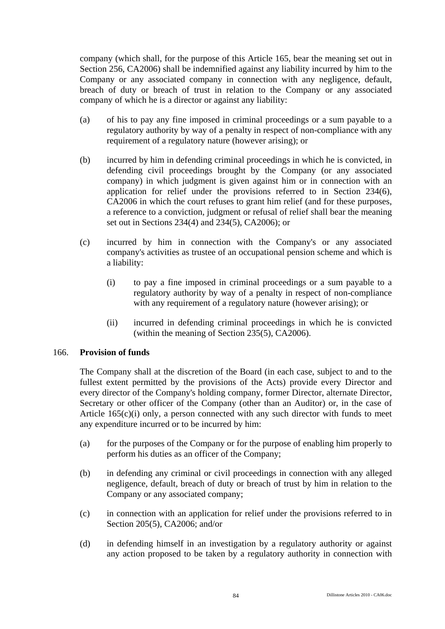company (which shall, for the purpose of this Article 165, bear the meaning set out in Section 256, CA2006) shall be indemnified against any liability incurred by him to the Company or any associated company in connection with any negligence, default, breach of duty or breach of trust in relation to the Company or any associated company of which he is a director or against any liability:

- (a) of his to pay any fine imposed in criminal proceedings or a sum payable to a regulatory authority by way of a penalty in respect of non-compliance with any requirement of a regulatory nature (however arising); or
- (b) incurred by him in defending criminal proceedings in which he is convicted, in defending civil proceedings brought by the Company (or any associated company) in which judgment is given against him or in connection with an application for relief under the provisions referred to in Section 234(6), CA2006 in which the court refuses to grant him relief (and for these purposes, a reference to a conviction, judgment or refusal of relief shall bear the meaning set out in Sections 234(4) and 234(5), CA2006); or
- (c) incurred by him in connection with the Company's or any associated company's activities as trustee of an occupational pension scheme and which is a liability:
	- (i) to pay a fine imposed in criminal proceedings or a sum payable to a regulatory authority by way of a penalty in respect of non-compliance with any requirement of a regulatory nature (however arising); or
	- (ii) incurred in defending criminal proceedings in which he is convicted (within the meaning of Section 235(5), CA2006).

## 166. **Provision of funds**

The Company shall at the discretion of the Board (in each case, subject to and to the fullest extent permitted by the provisions of the Acts) provide every Director and every director of the Company's holding company, former Director, alternate Director, Secretary or other officer of the Company (other than an Auditor) or, in the case of Article  $165(c)(i)$  only, a person connected with any such director with funds to meet any expenditure incurred or to be incurred by him:

- (a) for the purposes of the Company or for the purpose of enabling him properly to perform his duties as an officer of the Company;
- (b) in defending any criminal or civil proceedings in connection with any alleged negligence, default, breach of duty or breach of trust by him in relation to the Company or any associated company;
- (c) in connection with an application for relief under the provisions referred to in Section 205(5), CA2006; and/or
- (d) in defending himself in an investigation by a regulatory authority or against any action proposed to be taken by a regulatory authority in connection with